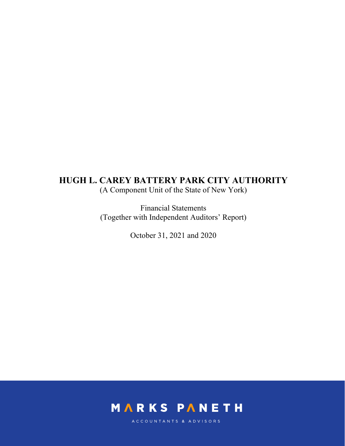(A Component Unit of the State of New York)

Financial Statements (Together with Independent Auditors' Report)

October 31, 2021 and 2020



ACCOUNTANTS & ADVISORS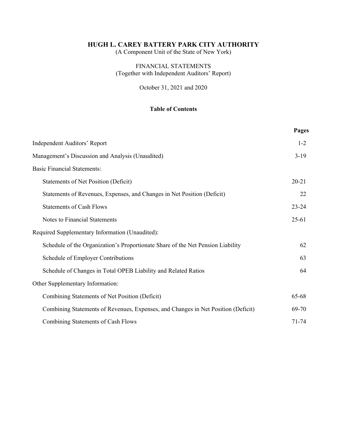(A Component Unit of the State of New York)

# FINANCIAL STATEMENTS (Together with Independent Auditors' Report)

October 31, 2021 and 2020

# **Table of Contents**

|                                                                                   | Pages     |
|-----------------------------------------------------------------------------------|-----------|
| Independent Auditors' Report                                                      | $1 - 2$   |
| Management's Discussion and Analysis (Unaudited)                                  | $3-19$    |
| <b>Basic Financial Statements:</b>                                                |           |
| <b>Statements of Net Position (Deficit)</b>                                       | $20 - 21$ |
| Statements of Revenues, Expenses, and Changes in Net Position (Deficit)           | 22        |
| <b>Statements of Cash Flows</b>                                                   | $23 - 24$ |
| Notes to Financial Statements                                                     | $25-61$   |
| Required Supplementary Information (Unaudited):                                   |           |
| Schedule of the Organization's Proportionate Share of the Net Pension Liability   | 62        |
| Schedule of Employer Contributions                                                | 63        |
| Schedule of Changes in Total OPEB Liability and Related Ratios                    | 64        |
| Other Supplementary Information:                                                  |           |
| Combining Statements of Net Position (Deficit)                                    | 65-68     |
| Combining Statements of Revenues, Expenses, and Changes in Net Position (Deficit) | 69-70     |
| Combining Statements of Cash Flows                                                | 71-74     |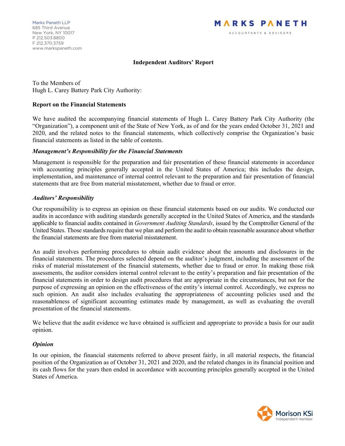# **Independent Auditors' Report**

To the Members of Hugh L. Carey Battery Park City Authority:

#### **Report on the Financial Statements**

We have audited the accompanying financial statements of Hugh L. Carey Battery Park City Authority (the "Organization"), a component unit of the State of New York, as of and for the years ended October 31, 2021 and 2020, and the related notes to the financial statements, which collectively comprise the Organization's basic financial statements as listed in the table of contents.

#### *Management's Responsibility for the Financial Statements*

Management is responsible for the preparation and fair presentation of these financial statements in accordance with accounting principles generally accepted in the United States of America; this includes the design, implementation, and maintenance of internal control relevant to the preparation and fair presentation of financial statements that are free from material misstatement, whether due to fraud or error.

# *Auditors' Responsibility*

Our responsibility is to express an opinion on these financial statements based on our audits. We conducted our audits in accordance with auditing standards generally accepted in the United States of America, and the standards applicable to financial audits contained in *Government Auditing Standards*, issued by the Comptroller General of the United States. Those standards require that we plan and perform the audit to obtain reasonable assurance about whether the financial statements are free from material misstatement.

An audit involves performing procedures to obtain audit evidence about the amounts and disclosures in the financial statements. The procedures selected depend on the auditor's judgment, including the assessment of the risks of material misstatement of the financial statements, whether due to fraud or error. In making those risk assessments, the auditor considers internal control relevant to the entity's preparation and fair presentation of the financial statements in order to design audit procedures that are appropriate in the circumstances, but not for the purpose of expressing an opinion on the effectiveness of the entity's internal control. Accordingly, we express no such opinion. An audit also includes evaluating the appropriateness of accounting policies used and the reasonableness of significant accounting estimates made by management, as well as evaluating the overall presentation of the financial statements.

We believe that the audit evidence we have obtained is sufficient and appropriate to provide a basis for our audit opinion.

# *Opinion*

In our opinion, the financial statements referred to above present fairly, in all material respects, the financial position of the Organization as of October 31, 2021 and 2020, and the related changes in its financial position and its cash flows for the years then ended in accordance with accounting principles generally accepted in the United States of America.

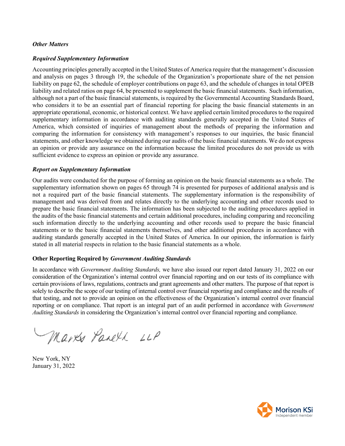#### *Other Matters*

#### *Required Supplementary Information*

Accounting principles generally accepted in the United States of America require that the management's discussion and analysis on pages 3 through 19, the schedule of the Organization's proportionate share of the net pension liability on page 62, the schedule of employer contributions on page 63, and the schedule of changes in total OPEB liability and related ratios on page 64, be presented to supplement the basic financial statements. Such information, although not a part of the basic financial statements, is required by the Governmental Accounting Standards Board, who considers it to be an essential part of financial reporting for placing the basic financial statements in an appropriate operational, economic, or historical context. We have applied certain limited procedures to the required supplementary information in accordance with auditing standards generally accepted in the United States of America, which consisted of inquiries of management about the methods of preparing the information and comparing the information for consistency with management's responses to our inquiries, the basic financial statements, and other knowledge we obtained during our audits of the basic financial statements. We do not express an opinion or provide any assurance on the information because the limited procedures do not provide us with sufficient evidence to express an opinion or provide any assurance.

#### *Report on Supplementary Information*

Our audits were conducted for the purpose of forming an opinion on the basic financial statements as a whole. The supplementary information shown on pages 65 through 74 is presented for purposes of additional analysis and is not a required part of the basic financial statements. The supplementary information is the responsibility of management and was derived from and relates directly to the underlying accounting and other records used to prepare the basic financial statements. The information has been subjected to the auditing procedures applied in the audits of the basic financial statements and certain additional procedures, including comparing and reconciling such information directly to the underlying accounting and other records used to prepare the basic financial statements or to the basic financial statements themselves, and other additional procedures in accordance with auditing standards generally accepted in the United States of America. In our opinion, the information is fairly stated in all material respects in relation to the basic financial statements as a whole.

#### **Other Reporting Required by** *Government Auditing Standards*

In accordance with *Government Auditing Standards,* we have also issued our report dated January 31, 2022 on our consideration of the Organization's internal control over financial reporting and on our tests of its compliance with certain provisions of laws, regulations, contracts and grant agreements and other matters. The purpose of that report is solely to describe the scope of our testing of internal control over financial reporting and compliance and the results of that testing, and not to provide an opinion on the effectiveness of the Organization's internal control over financial reporting or on compliance. That report is an integral part of an audit performed in accordance with *Government Auditing Standards* in considering the Organization's internal control over financial reporting and compliance.

Marks Panell LLP

New York, NY January 31, 2022

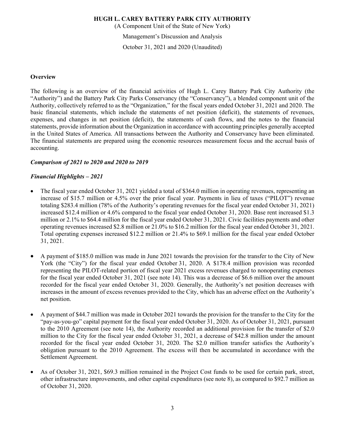(A Component Unit of the State of New York)

Management's Discussion and Analysis

October 31, 2021 and 2020 (Unaudited)

#### **Overview**

The following is an overview of the financial activities of Hugh L. Carey Battery Park City Authority (the "Authority") and the Battery Park City Parks Conservancy (the "Conservancy"), a blended component unit of the Authority, collectively referred to as the "Organization," for the fiscal years ended October 31, 2021 and 2020. The basic financial statements, which include the statements of net position (deficit), the statements of revenues, expenses, and changes in net position (deficit), the statements of cash flows, and the notes to the financial statements, provide information about the Organization in accordance with accounting principles generally accepted in the United States of America. All transactions between the Authority and Conservancy have been eliminated. The financial statements are prepared using the economic resources measurement focus and the accrual basis of accounting.

# *Comparison of 2021 to 2020 and 2020 to 2019*

# *Financial Highlights – 2021*

- The fiscal year ended October 31, 2021 yielded a total of \$364.0 million in operating revenues, representing an increase of \$15.7 million or 4.5% over the prior fiscal year. Payments in lieu of taxes ("PILOT") revenue totaling \$283.4 million (78% of the Authority's operating revenues for the fiscal year ended October 31, 2021) increased \$12.4 million or 4.6% compared to the fiscal year ended October 31, 2020. Base rent increased \$1.3 million or 2.1% to \$64.4 million for the fiscal year ended October 31, 2021. Civic facilities payments and other operating revenues increased \$2.8 million or 21.0% to \$16.2 million for the fiscal year ended October 31, 2021. Total operating expenses increased \$12.2 million or 21.4% to \$69.1 million for the fiscal year ended October 31, 2021.
- A payment of \$185.0 million was made in June 2021 towards the provision for the transfer to the City of New York (the "City") for the fiscal year ended October 31, 2020. A \$178.4 million provision was recorded representing the PILOT-related portion of fiscal year 2021 excess revenues charged to nonoperating expenses for the fiscal year ended October 31, 2021 (see note 14). This was a decrease of \$6.6 million over the amount recorded for the fiscal year ended October 31, 2020. Generally, the Authority's net position decreases with increases in the amount of excess revenues provided to the City, which has an adverse effect on the Authority's net position.
- A payment of \$44.7 million was made in October 2021 towards the provision for the transfer to the City for the "pay-as-you-go" capital payment for the fiscal year ended October 31, 2020. As of October 31, 2021, pursuant to the 2010 Agreement (see note 14), the Authority recorded an additional provision for the transfer of \$2.0 million to the City for the fiscal year ended October 31, 2021, a decrease of \$42.8 million under the amount recorded for the fiscal year ended October 31, 2020. The \$2.0 million transfer satisfies the Authority's obligation pursuant to the 2010 Agreement. The excess will then be accumulated in accordance with the Settlement Agreement.
- As of October 31, 2021, \$69.3 million remained in the Project Cost funds to be used for certain park, street, other infrastructure improvements, and other capital expenditures (see note 8), as compared to \$92.7 million as of October 31, 2020.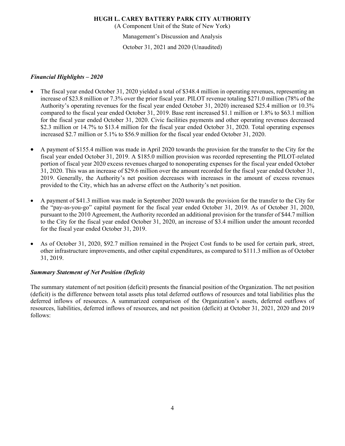(A Component Unit of the State of New York)

Management's Discussion and Analysis

October 31, 2021 and 2020 (Unaudited)

# *Financial Highlights – 2020*

- The fiscal year ended October 31, 2020 yielded a total of \$348.4 million in operating revenues, representing an increase of \$23.8 million or 7.3% over the prior fiscal year. PILOT revenue totaling \$271.0 million (78% of the Authority's operating revenues for the fiscal year ended October 31, 2020) increased \$25.4 million or 10.3% compared to the fiscal year ended October 31, 2019. Base rent increased \$1.1 million or 1.8% to \$63.1 million for the fiscal year ended October 31, 2020. Civic facilities payments and other operating revenues decreased \$2.3 million or 14.7% to \$13.4 million for the fiscal year ended October 31, 2020. Total operating expenses increased \$2.7 million or 5.1% to \$56.9 million for the fiscal year ended October 31, 2020.
- A payment of \$155.4 million was made in April 2020 towards the provision for the transfer to the City for the fiscal year ended October 31, 2019. A \$185.0 million provision was recorded representing the PILOT-related portion of fiscal year 2020 excess revenues charged to nonoperating expenses for the fiscal year ended October 31, 2020. This was an increase of \$29.6 million over the amount recorded for the fiscal year ended October 31, 2019. Generally, the Authority's net position decreases with increases in the amount of excess revenues provided to the City, which has an adverse effect on the Authority's net position.
- A payment of \$41.3 million was made in September 2020 towards the provision for the transfer to the City for the "pay-as-you-go" capital payment for the fiscal year ended October 31, 2019. As of October 31, 2020, pursuant to the 2010 Agreement, the Authority recorded an additional provision for the transfer of \$44.7 million to the City for the fiscal year ended October 31, 2020, an increase of \$3.4 million under the amount recorded for the fiscal year ended October 31, 2019.
- As of October 31, 2020, \$92.7 million remained in the Project Cost funds to be used for certain park, street, other infrastructure improvements, and other capital expenditures, as compared to \$111.3 million as of October 31, 2019.

# *Summary Statement of Net Position (Deficit)*

The summary statement of net position (deficit) presents the financial position of the Organization. The net position (deficit) is the difference between total assets plus total deferred outflows of resources and total liabilities plus the deferred inflows of resources. A summarized comparison of the Organization's assets, deferred outflows of resources, liabilities, deferred inflows of resources, and net position (deficit) at October 31, 2021, 2020 and 2019 follows: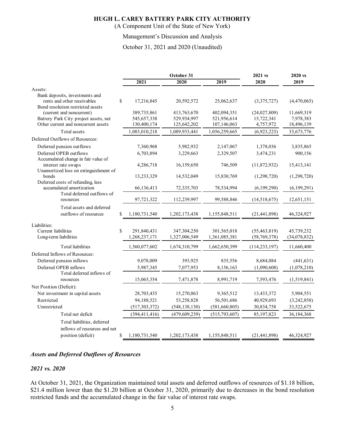(A Component Unit of the State of New York)

#### Management's Discussion and Analysis

October 31, 2021 and 2020 (Unaudited)

|                                                                  |                     | October 31      | 2021 vs       | 2020 vs         |              |
|------------------------------------------------------------------|---------------------|-----------------|---------------|-----------------|--------------|
|                                                                  | 2021                | 2020            | 2019          | 2020            | 2019         |
| Assets:                                                          |                     |                 |               |                 |              |
| Bank deposits, investments and                                   |                     |                 |               |                 |              |
| rents and other receivables<br>Bond resolution restricted assets | \$<br>17,216,845    | 20,592,572      | 25,062,637    | (3,375,727)     | (4,470,065)  |
| (current and noncurrent)                                         | 389,735,861         | 413,763,670     | 402,094,351   | (24,027,809)    | 11,669,319   |
| Battery Park City project assets, net                            | 545,657,338         | 529,934,997     | 521,956,614   | 15,722,341      | 7,978,383    |
| Other current and noncurrent assets                              | 130,400,174         | 125,642,202     | 107,146,063   | 4,757,972       | 18,496,139   |
| Total assets                                                     | 1,083,010,218       | 1,089,933,441   | 1,056,259,665 | (6,923,223)     | 33, 673, 776 |
| Deferred Outflows of Resources:                                  |                     |                 |               |                 |              |
| Deferred pension outflows                                        | 7,360,968           | 5,982,932       | 2,147,067     | 1,378,036       | 3,835,865    |
| Deferred OPEB outflows<br>Accumulated change in fair value of    | 6,703,894           | 3,229,663       | 2,329,507     | 3,474,231       | 900,156      |
| interest rate swaps<br>Unamortized loss on extinguishment of     | 4,286,718           | 16,159,650      | 746,509       | (11, 872, 932)  | 15,413,141   |
| bonds<br>Deferred costs of refunding, less                       | 13,233,329          | 14,532,049      | 15,830,769    | (1,298,720)     | (1,298,720)  |
| accumulated amortization<br>Total deferred outflows of           | 66,136,413          | 72,335,703      | 78,534,994    | (6,199,290)     | (6,199,291)  |
| resources                                                        | 97,721,322          | 112,239,997     | 99,588,846    | (14,518,675)    | 12,651,151   |
| Total assets and deferred<br>outflows of resources               | \$<br>1,180,731,540 | 1,202,173,438   | 1,155,848,511 | (21, 441, 898)  | 46,324,927   |
|                                                                  |                     |                 |               |                 |              |
| Liabilities:                                                     |                     |                 |               |                 |              |
| Current liabilities                                              | \$<br>291,840,431   | 347,304,250     | 301,565,018   | (55, 463, 819)  | 45,739,232   |
| Long-term liabilities                                            | 1,268,237,171       | 1,327,006,549   | 1,361,085,381 | (58, 769, 378)  | (34,078,832) |
| Total liabilities                                                | 1,560,077,602       | 1,674,310,799   | 1,662,650,399 | (114, 233, 197) | 11,660,400   |
| Deferred Inflows of Resources:                                   |                     |                 |               |                 |              |
| Deferred pension inflows                                         | 9,078,009           | 393,925         | 835,556       | 8,684,084       | (441, 631)   |
| Deferred OPEB inflows                                            | 5,987,345           | 7,077,953       | 8,156,163     | (1,090,608)     | (1,078,210)  |
| Total deferred inflows of                                        |                     |                 |               |                 |              |
| resources                                                        | 15,065,354          | 7,471,878       | 8,991,719     | 7,593,476       | (1,519,841)  |
| Net Position (Deficit):                                          |                     |                 |               |                 |              |
| Net investment in capital assets                                 | 28,703,435          | 15,270,063      | 9,365,512     | 13,433,372      | 5,904,551    |
| Restricted                                                       | 94,188,521          | 53,258,828      | 56,501,686    | 40,929,693      | (3,242,858)  |
| Unrestricted                                                     | (517, 303, 372)     | (548, 138, 130) | (581,660,805) | 30,834,758      | 33,522,675   |
| Total net deficit                                                | (394, 411, 416)     | (479, 609, 239) | (515,793,607) | 85,197,823      | 36,184,368   |
| Total liabilities, deferred                                      |                     |                 |               |                 |              |
| inflows of resources and net                                     |                     |                 |               |                 |              |
| position (deficit)                                               | \$<br>1,180,731,540 | 1,202,173,438   | 1,155,848,511 | (21, 441, 898)  | 46,324,927   |

# *Assets and Deferred Outflows of Resources*

#### *2021 vs. 2020*

At October 31, 2021, the Organization maintained total assets and deferred outflows of resources of \$1.18 billion, \$21.4 million lower than the \$1.20 billion at October 31, 2020, primarily due to decreases in the bond resolution restricted funds and the accumulated change in the fair value of interest rate swaps.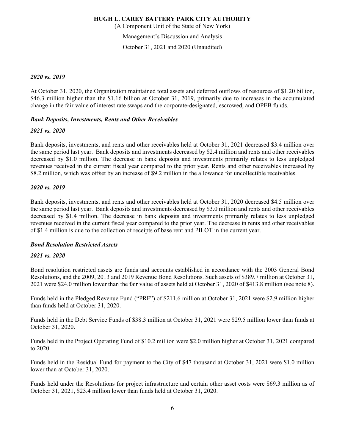(A Component Unit of the State of New York)

Management's Discussion and Analysis

October 31, 2021 and 2020 (Unaudited)

#### *2020 vs. 2019*

At October 31, 2020, the Organization maintained total assets and deferred outflows of resources of \$1.20 billion, \$46.3 million higher than the \$1.16 billion at October 31, 2019, primarily due to increases in the accumulated change in the fair value of interest rate swaps and the corporate-designated, escrowed, and OPEB funds.

# *Bank Deposits, Investments, Rents and Other Receivables*

#### *2021 vs. 2020*

Bank deposits, investments, and rents and other receivables held at October 31, 2021 decreased \$3.4 million over the same period last year. Bank deposits and investments decreased by \$2.4 million and rents and other receivables decreased by \$1.0 million. The decrease in bank deposits and investments primarily relates to less unpledged revenues received in the current fiscal year compared to the prior year. Rents and other receivables increased by \$8.2 million, which was offset by an increase of \$9.2 million in the allowance for uncollectible receivables.

#### *2020 vs. 2019*

Bank deposits, investments, and rents and other receivables held at October 31, 2020 decreased \$4.5 million over the same period last year. Bank deposits and investments decreased by \$3.0 million and rents and other receivables decreased by \$1.4 million. The decrease in bank deposits and investments primarily relates to less unpledged revenues received in the current fiscal year compared to the prior year. The decrease in rents and other receivables of \$1.4 million is due to the collection of receipts of base rent and PILOT in the current year.

#### *Bond Resolution Restricted Assets*

# *2021 vs. 2020*

Bond resolution restricted assets are funds and accounts established in accordance with the 2003 General Bond Resolutions, and the 2009, 2013 and 2019 Revenue Bond Resolutions. Such assets of \$389.7 million at October 31, 2021 were \$24.0 million lower than the fair value of assets held at October 31, 2020 of \$413.8 million (see note 8).

Funds held in the Pledged Revenue Fund ("PRF") of \$211.6 million at October 31, 2021 were \$2.9 million higher than funds held at October 31, 2020.

Funds held in the Debt Service Funds of \$38.3 million at October 31, 2021 were \$29.5 million lower than funds at October 31, 2020.

Funds held in the Project Operating Fund of \$10.2 million were \$2.0 million higher at October 31, 2021 compared to 2020.

Funds held in the Residual Fund for payment to the City of \$47 thousand at October 31, 2021 were \$1.0 million lower than at October 31, 2020.

Funds held under the Resolutions for project infrastructure and certain other asset costs were \$69.3 million as of October 31, 2021, \$23.4 million lower than funds held at October 31, 2020.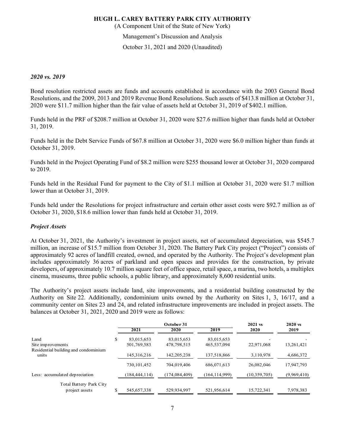(A Component Unit of the State of New York)

Management's Discussion and Analysis

October 31, 2021 and 2020 (Unaudited)

#### *2020 vs. 2019*

Bond resolution restricted assets are funds and accounts established in accordance with the 2003 General Bond Resolutions, and the 2009, 2013 and 2019 Revenue Bond Resolutions. Such assets of \$413.8 million at October 31, 2020 were \$11.7 million higher than the fair value of assets held at October 31, 2019 of \$402.1 million.

Funds held in the PRF of \$208.7 million at October 31, 2020 were \$27.6 million higher than funds held at October 31, 2019.

Funds held in the Debt Service Funds of \$67.8 million at October 31, 2020 were \$6.0 million higher than funds at October 31, 2019.

Funds held in the Project Operating Fund of \$8.2 million were \$255 thousand lower at October 31, 2020 compared to 2019.

Funds held in the Residual Fund for payment to the City of \$1.1 million at October 31, 2020 were \$1.7 million lower than at October 31, 2019.

Funds held under the Resolutions for project infrastructure and certain other asset costs were \$92.7 million as of October 31, 2020, \$18.6 million lower than funds held at October 31, 2019.

#### *Project Assets*

At October 31, 2021, the Authority's investment in project assets, net of accumulated depreciation, was \$545.7 million, an increase of \$15.7 million from October 31, 2020. The Battery Park City project ("Project") consists of approximately 92 acres of landfill created, owned, and operated by the Authority. The Project's development plan includes approximately 36 acres of parkland and open spaces and provides for the construction, by private developers, of approximately 10.7 million square feet of office space, retail space, a marina, two hotels, a multiplex cinema, museums, three public schools, a public library, and approximately 8,600 residential units.

The Authority's project assets include land, site improvements, and a residential building constructed by the Authority on Site 22. Additionally, condominium units owned by the Authority on Sites 1, 3, 16/17, and a community center on Sites 23 and 24, and related infrastructure improvements are included in project assets. The balances at October 31, 2021, 2020 and 2019 were as follows:

|                                                                   |    |                           | October 31                | 2021 vs                   | $2020 \text{ vs.}$ |             |
|-------------------------------------------------------------------|----|---------------------------|---------------------------|---------------------------|--------------------|-------------|
|                                                                   |    | 2021                      | 2020                      | 2019                      | 2020               | 2019        |
| Land<br>Site improvements<br>Residential building and condominium | \$ | 83,015,653<br>501,769,583 | 83,015,653<br>478,798,515 | 83,015,653<br>465,537,094 | 22,971,068         | 13,261,421  |
| units                                                             |    | 145, 316, 216             | 142, 205, 238             | 137,518,866               | 3.110.978          | 4,686,372   |
|                                                                   |    | 730,101,452               | 704,019,406               | 686,071,613               | 26,082,046         | 17,947,793  |
| Less: accumulated depreciation                                    |    | (184, 444, 114)           | (174.084.409)             | (164, 114, 999)           | (10, 359, 705)     | (9,969,410) |
| Total Battery Park City<br>project assets                         | S  | 545,657,338               | 529.934.997               | 521.956.614               | 15.722.341         | 7,978,383   |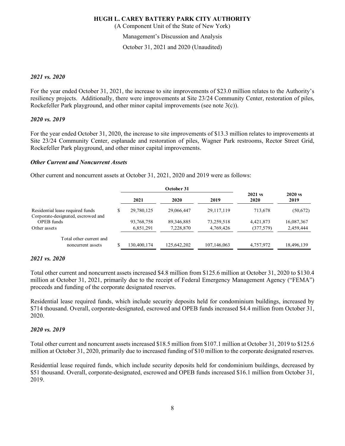(A Component Unit of the State of New York)

Management's Discussion and Analysis

October 31, 2021 and 2020 (Unaudited)

#### *2021 vs. 2020*

For the year ended October 31, 2021, the increase to site improvements of \$23.0 million relates to the Authority's resiliency projects. Additionally, there were improvements at Site 23/24 Community Center, restoration of piles, Rockefeller Park playground, and other minor capital improvements (see note 3(c)).

#### *2020 vs. 2019*

For the year ended October 31, 2020, the increase to site improvements of \$13.3 million relates to improvements at Site 23/24 Community Center, esplanade and restoration of piles, Wagner Park restrooms, Rector Street Grid, Rockefeller Park playground, and other minor capital improvements.

#### *Other Current and Noncurrent Assets*

Other current and noncurrent assets at October 31, 2021, 2020 and 2019 were as follows:

|                                                                        |             | October 31   |              |                   |                   |
|------------------------------------------------------------------------|-------------|--------------|--------------|-------------------|-------------------|
|                                                                        | 2021        | 2020         | 2019         | $2021$ vs<br>2020 | $2020$ vs<br>2019 |
| Residential lease required funds<br>Corporate-designated, escrowed and | 29,780,125  | 29,066,447   | 29, 117, 119 | 713.678           | (50,672)          |
| OPEB funds                                                             | 93,768,758  | 89, 346, 885 | 73,259,518   | 4,421,873         | 16,087,367        |
| Other assets                                                           | 6,851,291   | 7,228,870    | 4,769,426    | (377, 579)        | 2,459,444         |
| Total other current and                                                |             |              |              |                   |                   |
| noncurrent assets                                                      | 130,400,174 | 125,642,202  | 107,146,063  | 4,757,972         | 18,496,139        |

#### *2021 vs. 2020*

Total other current and noncurrent assets increased \$4.8 million from \$125.6 million at October 31, 2020 to \$130.4 million at October 31, 2021, primarily due to the receipt of Federal Emergency Management Agency ("FEMA") proceeds and funding of the corporate designated reserves.

Residential lease required funds, which include security deposits held for condominium buildings, increased by \$714 thousand. Overall, corporate-designated, escrowed and OPEB funds increased \$4.4 million from October 31, 2020.

#### *2020 vs. 2019*

Total other current and noncurrent assets increased \$18.5 million from \$107.1 million at October 31, 2019 to \$125.6 million at October 31, 2020, primarily due to increased funding of \$10 million to the corporate designated reserves.

Residential lease required funds, which include security deposits held for condominium buildings, decreased by \$51 thousand. Overall, corporate-designated, escrowed and OPEB funds increased \$16.1 million from October 31, 2019.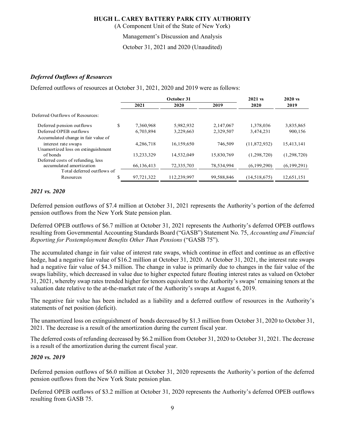(A Component Unit of the State of New York)

Management's Discussion and Analysis

October 31, 2021 and 2020 (Unaudited)

# *Deferred Outflows of Resources*

Deferred outflows of resources at October 31, 2021, 2020 and 2019 were as follows:

|                                     |            | October 31  | $2021$ vs  | $2020$ vs    |             |
|-------------------------------------|------------|-------------|------------|--------------|-------------|
|                                     | 2021       | 2020        | 2019       | 2020         | 2019        |
|                                     |            |             |            |              |             |
| \$                                  | 7,360,968  | 5,982,932   | 2,147,067  | 1,378,036    | 3,835,865   |
|                                     | 6,703,894  | 3,229,663   | 2,329,507  | 3,474,231    | 900,156     |
| Accumulated change in fair value of |            |             |            |              |             |
|                                     | 4,286,718  | 16.159.650  | 746.509    | (11,872,932) | 15.413.141  |
| Unamortized loss on extinguishment  |            |             |            |              |             |
|                                     | 13,233,329 | 14,532,049  | 15,830,769 | (1,298,720)  | (1,298,720) |
|                                     |            |             |            |              |             |
|                                     |            |             |            |              | (6,199,291) |
| Total deferred outflows of          |            |             |            |              |             |
| \$                                  | 97,721,322 | 112,239,997 | 99,588,846 | (14,518,675) | 12,651,151  |
|                                     |            | 66,136,413  | 72,335,703 | 78,534,994   | (6,199,290) |

# *2021 vs. 2020*

Deferred pension outflows of \$7.4 million at October 31, 2021 represents the Authority's portion of the deferred pension outflows from the New York State pension plan.

Deferred OPEB outflows of \$6.7 million at October 31, 2021 represents the Authority's deferred OPEB outflows resulting from Governmental Accounting Standards Board ("GASB") Statement No. 75, *Accounting and Financial Reporting for Postemployment Benefits Other Than Pensions* ("GASB 75").

The accumulated change in fair value of interest rate swaps, which continue in effect and continue as an effective hedge, had a negative fair value of \$16.2 million at October 31, 2020. At October 31, 2021, the interest rate swaps had a negative fair value of \$4.3 million. The change in value is primarily due to changes in the fair value of the swaps liability, which decreased in value due to higher expected future floating interest rates as valued on October 31, 2021, whereby swap rates trended higher for tenors equivalent to the Authority's swaps' remaining tenors at the valuation date relative to the at-the-market rate of the Authority's swaps at August 6, 2019.

The negative fair value has been included as a liability and a deferred outflow of resources in the Authority's statements of net position (deficit).

The unamortized loss on extinguishment of bonds decreased by \$1.3 million from October 31, 2020 to October 31, 2021. The decrease is a result of the amortization during the current fiscal year.

The deferred costs of refunding decreased by \$6.2 million from October 31, 2020 to October 31, 2021. The decrease is a result of the amortization during the current fiscal year.

# *2020 vs. 2019*

Deferred pension outflows of \$6.0 million at October 31, 2020 represents the Authority's portion of the deferred pension outflows from the New York State pension plan.

Deferred OPEB outflows of \$3.2 million at October 31, 2020 represents the Authority's deferred OPEB outflows resulting from GASB 75.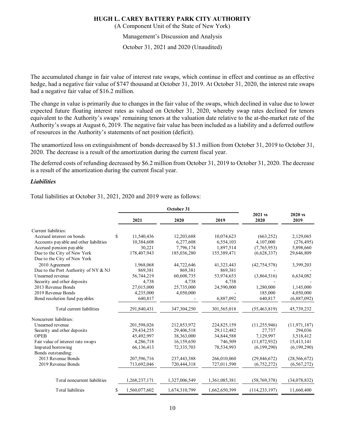(A Component Unit of the State of New York)

Management's Discussion and Analysis

October 31, 2021 and 2020 (Unaudited)

The accumulated change in fair value of interest rate swaps, which continue in effect and continue as an effective hedge, had a negative fair value of \$747 thousand at October 31, 2019. At October 31, 2020, the interest rate swaps had a negative fair value of \$16.2 million.

The change in value is primarily due to changes in the fair value of the swaps, which declined in value due to lower expected future floating interest rates as valued on October 31, 2020, whereby swap rates declined for tenors equivalent to the Authority's swaps' remaining tenors at the valuation date relative to the at-the-market rate of the Authority's swaps at August 6, 2019. The negative fair value has been included as a liability and a deferred outflow of resources in the Authority's statements of net position (deficit).

The unamortized loss on extinguishment of bonds decreased by \$1.3 million from October 31, 2019 to October 31, 2020. The decrease is a result of the amortization during the current fiscal year.

The deferred costs of refunding decreased by \$6.2 million from October 31, 2019 to October 31, 2020. The decrease is a result of the amortization during the current fiscal year.

#### *Liabilities*

Total liabilities at October 31, 2021, 2020 and 2019 were as follows:

|                                        |                    | October 31    |               |                 |                 |
|----------------------------------------|--------------------|---------------|---------------|-----------------|-----------------|
|                                        | 2021               | 2020          | 2019          | 2021 vs<br>2020 | 2020 vs<br>2019 |
| Current liabilities:                   |                    |               |               |                 |                 |
| Accrued interest on bonds              | S<br>11,540,436    | 12,203,688    | 10,074,623    | (663, 252)      | 2,129,065       |
| Accounts payable and other liabilities | 10,384,608         | 6,277,608     | 6,554,103     | 4,107,000       | (276, 495)      |
| Accrued pension payable                | 30,221             | 7,796,174     | 1,897,514     | (7,765,953)     | 5,898,660       |
| Due to the City of New York            | 178,407,943        | 185,036,280   | 155,389,471   | (6,628,337)     | 29,646,809      |
| Due to the City of New York            |                    |               |               |                 |                 |
| 2010 Agreement                         | 1,968,068          | 44,722,646    | 41,323,443    | (42, 754, 578)  | 3,399,203       |
| Due to the Port Authority of NY & NJ   | 869,381            | 869,381       | 869,381       |                 |                 |
| Unearned revenue                       | 56,744,219         | 60,608,735    | 53,974,653    | (3,864,516)     | 6,634,082       |
| Security and other deposits            | 4,738              | 4,738         | 4,738         |                 |                 |
| 2013 Revenue Bonds                     | 27,015,000         | 25,735,000    | 24,590,000    | 1,280,000       | 1,145,000       |
| 2019 Revenue Bonds                     | 4,235,000          | 4,050,000     |               | 185,000         | 4,050,000       |
| Bond resolution fund payables          | 640.817            |               | 6,887,092     | 640.817         | (6,887,092)     |
| Total current liabilities              | 291,840,431        | 347,304,250   | 301,565,018   | (55, 463, 819)  | 45,739,232      |
| Noncurrent liabilities:                |                    |               |               |                 |                 |
| Unearned revenue                       | 201,598,026        | 212,853,972   | 224,825,159   | (11, 255, 946)  | (11, 971, 187)  |
| Security and other deposits            | 29,434,255         | 29,406,518    | 29,112,482    | 27.737          | 294,036         |
| <b>OPEB</b>                            | 45,492,997         | 38,363,000    | 34,844,588    | 7,129,997       | 3,518,412       |
| Fair value of interest rate swaps      | 4,286,718          | 16,159,650    | 746,509       | (11,872,932)    | 15,413,141      |
| Imputed borrowing                      | 66,136,413         | 72,335,703    | 78,534,993    | (6,199,290)     | (6,199,290)     |
| Bonds outstanding:                     |                    |               |               |                 |                 |
| 2013 Revenue Bonds                     | 207,596,716        | 237,443,388   | 266,010,060   | (29, 846, 672)  | (28, 566, 672)  |
| 2019 Revenue Bonds                     | 713,692,046        | 720,444,318   | 727,011,590   | (6,752,272)     | (6, 567, 272)   |
| Total noncurrent liabilities           | 1,268,237,171      | 1,327,006,549 | 1,361,085,381 | (58, 769, 378)  | (34,078,832)    |
| <b>Total liabilities</b>               | S<br>1,560,077,602 | 1,674,310,799 | 1,662,650,399 | (114, 233, 197) | 11,660,400      |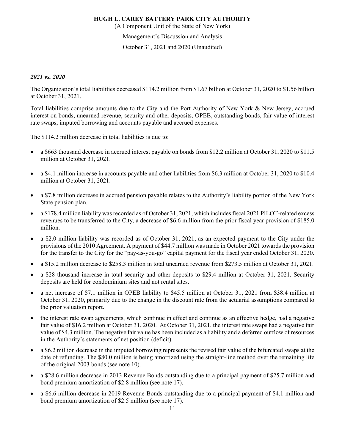(A Component Unit of the State of New York)

Management's Discussion and Analysis

October 31, 2021 and 2020 (Unaudited)

#### *2021 vs. 2020*

The Organization's total liabilities decreased \$114.2 million from \$1.67 billion at October 31, 2020 to \$1.56 billion at October 31, 2021.

Total liabilities comprise amounts due to the City and the Port Authority of New York & New Jersey, accrued interest on bonds, unearned revenue, security and other deposits, OPEB, outstanding bonds, fair value of interest rate swaps, imputed borrowing and accounts payable and accrued expenses.

The \$114.2 million decrease in total liabilities is due to:

- a \$663 thousand decrease in accrued interest payable on bonds from \$12.2 million at October 31, 2020 to \$11.5 million at October 31, 2021.
- a \$4.1 million increase in accounts payable and other liabilities from \$6.3 million at October 31, 2020 to \$10.4 million at October 31, 2021.
- a \$7.8 million decrease in accrued pension payable relates to the Authority's liability portion of the New York State pension plan.
- a \$178.4 million liability was recorded as of October 31, 2021, which includes fiscal 2021 PILOT-related excess revenues to be transferred to the City, a decrease of \$6.6 million from the prior fiscal year provision of \$185.0 million.
- a \$2.0 million liability was recorded as of October 31, 2021, as an expected payment to the City under the provisions of the 2010 Agreement. A payment of \$44.7 million was made in October 2021 towards the provision for the transfer to the City for the "pay-as-you-go" capital payment for the fiscal year ended October 31, 2020.
- a \$15.2 million decrease to \$258.3 million in total unearned revenue from \$273.5 million at October 31, 2021.
- a \$28 thousand increase in total security and other deposits to \$29.4 million at October 31, 2021. Security deposits are held for condominium sites and not rental sites.
- a net increase of \$7.1 million in OPEB liability to \$45.5 million at October 31, 2021 from \$38.4 million at October 31, 2020, primarily due to the change in the discount rate from the actuarial assumptions compared to the prior valuation report.
- the interest rate swap agreements, which continue in effect and continue as an effective hedge, had a negative fair value of \$16.2 million at October 31, 2020. At October 31, 2021, the interest rate swaps had a negative fair value of \$4.3 million. The negative fair value has been included as a liability and a deferred outflow of resources in the Authority's statements of net position (deficit).
- a \$6.2 million decrease in the imputed borrowing represents the revised fair value of the bifurcated swaps at the date of refunding. The \$80.0 million is being amortized using the straight-line method over the remaining life of the original 2003 bonds (see note 10).
- a \$28.6 million decrease in 2013 Revenue Bonds outstanding due to a principal payment of \$25.7 million and bond premium amortization of \$2.8 million (see note 17).
- a \$6.6 million decrease in 2019 Revenue Bonds outstanding due to a principal payment of \$4.1 million and bond premium amortization of \$2.5 million (see note 17).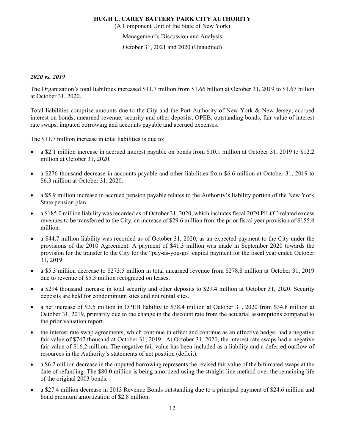(A Component Unit of the State of New York)

Management's Discussion and Analysis

October 31, 2021 and 2020 (Unaudited)

#### *2020 vs. 2019*

The Organization's total liabilities increased \$11.7 million from \$1.66 billion at October 31, 2019 to \$1.67 billion at October 31, 2020.

Total liabilities comprise amounts due to the City and the Port Authority of New York & New Jersey, accrued interest on bonds, unearned revenue, security and other deposits, OPEB, outstanding bonds, fair value of interest rate swaps, imputed borrowing and accounts payable and accrued expenses.

The \$11.7 million increase in total liabilities is due to:

- a \$2.1 million increase in accrued interest payable on bonds from \$10.1 million at October 31, 2019 to \$12.2 million at October 31, 2020.
- a \$276 thousand decrease in accounts payable and other liabilities from \$6.6 million at October 31, 2019 to \$6.3 million at October 31, 2020.
- a \$5.9 million increase in accrued pension payable relates to the Authority's liability portion of the New York State pension plan.
- a \$185.0 million liability was recorded as of October 31, 2020, which includes fiscal 2020 PILOT-related excess revenues to be transferred to the City, an increase of \$29.6 million from the prior fiscal year provision of \$155.4 million.
- a \$44.7 million liability was recorded as of October 31, 2020, as an expected payment to the City under the provisions of the 2010 Agreement. A payment of \$41.3 million was made in September 2020 towards the provision for the transfer to the City for the "pay-as-you-go" capital payment for the fiscal year ended October 31, 2019.
- a \$5.3 million decrease to \$273.5 million in total unearned revenue from \$278.8 million at October 31, 2019 due to revenue of \$5.3 million recognized on leases.
- a \$294 thousand increase in total security and other deposits to \$29.4 million at October 31, 2020. Security deposits are held for condominium sites and not rental sites.
- a net increase of \$3.5 million in OPEB liability to \$38.4 million at October 31, 2020 from \$34.8 million at October 31, 2019, primarily due to the change in the discount rate from the actuarial assumptions compared to the prior valuation report.
- the interest rate swap agreements, which continue in effect and continue as an effective hedge, had a negative fair value of \$747 thousand at October 31, 2019. At October 31, 2020, the interest rate swaps had a negative fair value of \$16.2 million. The negative fair value has been included as a liability and a deferred outflow of resources in the Authority's statements of net position (deficit).
- a \$6.2 million decrease in the imputed borrowing represents the revised fair value of the bifurcated swaps at the date of refunding. The \$80.0 million is being amortized using the straight-line method over the remaining life of the original 2003 bonds.
- a \$27.4 million decrease in 2013 Revenue Bonds outstanding due to a principal payment of \$24.6 million and bond premium amortization of \$2.8 million.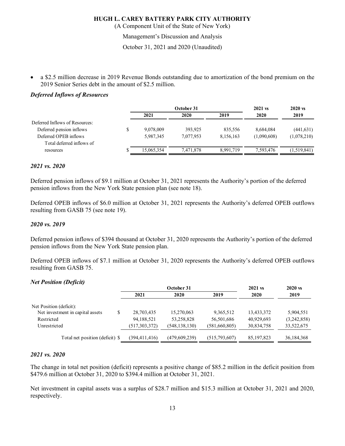(A Component Unit of the State of New York)

Management's Discussion and Analysis

October 31, 2021 and 2020 (Unaudited)

 a \$2.5 million decrease in 2019 Revenue Bonds outstanding due to amortization of the bond premium on the 2019 Senior Series debt in the amount of \$2.5 million.

# *Deferred Inflows of Resources*

|            | October 31 |           | $2021$ vs   | $2020$ vs   |  |
|------------|------------|-----------|-------------|-------------|--|
| 2021       | 2020       | 2019      | 2020        | 2019        |  |
|            |            |           |             |             |  |
| 9,078,009  | 393,925    | 835,556   | 8,684,084   | (441, 631)  |  |
| 5,987,345  | 7.077.953  | 8,156,163 | (1,090,608) | (1,078,210) |  |
|            |            |           |             |             |  |
| 15.065.354 | 7.471.878  | 8.991.719 | 7.593.476   | (1,519,841) |  |
|            |            |           |             |             |  |

#### *2021 vs. 2020*

Deferred pension inflows of \$9.1 million at October 31, 2021 represents the Authority's portion of the deferred pension inflows from the New York State pension plan (see note 18).

Deferred OPEB inflows of \$6.0 million at October 31, 2021 represents the Authority's deferred OPEB outflows resulting from GASB 75 (see note 19).

#### *2020 vs. 2019*

Deferred pension inflows of \$394 thousand at October 31, 2020 represents the Authority's portion of the deferred pension inflows from the New York State pension plan.

Deferred OPEB inflows of \$7.1 million at October 31, 2020 represents the Authority's deferred OPEB outflows resulting from GASB 75.

#### *Net Position (Deficit)*

|                                  |                 | October 31      |               | $2021$ vs    | $2020$ vs   |  |
|----------------------------------|-----------------|-----------------|---------------|--------------|-------------|--|
|                                  | 2021            | 2020            | 2019          | 2020         | 2019        |  |
| Net Position (deficit):          |                 |                 |               |              |             |  |
| Net investment in capital assets | 28,703,435      | 15,270,063      | 9,365,512     | 13,433,372   | 5,904,551   |  |
| Restricted                       | 94,188,521      | 53,258,828      | 56,501,686    | 40,929,693   | (3,242,858) |  |
| Unrestricted                     | (517,303,372)   | (548, 138, 130) | (581,660,805) | 30,834,758   | 33,522,675  |  |
| Total net position (deficit) \$  | (394, 411, 416) | (479,609,239)   | (515,793,607) | 85, 197, 823 | 36,184,368  |  |

#### *2021 vs. 2020*

The change in total net position (deficit) represents a positive change of \$85.2 million in the deficit position from \$479.6 million at October 31, 2020 to \$394.4 million at October 31, 2021.

Net investment in capital assets was a surplus of \$28.7 million and \$15.3 million at October 31, 2021 and 2020, respectively.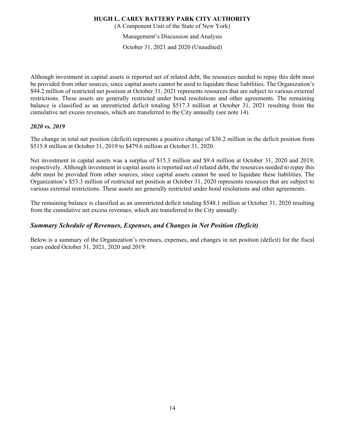(A Component Unit of the State of New York)

Management's Discussion and Analysis

October 31, 2021 and 2020 (Unaudited)

Although investment in capital assets is reported net of related debt, the resources needed to repay this debt must be provided from other sources, since capital assets cannot be used to liquidate these liabilities. The Organization's \$94.2 million of restricted net position at October 31, 2021 represents resources that are subject to various external restrictions. These assets are generally restricted under bond resolutions and other agreements. The remaining balance is classified as an unrestricted deficit totaling \$517.3 million at October 31, 2021 resulting from the cumulative net excess revenues, which are transferred to the City annually (see note 14).

# *2020 vs. 2019*

The change in total net position (deficit) represents a positive change of \$36.2 million in the deficit position from \$515.8 million at October 31, 2019 to \$479.6 million at October 31, 2020.

Net investment in capital assets was a surplus of \$15.3 million and \$9.4 million at October 31, 2020 and 2019, respectively. Although investment in capital assets is reported net of related debt, the resources needed to repay this debt must be provided from other sources, since capital assets cannot be used to liquidate these liabilities. The Organization's \$53.3 million of restricted net position at October 31, 2020 represents resources that are subject to various external restrictions. These assets are generally restricted under bond resolutions and other agreements.

The remaining balance is classified as an unrestricted deficit totaling \$548.1 million at October 31, 2020 resulting from the cumulative net excess revenues, which are transferred to the City annually.

# *Summary Schedule of Revenues, Expenses, and Changes in Net Position (Deficit)*

Below is a summary of the Organization's revenues, expenses, and changes in net position (deficit) for the fiscal years ended October 31, 2021, 2020 and 2019: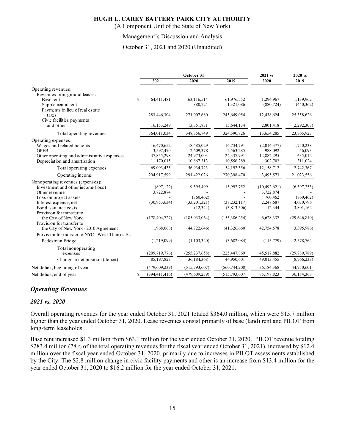(A Component Unit of the State of New York)

#### Management's Discussion and Analysis

October 31, 2021 and 2020 (Unaudited)

|                                                                                                                                                  |                                                     | October 31                                          | 2021 vs                                             | 2020 vs                                         |                                           |
|--------------------------------------------------------------------------------------------------------------------------------------------------|-----------------------------------------------------|-----------------------------------------------------|-----------------------------------------------------|-------------------------------------------------|-------------------------------------------|
|                                                                                                                                                  | 2021                                                | 2020                                                | 2019                                                | 2020                                            | 2019                                      |
| Operating revenues:<br>Revenues from ground leases:                                                                                              |                                                     |                                                     |                                                     |                                                 |                                           |
| Base rent<br>Supplemental rent                                                                                                                   | \$<br>64,411,481                                    | 63,116,514<br>880,724                               | 61,976,552<br>1,321,086                             | 1,294,967<br>(880, 724)                         | 1,139,962<br>(440,362)                    |
| Payments in lieu of real estate<br>taxes<br>Civic facilities payments                                                                            | 283,446,304                                         | 271,007,680                                         | 245,649,054                                         | 12,438,624                                      | 25,358,626                                |
| and other                                                                                                                                        | 16,153,249                                          | 13,351,831                                          | 15,644,134                                          | 2,801,418                                       | (2,292,303)                               |
| Total operating revenues                                                                                                                         | 364,011,034                                         | 348,356,749                                         | 324,590,826                                         | 15,654,285                                      | 23,765,923                                |
| Operating expenses:<br>Wages and related benefits<br><b>OPEB</b><br>Other operating and administrative expenses<br>Depreciation and amortization | 16,470,652<br>3,597,470<br>37,855,298<br>11,170,015 | 18,485,029<br>2,609,378<br>24,973,003<br>10,867,313 | 16,734,791<br>2,563,285<br>24,337,991<br>10,556,289 | (2,014,377)<br>988,092<br>12,882,295<br>302,702 | 1,750,238<br>46,093<br>635,012<br>311,024 |
| Total operating expenses                                                                                                                         | 69,093,435                                          | 56,934,723                                          | 54,192,356                                          | 12,158,712                                      | 2,742,367                                 |
| Operating income                                                                                                                                 | 294,917,599                                         | 291,422,026                                         | 270,398,470                                         | 3,495,573                                       | 21,023,556                                |
| Nonoperating revenues (expenses):<br>Investment and other income (loss)<br>Other revenue                                                         | (897, 122)<br>3,722,874                             | 9,595,499                                           | 15,992,752                                          | (10, 492, 621)<br>3,722,874                     | (6,397,253)                               |
| Loss on project assets<br>Interest expense, net<br>Bond issuance costs<br>Provision for transfer to                                              | (30,953,634)                                        | (760, 462)<br>(33,201,321)<br>(12, 344)             | (37, 232, 117)<br>(3,813,506)                       | 760,462<br>2,247,687<br>12,344                  | (760, 462)<br>4,030,796<br>3,801,162      |
| the City of New York<br>Provision for transfer to                                                                                                | (178, 404, 727)                                     | (185, 033, 064)                                     | (155,386,254)                                       | 6,628,337                                       | (29, 646, 810)                            |
| the City of New York - 2010 Agreement<br>Provision for transfer to NYC - West Thames St.                                                         | (1,968,068)                                         | (44, 722, 646)                                      | (41,326,660)                                        | 42,754,578                                      | (3,395,986)                               |
| Pedestrian Bridge                                                                                                                                | (1,219,099)                                         | (1,103,320)                                         | (3,682,084)                                         | (115,779)                                       | 2,578,764                                 |
| Total nonoperating<br>expenses                                                                                                                   | (209, 719, 776)                                     | (255, 237, 658)                                     | (225, 447, 869)                                     | 45,517,882                                      | (29, 789, 789)                            |
| Change in net position (deficit)                                                                                                                 | 85,197,823                                          | 36,184,368                                          | 44,950,601                                          | 49,013,455                                      | (8,766,233)                               |
| Net deficit, beginning of year                                                                                                                   | (479, 609, 239)                                     | (515,793,607)                                       | (560, 744, 208)                                     | 36,184,368                                      | 44,950,601                                |
| Net deficit, end of year                                                                                                                         | \$<br>(394, 411, 416)                               | (479, 609, 239)                                     | (515,793,607)                                       | 85,197,823                                      | 36,184,368                                |

# *Operating Revenues*

#### *2021 vs. 2020*

Overall operating revenues for the year ended October 31, 2021 totaled \$364.0 million, which were \$15.7 million higher than the year ended October 31, 2020. Lease revenues consist primarily of base (land) rent and PILOT from long-term leaseholds.

Base rent increased \$1.3 million from \$63.1 million for the year ended October 31, 2020. PILOT revenue totaling \$283.4 million (78% of the total operating revenues for the fiscal year ended October 31, 2021), increased by \$12.4 million over the fiscal year ended October 31, 2020, primarily due to increases in PILOT assessments established by the City. The \$2.8 million change in civic facility payments and other is an increase from \$13.4 million for the year ended October 31, 2020 to \$16.2 million for the year ended October 31, 2021.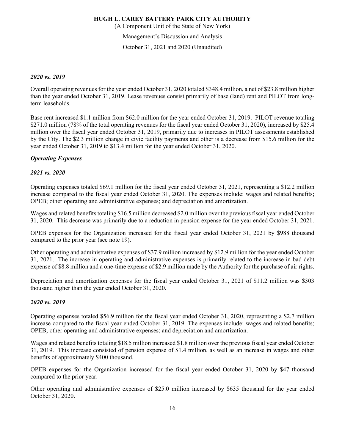(A Component Unit of the State of New York)

Management's Discussion and Analysis

October 31, 2021 and 2020 (Unaudited)

#### *2020 vs. 2019*

Overall operating revenues for the year ended October 31, 2020 totaled \$348.4 million, a net of \$23.8 million higher than the year ended October 31, 2019. Lease revenues consist primarily of base (land) rent and PILOT from longterm leaseholds.

Base rent increased \$1.1 million from \$62.0 million for the year ended October 31, 2019. PILOT revenue totaling \$271.0 million (78% of the total operating revenues for the fiscal year ended October 31, 2020), increased by \$25.4 million over the fiscal year ended October 31, 2019, primarily due to increases in PILOT assessments established by the City. The \$2.3 million change in civic facility payments and other is a decrease from \$15.6 million for the year ended October 31, 2019 to \$13.4 million for the year ended October 31, 2020.

# *Operating Expenses*

# *2021 vs. 2020*

Operating expenses totaled \$69.1 million for the fiscal year ended October 31, 2021, representing a \$12.2 million increase compared to the fiscal year ended October 31, 2020. The expenses include: wages and related benefits; OPEB; other operating and administrative expenses; and depreciation and amortization.

Wages and related benefits totaling \$16.5 million decreased \$2.0 million over the previous fiscal year ended October 31, 2020. This decrease was primarily due to a reduction in pension expense for the year ended October 31, 2021.

OPEB expenses for the Organization increased for the fiscal year ended October 31, 2021 by \$988 thousand compared to the prior year (see note 19).

Other operating and administrative expenses of \$37.9 million increased by \$12.9 million for the year ended October 31, 2021. The increase in operating and administrative expenses is primarily related to the increase in bad debt expense of \$8.8 million and a one-time expense of \$2.9 million made by the Authority for the purchase of air rights.

Depreciation and amortization expenses for the fiscal year ended October 31, 2021 of \$11.2 million was \$303 thousand higher than the year ended October 31, 2020.

# *2020 vs. 2019*

Operating expenses totaled \$56.9 million for the fiscal year ended October 31, 2020, representing a \$2.7 million increase compared to the fiscal year ended October 31, 2019. The expenses include: wages and related benefits; OPEB; other operating and administrative expenses; and depreciation and amortization.

Wages and related benefits totaling \$18.5 million increased \$1.8 million over the previous fiscal year ended October 31, 2019. This increase consisted of pension expense of \$1.4 million, as well as an increase in wages and other benefits of approximately \$400 thousand.

OPEB expenses for the Organization increased for the fiscal year ended October 31, 2020 by \$47 thousand compared to the prior year.

Other operating and administrative expenses of \$25.0 million increased by \$635 thousand for the year ended October 31, 2020.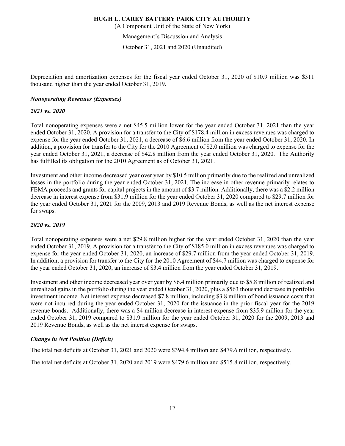(A Component Unit of the State of New York)

Management's Discussion and Analysis

October 31, 2021 and 2020 (Unaudited)

Depreciation and amortization expenses for the fiscal year ended October 31, 2020 of \$10.9 million was \$311 thousand higher than the year ended October 31, 2019.

#### *Nonoperating Revenues (Expenses)*

#### *2021 vs. 2020*

Total nonoperating expenses were a net \$45.5 million lower for the year ended October 31, 2021 than the year ended October 31, 2020. A provision for a transfer to the City of \$178.4 million in excess revenues was charged to expense for the year ended October 31, 2021, a decrease of \$6.6 million from the year ended October 31, 2020. In addition, a provision for transfer to the City for the 2010 Agreement of \$2.0 million was charged to expense for the year ended October 31, 2021, a decrease of \$42.8 million from the year ended October 31, 2020. The Authority has fulfilled its obligation for the 2010 Agreement as of October 31, 2021.

Investment and other income decreased year over year by \$10.5 million primarily due to the realized and unrealized losses in the portfolio during the year ended October 31, 2021. The increase in other revenue primarily relates to FEMA proceeds and grants for capital projects in the amount of \$3.7 million. Additionally, there was a \$2.2 million decrease in interest expense from \$31.9 million for the year ended October 31, 2020 compared to \$29.7 million for the year ended October 31, 2021 for the 2009, 2013 and 2019 Revenue Bonds, as well as the net interest expense for swaps.

#### *2020 vs. 2019*

Total nonoperating expenses were a net \$29.8 million higher for the year ended October 31, 2020 than the year ended October 31, 2019. A provision for a transfer to the City of \$185.0 million in excess revenues was charged to expense for the year ended October 31, 2020, an increase of \$29.7 million from the year ended October 31, 2019. In addition, a provision for transfer to the City for the 2010 Agreement of \$44.7 million was charged to expense for the year ended October 31, 2020, an increase of \$3.4 million from the year ended October 31, 2019.

Investment and other income decreased year over year by \$6.4 million primarily due to \$5.8 million of realized and unrealized gains in the portfolio during the year ended October 31, 2020, plus a \$563 thousand decrease in portfolio investment income. Net interest expense decreased \$7.8 million, including \$3.8 million of bond issuance costs that were not incurred during the year ended October 31, 2020 for the issuance in the prior fiscal year for the 2019 revenue bonds. Additionally, there was a \$4 million decrease in interest expense from \$35.9 million for the year ended October 31, 2019 compared to \$31.9 million for the year ended October 31, 2020 for the 2009, 2013 and 2019 Revenue Bonds, as well as the net interest expense for swaps.

# *Change in Net Position (Deficit)*

The total net deficits at October 31, 2021 and 2020 were \$394.4 million and \$479.6 million, respectively.

The total net deficits at October 31, 2020 and 2019 were \$479.6 million and \$515.8 million, respectively.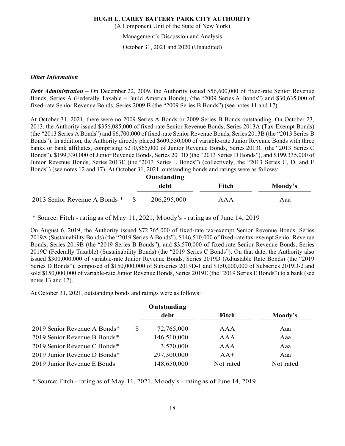(A Component Unit of the State of New York)

Management's Discussion and Analysis

October 31, 2021 and 2020 (Unaudited)

#### *Other Information*

*Debt Administration –* On December 22, 2009, the Authority issued \$56,600,000 of fixed-rate Senior Revenue Bonds, Series A (Federally Taxable – Build America Bonds), (the "2009 Series A Bonds") and \$30,635,000 of fixed-rate Senior Revenue Bonds, Series 2009 B (the "2009 Series B Bonds") (see notes 11 and 17).

At October 31, 2021, there were no 2009 Series A Bonds or 2009 Series B Bonds outstanding. On October 23, 2013, the Authority issued \$356,085,000 of fixed-rate Senior Revenue Bonds, Series 2013A (Tax-Exempt Bonds) (the "2013 Series A Bonds") and \$6,700,000 of fixed-rate Senior Revenue Bonds, Series 2013B (the "2013 Series B Bonds"). In addition, the Authority directly placed \$609,530,000 of variable-rate Junior Revenue Bonds with three banks or bank affiliates, comprising \$210,865,000 of Junior Revenue Bonds, Series 2013C (the "2013 Series C Bonds"), \$199,330,000 of Junior Revenue Bonds, Series 2013D (the "2013 Series D Bonds"), and \$199,335,000 of Junior Revenue Bonds, Series 2013E (the "2013 Series E Bonds") (collectively, the "2013 Series C, D, and E Bonds") (see notes 12 and 17). At October 31, 2021, outstanding bonds and ratings were as follows:

**Outstanding**

|                               | de bt       | Fitch | Moody's |
|-------------------------------|-------------|-------|---------|
| 2013 Senior Revenue A Bonds * | 206,295,000 | AAA   | Aaa     |

\* Source: Fitch - rating as of May 11, 2021, Moody's - rating as of June 14, 2019

On August 6, 2019, the Authority issued \$72,765,000 of fixed-rate tax-exempt Senior Revenue Bonds, Series 2019A (Sustainability Bonds) (the "2019 Series A Bonds"), \$146,510,000 of fixed-rate tax-exempt Senior Revenue Bonds, Series 2019B (the "2019 Series B Bonds"), and \$3,570,000 of fixed-rate Senior Revenue Bonds, Series 2019C (Federally Taxable) (Sustainability Bonds) (the "2019 Series C Bonds"). On that date, the Authority also issued \$300,000,000 of variable-rate Junior Revenue Bonds, Series 2019D (Adjustable Rate Bonds) (the "2019 Series D Bonds"), composed of \$150,000,000 of Subseries 2019D-1 and \$150,000,000 of Subseries 2019D-2 and sold \$150,000,000 of variable-rate Junior Revenue Bonds, Series 2019E (the "2019 Series E Bonds") to a bank (see notes 13 and 17).

At October 31, 2021, outstanding bonds and ratings were as follows:

|                                   | Outstanding |           |           |
|-----------------------------------|-------------|-----------|-----------|
|                                   | de bt       | Fitch     | Moody's   |
| 2019 Senior Revenue A Bonds*<br>S | 72,765,000  | AAA       | Aaa       |
| 2019 Senior Revenue B Bonds*      | 146,510,000 | AAA       | Aaa       |
| 2019 Senior Revenue C Bonds*      | 3,570,000   | AAA       | Aaa       |
| 2019 Junior Revenue D Bonds*      | 297,300,000 | $AA+$     | Aaa       |
| 2019 Junior Revenue E Bonds       | 148,650,000 | Not rated | Not rated |

\* Source: Fitch - rating as of May 11, 2021, Moody's - rating as of June 14, 2019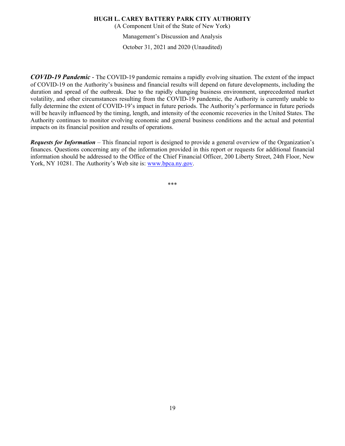(A Component Unit of the State of New York)

Management's Discussion and Analysis

October 31, 2021 and 2020 (Unaudited)

*COVID-19 Pandemic* - The COVID-19 pandemic remains a rapidly evolving situation. The extent of the impact of COVID-19 on the Authority's business and financial results will depend on future developments, including the duration and spread of the outbreak. Due to the rapidly changing business environment, unprecedented market volatility, and other circumstances resulting from the COVID-19 pandemic, the Authority is currently unable to fully determine the extent of COVID-19's impact in future periods. The Authority's performance in future periods will be heavily influenced by the timing, length, and intensity of the economic recoveries in the United States. The Authority continues to monitor evolving economic and general business conditions and the actual and potential impacts on its financial position and results of operations.

*Requests for Information* – This financial report is designed to provide a general overview of the Organization's finances. Questions concerning any of the information provided in this report or requests for additional financial information should be addressed to the Office of the Chief Financial Officer, 200 Liberty Street, 24th Floor, New York, NY 10281. The Authority's Web site is: www.bpca.ny.gov.

\*\*\*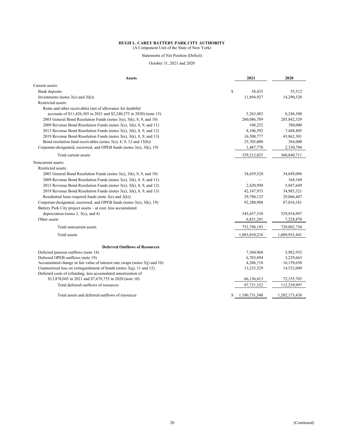(A Component Unit of the State of New York)

Statements of Net Position (Deficit)

October 31, 2021 and 2020

| <b>Assets</b>                                                                      | 2021                | 2020          |
|------------------------------------------------------------------------------------|---------------------|---------------|
| Current assets:                                                                    |                     |               |
| Bank deposits                                                                      | \$<br>58,435        | 55,512        |
| Investments (notes $3(e)$ and $3(k)$ )                                             | 11,894,927          | 14,290,520    |
| Restricted assets:                                                                 |                     |               |
| Rents and other receivables (net of allowance for doubtful                         |                     |               |
| accounts of \$11,426,385 in 2021 and \$2,240,375 in 2020) (note 15)                | 5,263,483           | 6,246,540     |
| 2003 General Bond Resolution Funds (notes 3(e), 3(k), 8, 9, and 10)                | 260,086,789         | 285, 842, 329 |
| 2009 Revenue Bond Resolution Funds (notes $3(e)$ , $3(k)$ , $8$ , $9$ , and 11)    | 108,252             | 380,000       |
| 2013 Revenue Bond Resolution Funds (notes $3(e)$ , $3(k)$ , $8$ , $9$ , and 12)    | 8,106,592           | 7,448,805     |
| 2019 Revenue Bond Resolution Funds (notes $3(e)$ , $3(k)$ , $8$ , $9$ , and 13)    | 16,500,777          | 43,862,301    |
| Bond resolution fund receivables (notes $3(e)$ , 8, 9, 12 and $15(b)$ )            | 25,705,000          | 384,000       |
| Corporate-designated, escrowed, and OPEB funds (notes $3(e)$ , $3(k)$ , 19)        | 1,487,770           | 2,330,704     |
| Total current assets                                                               | 329,212,025         | 360,840,711   |
| Noncurrent assets:                                                                 |                     |               |
| Restricted assets:                                                                 |                     |               |
| 2003 General Bond Resolution Funds (notes $3(e)$ , $3(k)$ , $8$ , $9$ , and $10$ ) | 34,659,520          | 34,849,096    |
| 2009 Revenue Bond Resolution Funds (notes $3(e)$ , $3(k)$ , $8$ , $9$ , and 11)    |                     | 164,169       |
| 2013 Revenue Bond Resolution Funds (notes $3(e)$ , $3(k)$ , $8$ , $9$ , and 12)    | 2,420,998           | 5,847,649     |
| 2019 Revenue Bond Resolution Funds (notes 3(e), 3(k), 8, 9, and 13)                | 42,147,933          | 34,985,321    |
| Residential lease required funds (note $3(e)$ and $3(k)$ )                         | 29,780,125          | 29,066,447    |
| Corporate-designated, escrowed, and OPEB funds (notes $3(e)$ , $3(k)$ , 19)        | 92,280,988          | 87,016,181    |
| Battery Park City project assets - at cost, less accumulated                       |                     |               |
| depreciation (notes 2, $3(c)$ , and 4)                                             | 545,657,338         | 529,934,997   |
| Other assets                                                                       | 6,851,291           | 7,228,870     |
| Total noncurrent assets                                                            | 753,798,193         | 729,092,730   |
| Total assets                                                                       | 1,083,010,218       | 1,089,933,441 |
|                                                                                    |                     |               |
| <b>Deferred Outflows of Resources</b><br>Deferred pension outflows (note 18)       | 7,360,968           | 5,982,932     |
| Deferred OPEB outflows (note 19)                                                   | 6,703,894           | 3,229,663     |
| Accumulated change in fair value of interest rate swaps (notes $3(i)$ and 10)      | 4,286,718           | 16,159,650    |
| Unamortized loss on extinguishment of bonds (notes $3(g)$ , 11 and 12)             | 13,233,329          | 14,532,049    |
| Deferred costs of refunding, less accumulated amortization of                      |                     |               |
| \$13,878,045 in 2021 and \$7,678,755 in 2020 (note 10)                             | 66,136,413          | 72,335,703    |
| Total deferred outflows of resources                                               | 97,721,322          | 112,239,997   |
| Total assets and deferred outflows of resources                                    | \$<br>1,180,731,540 | 1,202,173,438 |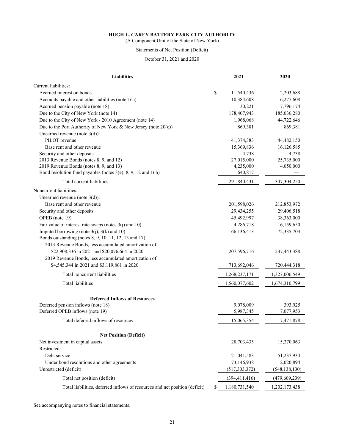(A Component Unit of the State of New York)

# Statements of Net Position (Deficit)

#### October 31, 2021 and 2020

| <b>Liabilities</b>                                                                | 2021            | 2020            |
|-----------------------------------------------------------------------------------|-----------------|-----------------|
| Current liabilities:                                                              |                 |                 |
| Accrued interest on bonds<br>\$                                                   | 11,540,436      | 12,203,688      |
| Accounts payable and other liabilities (note 16a)                                 | 10,384,608      | 6,277,608       |
| Accrued pension payable (note 18)                                                 | 30,221          | 7,796,174       |
| Due to the City of New York (note 14)                                             | 178,407,943     | 185,036,280     |
| Due to the City of New York - 2010 Agreement (note 14)                            | 1,968,068       | 44,722,646      |
| Due to the Port Authority of New York & New Jersey (note $20(c)$ )                | 869,381         | 869,381         |
| Unearned revenue (note $3(d)$ ):                                                  |                 |                 |
| PILOT revenue                                                                     | 41,374,383      | 44,482,150      |
| Base rent and other revenue                                                       | 15,369,836      | 16,126,585      |
| Security and other deposits                                                       | 4,738           | 4,738           |
| 2013 Revenue Bonds (notes 8, 9, and 12)                                           | 27,015,000      | 25,735,000      |
| 2019 Revenue Bonds (notes 8, 9, and 13)                                           | 4,235,000       | 4,050,000       |
| Bond resolution fund payables (notes $3(e)$ , $8$ , $9$ , $12$ and $16b$ )        | 640,817         |                 |
| Total current liabilities                                                         | 291,840,431     | 347,304,250     |
| Noncurrent liabilities:                                                           |                 |                 |
| Unearned revenue (note $3(d)$ ):                                                  |                 |                 |
| Base rent and other revenue                                                       | 201,598,026     | 212,853,972     |
| Security and other deposits                                                       | 29,434,255      | 29,406,518      |
| OPEB (note 19)                                                                    | 45,492,997      | 38,363,000      |
| Fair value of interest rate swaps (notes 3(j) and 10)                             | 4,286,718       | 16,159,650      |
| Imputed borrowing (note $3(j)$ , $3(k)$ and 10)                                   | 66,136,413      | 72,335,703      |
| Bonds outstanding (notes 8, 9, 10, 11, 12, 13 and 17):                            |                 |                 |
| 2013 Revenue Bonds, less accumulated amortization of                              |                 |                 |
| \$22,908,336 in 2021 and \$20,076,664 in 2020                                     | 207,596,716     | 237,443,388     |
| 2019 Revenue Bonds, less accumulated amortization of                              |                 |                 |
| \$4,545,344 in 2021 and \$3,119,861 in 2020                                       | 713,692,046     | 720,444,318     |
| Total noncurrent liabilities                                                      | 1,268,237,171   | 1,327,006,549   |
| <b>Total liabilities</b>                                                          | 1,560,077,602   | 1,674,310,799   |
|                                                                                   |                 |                 |
| <b>Deferred Inflows of Resources</b>                                              |                 |                 |
| Deferred pension inflows (note 18)                                                | 9,078,009       | 393,925         |
| Deferred OPEB inflows (note 19)                                                   | 5,987,345       | 7,077,953       |
| Total deferred inflows of resources                                               | 15,065,354      | 7,471,878       |
| <b>Net Position (Deficit)</b>                                                     |                 |                 |
| Net investment in capital assets                                                  | 28,703,435      | 15,270,063      |
| Restricted:                                                                       |                 |                 |
| Debt service                                                                      | 21,041,583      | 51,237,934      |
| Under bond resolutions and other agreements                                       | 73,146,938      | 2,020,894       |
| Unrestricted (deficit)                                                            | (517, 303, 372) | (548, 138, 130) |
| Total net position (deficit)                                                      | (394, 411, 416) | (479, 609, 239) |
| Total liabilities, deferred inflows of resources and net position (deficit)<br>\$ | 1,180,731,540   | 1,202,173,438   |

See accompanying notes to financial statements.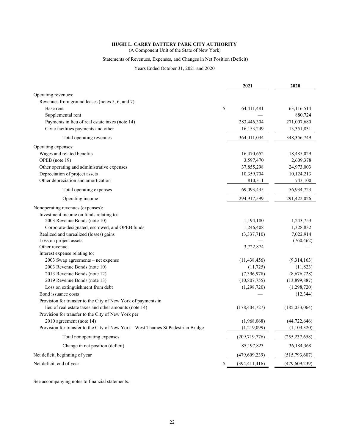(A Component Unit of the State of New York)

# Statements of Revenues, Expenses, and Changes in Net Position (Deficit)

#### Years Ended October 31, 2021 and 2020

|                                                                                   | 2021                  | 2020            |
|-----------------------------------------------------------------------------------|-----------------------|-----------------|
| Operating revenues:                                                               |                       |                 |
| Revenues from ground leases (notes 5, 6, and 7):                                  |                       |                 |
| Base rent                                                                         | \$<br>64,411,481      | 63,116,514      |
| Supplemental rent                                                                 |                       | 880,724         |
| Payments in lieu of real estate taxes (note 14)                                   | 283,446,304           | 271,007,680     |
| Civic facilities payments and other                                               | 16,153,249            | 13,351,831      |
| Total operating revenues                                                          | 364,011,034           | 348, 356, 749   |
| Operating expenses:                                                               |                       |                 |
| Wages and related benefits                                                        | 16,470,652            | 18,485,029      |
| OPEB (note 19)                                                                    | 3,597,470             | 2,609,378       |
| Other operating and administrative expenses                                       | 37,855,298            | 24,973,003      |
| Depreciation of project assets                                                    | 10,359,704            | 10,124,213      |
| Other depreciation and amortization                                               | 810,311               | 743,100         |
| Total operating expenses                                                          | 69,093,435            | 56,934,723      |
| Operating income                                                                  | 294,917,599           | 291,422,026     |
| Nonoperating revenues (expenses):                                                 |                       |                 |
| Investment income on funds relating to:                                           |                       |                 |
| 2003 Revenue Bonds (note 10)                                                      | 1,194,180             | 1,243,753       |
| Corporate-designated, escrowed, and OPEB funds                                    | 1,246,408             | 1,328,832       |
| Realized and unrealized (losses) gains                                            | (3,337,710)           | 7,022,914       |
| Loss on project assets                                                            |                       | (760, 462)      |
| Other revenue                                                                     | 3,722,874             |                 |
| Interest expense relating to:                                                     |                       |                 |
| 2003 Swap agreements – net expense                                                | (11, 438, 456)        | (9,314,163)     |
| 2003 Revenue Bonds (note 10)                                                      | (11, 725)             | (11, 823)       |
| 2013 Revenue Bonds (note 12)                                                      | (7,396,978)           | (8,676,728)     |
| 2019 Revenue Bonds (note 13)                                                      | (10,807,755)          | (13,899,887)    |
| Loss on extinguishment from debt                                                  | (1,298,720)           | (1,298,720)     |
| Bond issuance costs                                                               |                       | (12, 344)       |
| Provision for transfer to the City of New York of payments in                     |                       |                 |
| lieu of real estate taxes and other amounts (note 14)                             | (178, 404, 727)       | (185, 033, 064) |
| Provision for transfer to the City of New York per                                |                       |                 |
| 2010 agreement (note 14)                                                          | (1,968,068)           | (44, 722, 646)  |
| Provision for transfer to the City of New York - West Thames St Pedestrian Bridge | (1,219,099)           | (1,103,320)     |
| Total nonoperating expenses                                                       | (209, 719, 776)       | (255, 237, 658) |
| Change in net position (deficit)                                                  | 85,197,823            | 36,184,368      |
| Net deficit, beginning of year                                                    | (479, 609, 239)       | (515, 793, 607) |
| Net deficit, end of year                                                          | \$<br>(394, 411, 416) | (479, 609, 239) |

See accompanying notes to financial statements.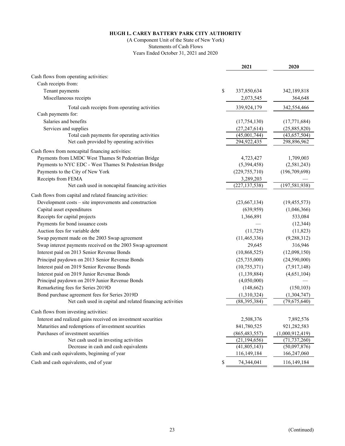# (A Component Unit of the State of New York) Statements of Cash Flows

Years Ended October 31, 2021 and 2020

|                                                               | 2021            | 2020            |
|---------------------------------------------------------------|-----------------|-----------------|
| Cash flows from operating activities:                         |                 |                 |
| Cash receipts from:                                           |                 |                 |
| Tenant payments<br>\$                                         | 337,850,634     | 342,189,818     |
| Miscellaneous receipts                                        | 2,073,545       | 364,648         |
| Total cash receipts from operating activities                 | 339,924,179     | 342,554,466     |
| Cash payments for:                                            |                 |                 |
| Salaries and benefits                                         | (17, 754, 130)  | (17,771,684)    |
| Services and supplies                                         | (27, 247, 614)  | (25,885,820)    |
| Total cash payments for operating activities                  | (45,001,744)    | (43, 657, 504)  |
| Net cash provided by operating activities                     | 294,922,435     | 298,896,962     |
| Cash flows from noncapital financing activities:              |                 |                 |
| Payments from LMDC West Thames St Pedestrian Bridge           | 4,723,427       | 1,709,003       |
| Payments to NYC EDC - West Thames St Pedestrian Bridge        | (5,394,458)     | (2,581,243)     |
| Payments to the City of New York                              | (229, 755, 710) | (196, 709, 698) |
| Receipts from FEMA                                            | 3,289,203       |                 |
| Net cash used in noncapital financing activities              | (227, 137, 538) | (197, 581, 938) |
| Cash flows from capital and related financing activities:     |                 |                 |
| Development costs – site improvements and construction        | (23,667,134)    | (19, 455, 573)  |
| Capital asset expenditures                                    | (639, 959)      | (1,046,366)     |
| Receipts for capital projects                                 | 1,366,891       | 533,084         |
| Payments for bond issuance costs                              |                 | (12, 344)       |
| Auction fees for variable debt                                | (11, 725)       | (11, 823)       |
| Swap payment made on the 2003 Swap agreement                  | (11, 465, 336)  | (9, 288, 312)   |
| Swap interest payments received on the 2003 Swap agreement    | 29,645          | 316,946         |
| Interest paid on 2013 Senior Revenue Bonds                    | (10, 868, 525)  | (12,098,150)    |
| Principal paydown on 2013 Senior Revenue Bonds                | (25,735,000)    | (24,590,000)    |
| Interest paid on 2019 Senior Revenue Bonds                    | (10, 755, 371)  | (7,917,148)     |
| Interest paid on 2019 Junior Revenue Bonds                    | (1, 139, 884)   | (4,651,104)     |
| Principal paydown on 2019 Junior Revenue Bonds                | (4,050,000)     |                 |
| Remarketing fees for Series 2019D                             | (148, 662)      | (150, 103)      |
| Bond purchase agreement fees for Series 2019D                 | (1,310,324)     | (1,304,747)     |
| Net cash used in capital and related financing activities     | (88, 395, 384)  | (79,675,640)    |
| Cash flows from investing activities:                         |                 |                 |
| Interest and realized gains received on investment securities | 2,508,376       | 7,892,576       |
| Maturities and redemptions of investment securities           | 841,780,525     | 921,282,583     |
| Purchases of investment securities                            | (865, 483, 557) | (1,000,912,419) |
| Net cash used in investing activities                         | (21, 194, 656)  | (71, 737, 260)  |
| Decrease in cash and cash equivalents                         | (41,805,143)    | (50,097,876)    |
| Cash and cash equivalents, beginning of year                  | 116,149,184     | 166,247,060     |
| \$<br>Cash and cash equivalents, end of year                  | 74,344,041      | 116,149,184     |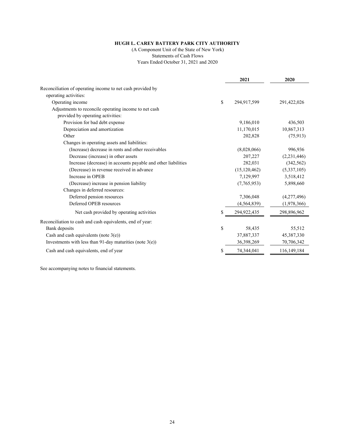(A Component Unit of the State of New York)

Statements of Cash Flows

Years Ended October 31, 2021 and 2020

|                                                               | 2021           | 2020        |
|---------------------------------------------------------------|----------------|-------------|
| Reconciliation of operating income to net cash provided by    |                |             |
| operating activities:                                         |                |             |
| \$<br>Operating income                                        | 294,917,599    | 291,422,026 |
| Adjustments to reconcile operating income to net cash         |                |             |
| provided by operating activities:                             |                |             |
| Provision for bad debt expense                                | 9,186,010      | 436,503     |
| Depreciation and amortization                                 | 11,170,015     | 10,867,313  |
| Other                                                         | 202,828        | (75, 913)   |
| Changes in operating assets and liabilities:                  |                |             |
| (Increase) decrease in rents and other receivables            | (8,028,066)    | 996,936     |
| Decrease (increase) in other assets                           | 207,227        | (2,231,446) |
| Increase (decrease) in accounts payable and other liabilities | 282,031        | (342, 562)  |
| (Decrease) in revenue received in advance                     | (15, 120, 462) | (5,337,105) |
| Increase in OPEB                                              | 7,129,997      | 3,518,412   |
| (Decrease) increase in pension liability                      | (7,765,953)    | 5,898,660   |
| Changes in deferred resources:                                |                |             |
| Deferred pension resources                                    | 7,306,048      | (4,277,496) |
| Deferred OPEB resources                                       | (4, 564, 839)  | (1,978,366) |
| Net cash provided by operating activities<br>S                | 294,922,435    | 298,896,962 |
| Reconciliation to cash and cash equivalents, end of year:     |                |             |
| \$<br>Bank deposits                                           | 58,435         | 55,512      |
| Cash and cash equivalents (note $3(e)$ )                      | 37,887,337     | 45,387,330  |
| Investments with less than 91-day maturities (note $3(e)$ )   | 36,398,269     | 70,706,342  |
| Cash and cash equivalents, end of year<br>\$                  | 74,344,041     | 116,149,184 |

See accompanying notes to financial statements.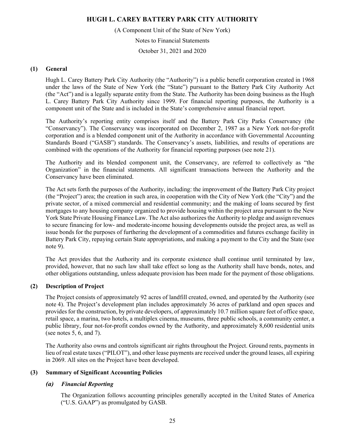(A Component Unit of the State of New York)

Notes to Financial Statements

October 31, 2021 and 2020

#### **(1) General**

Hugh L. Carey Battery Park City Authority (the "Authority") is a public benefit corporation created in 1968 under the laws of the State of New York (the "State") pursuant to the Battery Park City Authority Act (the "Act") and is a legally separate entity from the State. The Authority has been doing business as the Hugh L. Carey Battery Park City Authority since 1999. For financial reporting purposes, the Authority is a component unit of the State and is included in the State's comprehensive annual financial report.

The Authority's reporting entity comprises itself and the Battery Park City Parks Conservancy (the "Conservancy"). The Conservancy was incorporated on December 2, 1987 as a New York not-for-profit corporation and is a blended component unit of the Authority in accordance with Governmental Accounting Standards Board ("GASB") standards. The Conservancy's assets, liabilities, and results of operations are combined with the operations of the Authority for financial reporting purposes (see note 21).

The Authority and its blended component unit, the Conservancy, are referred to collectively as "the Organization" in the financial statements. All significant transactions between the Authority and the Conservancy have been eliminated.

The Act sets forth the purposes of the Authority, including: the improvement of the Battery Park City project (the "Project") area; the creation in such area, in cooperation with the City of New York (the "City") and the private sector, of a mixed commercial and residential community; and the making of loans secured by first mortgages to any housing company organized to provide housing within the project area pursuant to the New York State Private Housing Finance Law. The Act also authorizes the Authority to pledge and assign revenues to secure financing for low- and moderate-income housing developments outside the project area, as well as issue bonds for the purposes of furthering the development of a commodities and futures exchange facility in Battery Park City, repaying certain State appropriations, and making a payment to the City and the State (see note 9).

The Act provides that the Authority and its corporate existence shall continue until terminated by law, provided, however, that no such law shall take effect so long as the Authority shall have bonds, notes, and other obligations outstanding, unless adequate provision has been made for the payment of those obligations.

# **(2) Description of Project**

The Project consists of approximately 92 acres of landfill created, owned, and operated by the Authority (see note 4). The Project's development plan includes approximately 36 acres of parkland and open spaces and provides for the construction, by private developers, of approximately 10.7 million square feet of office space, retail space, a marina, two hotels, a multiplex cinema, museums, three public schools, a community center, a public library, four not-for-profit condos owned by the Authority, and approximately 8,600 residential units (see notes 5, 6, and 7).

The Authority also owns and controls significant air rights throughout the Project. Ground rents, payments in lieu of real estate taxes ("PILOT"), and other lease payments are received under the ground leases, all expiring in 2069. All sites on the Project have been developed.

# **(3) Summary of Significant Accounting Policies**

# *(a) Financial Reporting*

The Organization follows accounting principles generally accepted in the United States of America ("U.S. GAAP") as promulgated by GASB.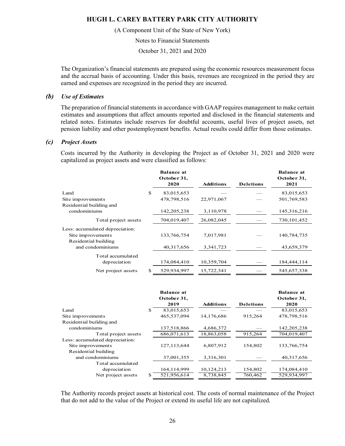(A Component Unit of the State of New York)

Notes to Financial Statements

October 31, 2021 and 2020

The Organization's financial statements are prepared using the economic resources measurement focus and the accrual basis of accounting. Under this basis, revenues are recognized in the period they are earned and expenses are recognized in the period they are incurred.

#### *(b) Use of Estimates*

The preparation of financial statements in accordance with GAAP requires management to make certain estimates and assumptions that affect amounts reported and disclosed in the financial statements and related notes. Estimates include reserves for doubtful accounts, useful lives of project assets, net pension liability and other postemployment benefits. Actual results could differ from those estimates.

#### *(c) Project Assets*

Costs incurred by the Authority in developing the Project as of October 31, 2021 and 2020 were capitalized as project assets and were classified as follows:

|                                          |    | <b>Balance at</b><br>October 31,<br>2020 | <b>Additions</b> | <b>Deletions</b> | <b>Balance</b> at<br>October 31,<br>2021 |
|------------------------------------------|----|------------------------------------------|------------------|------------------|------------------------------------------|
| Land                                     | S  | 83,015,653                               |                  |                  | 83,015,653                               |
| Site improvements                        |    | 478,798,516                              | 22,971,067       |                  | 501,769,583                              |
| Residential building and<br>condominiums |    | 142, 205, 238                            | 3,110,978        |                  | 145,316,216                              |
| Total project assets                     |    | 704,019,407                              | 26,082,045       |                  | 730, 101, 452                            |
| Less: accumulated depreciation:          |    |                                          |                  |                  |                                          |
| Site improvements                        |    | 133,766,754                              | 7,017,981        |                  | 140,784,735                              |
| Residential building<br>and condominiums |    | 40,317,656                               | 3,341,723        |                  | 43,659,379                               |
| Total accumulated                        |    |                                          |                  |                  |                                          |
| depreciation                             |    | 174,084,410                              | 10,359,704       |                  | 184,444,114                              |
| Net project assets                       | \$ | 529,934,997                              | 15,722,341       |                  | 545,657,338                              |

|                                 | <b>Balance at</b><br>October 31, |                  |                  | <b>Balance at</b><br>October 31, |
|---------------------------------|----------------------------------|------------------|------------------|----------------------------------|
|                                 | 2019                             | <b>Additions</b> | <b>Deletions</b> | 2020                             |
| Land                            | \$<br>83,015,653                 |                  |                  | 83,015,653                       |
| Site improvements               | 465,537,094                      | 14,176,686       | 915,264          | 478,798,516                      |
| Residential building and        |                                  |                  |                  |                                  |
| condominiums                    | 137,518,866                      | 4,686,372        |                  | 142, 205, 238                    |
| Total project assets            | 686,071,613                      | 18,863,058       | 915,264          | 704,019,407                      |
| Less: accumulated depreciation: |                                  |                  |                  |                                  |
| Site improvements               | 127, 113, 644                    | 6,807,912        | 154,802          | 133,766,754                      |
| Residential building            |                                  |                  |                  |                                  |
| and condominiums                | 37,001,355                       | 3,316,301        |                  | 40,317,656                       |
| Total accumulated               |                                  |                  |                  |                                  |
| depreciation                    | 164, 114, 999                    | 10,124,213       | 154,802          | 174,084,410                      |
| Net project assets              | \$<br>521,956,614                | 8,738,845        | 760,462          | 529,934,997                      |

The Authority records project assets at historical cost. The costs of normal maintenance of the Project that do not add to the value of the Project or extend its useful life are not capitalized.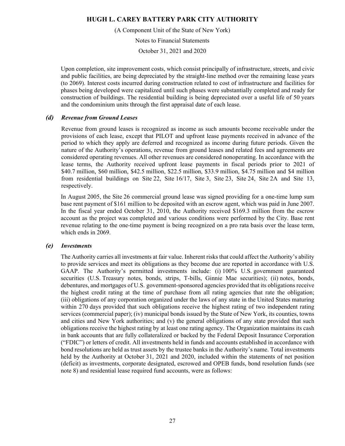(A Component Unit of the State of New York)

Notes to Financial Statements

October 31, 2021 and 2020

Upon completion, site improvement costs, which consist principally of infrastructure, streets, and civic and public facilities, are being depreciated by the straight-line method over the remaining lease years (to 2069). Interest costs incurred during construction related to cost of infrastructure and facilities for phases being developed were capitalized until such phases were substantially completed and ready for construction of buildings. The residential building is being depreciated over a useful life of 50 years and the condominium units through the first appraisal date of each lease.

#### *(d) Revenue from Ground Leases*

Revenue from ground leases is recognized as income as such amounts become receivable under the provisions of each lease, except that PILOT and upfront lease payments received in advance of the period to which they apply are deferred and recognized as income during future periods. Given the nature of the Authority's operations, revenue from ground leases and related fees and agreements are considered operating revenues. All other revenues are considered nonoperating. In accordance with the lease terms, the Authority received upfront lease payments in fiscal periods prior to 2021 of \$40.7 million, \$60 million, \$42.5 million, \$22.5 million, \$33.9 million, \$4.75 million and \$4 million from residential buildings on Site 22, Site 16/17, Site 3, Site 23, Site 24, Site 2A and Site 13, respectively.

In August 2005, the Site 26 commercial ground lease was signed providing for a one-time lump sum base rent payment of \$161 million to be deposited with an escrow agent, which was paid in June 2007. In the fiscal year ended October 31, 2010, the Authority received \$169.3 million from the escrow account as the project was completed and various conditions were performed by the City. Base rent revenue relating to the one-time payment is being recognized on a pro rata basis over the lease term, which ends in 2069.

# *(e) Investments*

The Authority carries all investments at fair value. Inherent risks that could affect the Authority's ability to provide services and meet its obligations as they become due are reported in accordance with U.S. GAAP. The Authority's permitted investments include: (i) 100% U.S. government guaranteed securities (U.S. Treasury notes, bonds, strips, T-bills, Ginnie Mae securities); (ii) notes, bonds, debentures, and mortgages of U.S. government-sponsored agencies provided that its obligations receive the highest credit rating at the time of purchase from all rating agencies that rate the obligation; (iii) obligations of any corporation organized under the laws of any state in the United States maturing within 270 days provided that such obligations receive the highest rating of two independent rating services (commercial paper); (iv) municipal bonds issued by the State of New York, its counties, towns and cities and New York authorities; and (v) the general obligations of any state provided that such obligations receive the highest rating by at least one rating agency. The Organization maintains its cash in bank accounts that are fully collateralized or backed by the Federal Deposit Insurance Corporation ("FDIC") or letters of credit. All investments held in funds and accounts established in accordance with bond resolutions are held as trust assets by the trustee banks in the Authority's name. Total investments held by the Authority at October 31, 2021 and 2020, included within the statements of net position (deficit) as investments, corporate designated, escrowed and OPEB funds, bond resolution funds (see note 8) and residential lease required fund accounts, were as follows: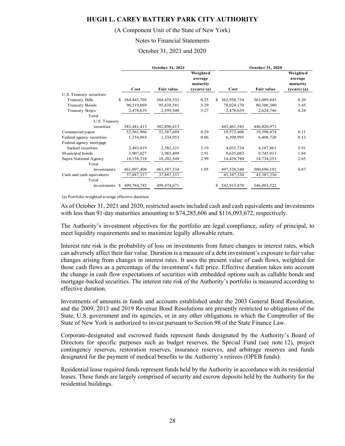#### (A Component Unit of the State of New York)

#### Notes to Financial Statements

#### October 31, 2021 and 2020

|                            |             | October 31, 2021  |                                                  |                   | October 31, 2020  |                                                    |
|----------------------------|-------------|-------------------|--------------------------------------------------|-------------------|-------------------|----------------------------------------------------|
|                            | Cost        | <b>Fair value</b> | Weighted<br>average<br>maturity<br>$(years)$ (a) | Cost              | <b>Fair value</b> | Weighted<br>average<br>maturity<br>$(years)$ $(a)$ |
| U.S. Treasury securities:  |             |                   |                                                  |                   |                   |                                                    |
| <b>Treasury Bills</b><br>S | 284,443,705 | 284,458,532       | 0.25                                             | 362,958,734<br>S  | 363,089,845       | 0.20                                               |
| <b>Treasury Bonds</b>      | 96,519,069  | 95,838,581        | 3.29                                             | 78,024,170        | 80,306,380        | 3.45                                               |
| Treasury Strips            | 2,478,639   | 2,599,300         | 3.27                                             | 2,478,639         | 2,624,746         | 4.24                                               |
| Total                      |             |                   |                                                  |                   |                   |                                                    |
| U.S. Treasury              |             |                   |                                                  |                   |                   |                                                    |
| securities                 | 383,441,413 | 382,896,413       |                                                  | 443,461,543       | 446,020,971       |                                                    |
| Commercial paper           | 52,561,966  | 52,587,689        | 0.29                                             | 19,572,406        | 19,598,474        | 0.11                                               |
| Federal agency securities  | 1,334,865   | 1,334,953         | 0.06                                             | 6,398,995         | 6,408,720         | 0.13                                               |
| Federal agency mortgage    |             |                   |                                                  |                   |                   |                                                    |
| backed securities          | 2,493,819   | 2,582,321         | 3.19                                             | 4,031,734         | 4,187,861         | 2.91                                               |
| Municipal bonds            | 3,907,027   | 3,983,409         | 2.91                                             | 9,635,082         | 9,745,913         | 1.84                                               |
| Supra National Agency      | 18,158,318  | 18,202,549        | 2.99                                             | 14,428,780        | 14,734,253        | 2.65                                               |
| Total                      |             |                   |                                                  |                   |                   |                                                    |
| investments                | 461,897,408 | 461, 587, 334     | 1.05                                             | 497,528,540       | 500,696,192       | 0.87                                               |
| Cash and cash equivalents  | 37,887,337  | 37,887,337        |                                                  | 45,387,330        | 45,387,330        |                                                    |
| Total                      |             |                   |                                                  |                   |                   |                                                    |
| S<br>investments           | 499,784,745 | 499,474,671       |                                                  | 542,915,870<br>\$ | 546,083,522       |                                                    |

(a) Portfolio weighted average effective duration

As of October 31, 2021 and 2020, restricted assets included cash and cash equivalents and investments with less than 91-day maturities amounting to \$74,285,606 and \$116,093,672, respectively.

The Authority's investment objectives for the portfolio are legal compliance, safety of principal, to meet liquidity requirements and to maximize legally allowable return.

Interest rate risk is the probability of loss on investments from future changes in interest rates, which can adversely affect their fair value. Duration is a measure of a debt investment's exposure to fair value changes arising from changes in interest rates. It uses the present value of cash flows, weighted for those cash flows as a percentage of the investment's full price. Effective duration takes into account the change in cash flow expectations of securities with embedded options such as callable bonds and mortgage-backed securities. The interest rate risk of the Authority's portfolio is measured according to effective duration.

Investments of amounts in funds and accounts established under the 2003 General Bond Resolution, and the 2009, 2013 and 2019 Revenue Bond Resolutions are presently restricted to obligations of the State, U.S. government and its agencies, or in any other obligations in which the Comptroller of the State of New York is authorized to invest pursuant to Section 98 of the State Finance Law.

Corporate-designated and escrowed funds represent funds designated by the Authority's Board of Directors for specific purposes such as budget reserves, the Special Fund (see note 12), project contingency reserves, restoration reserves, insurance reserves, and arbitrage reserves and funds designated for the payment of medical benefits to the Authority's retirees (OPEB funds).

Residential lease required funds represent funds held by the Authority in accordance with its residential leases. These funds are largely comprised of security and escrow deposits held by the Authority for the residential buildings.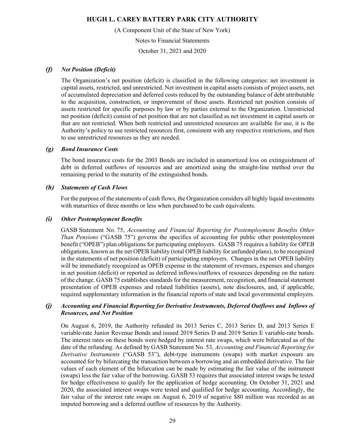(A Component Unit of the State of New York)

Notes to Financial Statements

October 31, 2021 and 2020

#### *(f) Net Position (Deficit)*

The Organization's net position (deficit) is classified in the following categories: net investment in capital assets, restricted, and unrestricted. Net investment in capital assets consists of project assets, net of accumulated depreciation and deferred costs reduced by the outstanding balance of debt attributable to the acquisition, construction, or improvement of those assets. Restricted net position consists of assets restricted for specific purposes by law or by parties external to the Organization. Unrestricted net position (deficit) consist of net position that are not classified as net investment in capital assets or that are not restricted. When both restricted and unrestricted resources are available for use, it is the Authority's policy to use restricted resources first, consistent with any respective restrictions, and then to use unrestricted resources as they are needed.

#### *(g) Bond Insurance Costs*

The bond insurance costs for the 2003 Bonds are included in unamortized loss on extinguishment of debt in deferred outflows of resources and are amortized using the straight-line method over the remaining period to the maturity of the extinguished bonds.

#### *(h) Statements of Cash Flows*

For the purpose of the statements of cash flows, the Organization considers all highly liquid investments with maturities of three months or less when purchased to be cash equivalents.

#### *(i) Other Postemployment Benefits*

GASB Statement No. 75, *Accounting and Financial Reporting for Postemployment Benefits Other Than Pensions* ("GASB 75") governs the specifics of accounting for public other postemployment benefit ("OPEB") plan obligations for participating employers. GASB 75 requires a liability for OPEB obligations, known as the net OPEB liability (total OPEB liability for unfunded plans), to be recognized in the statements of net position (deficit) of participating employers. Changes in the net OPEB liability will be immediately recognized as OPEB expense in the statement of revenues, expenses and changes in net position (deficit) or reported as deferred inflows/outflows of resources depending on the nature of the change. GASB 75 establishes standards for the measurement, recognition, and financial statement presentation of OPEB expenses and related liabilities (assets), note disclosures, and, if applicable, required supplementary information in the financial reports of state and local governmental employers.

# *(j) Accounting and Financial Reporting for Derivative Instruments, Deferred Outflows and Inflows of Resources, and Net Position*

On August 6, 2019, the Authority refunded its 2013 Series C, 2013 Series D, and 2013 Series E variable-rate Junior Revenue Bonds and issued 2019 Series D and 2019 Series E variable-rate bonds. The interest rates on these bonds were hedged by interest rate swaps, which were bifurcated as of the date of the refunding. As defined by GASB Statement No. 53, *Accounting and Financial Reporting for Derivative Instruments* ("GASB 53"), debt-type instruments (swaps) with market exposure are accounted for by bifurcating the transaction between a borrowing and an embedded derivative. The fair values of each element of the bifurcation can be made by estimating the fair value of the instrument (swaps) less the fair value of the borrowing. GASB 53 requires that associated interest swaps be tested for hedge effectiveness to qualify for the application of hedge accounting. On October 31, 2021 and 2020, the associated interest swaps were tested and qualified for hedge accounting. Accordingly, the fair value of the interest rate swaps on August 6, 2019 of negative \$80 million was recorded as an imputed borrowing and a deferred outflow of resources by the Authority.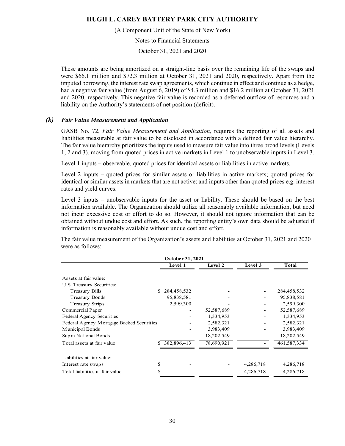(A Component Unit of the State of New York)

Notes to Financial Statements

October 31, 2021 and 2020

These amounts are being amortized on a straight-line basis over the remaining life of the swaps and were \$66.1 million and \$72.3 million at October 31, 2021 and 2020, respectively. Apart from the imputed borrowing, the interest rate swap agreements, which continue in effect and continue as a hedge, had a negative fair value (from August 6, 2019) of \$4.3 million and \$16.2 million at October 31, 2021 and 2020, respectively. This negative fair value is recorded as a deferred outflow of resources and a liability on the Authority's statements of net position (deficit).

#### *(k) Fair Value Measurement and Application*

GASB No. 72, *Fair Value Measurement and Application,* requires the reporting of all assets and liabilities measurable at fair value to be disclosed in accordance with a defined fair value hierarchy. The fair value hierarchy prioritizes the inputs used to measure fair value into three broad levels (Levels 1, 2 and 3), moving from quoted prices in active markets in Level 1 to unobservable inputs in Level 3.

Level 1 inputs – observable, quoted prices for identical assets or liabilities in active markets.

Level 2 inputs – quoted prices for similar assets or liabilities in active markets; quoted prices for identical or similar assets in markets that are not active; and inputs other than quoted prices e.g. interest rates and yield curves.

Level 3 inputs – unobservable inputs for the asset or liability. These should be based on the best information available. The Organization should utilize all reasonably available information, but need not incur excessive cost or effort to do so. However, it should not ignore information that can be obtained without undue cost and effort. As such, the reporting entity's own data should be adjusted if information is reasonably available without undue cost and effort.

The fair value measurement of the Organization's assets and liabilities at October 31, 2021 and 2020 were as follows:

|                                                    | October 31, 2021 |            |           |              |
|----------------------------------------------------|------------------|------------|-----------|--------------|
|                                                    | Level 1          | Level 2    | Level 3   | <b>Total</b> |
| Assets at fair value:<br>U.S. Treasury Securities: |                  |            |           |              |
| <b>Treasury Bills</b><br>S.                        | 284,458,532      |            |           | 284,458,532  |
| <b>Treasury Bonds</b>                              | 95,838,581       |            |           | 95,838,581   |
| Treasury Strips                                    | 2,599,300        |            |           | 2,599,300    |
| Commercial Paper                                   |                  | 52,587,689 |           | 52,587,689   |
| Federal Agency Securities                          |                  | 1,334,953  |           | 1,334,953    |
| Federal Agency Mortgage Backed Securities          |                  | 2,582,321  |           | 2,582,321    |
| Municipal Bonds                                    |                  | 3,983,409  |           | 3,983,409    |
| Supra National Bonds                               |                  | 18,202,549 |           | 18,202,549   |
| Total assets at fair value<br>S.                   | 382,896,413      | 78,690,921 |           | 461,587,334  |
| Liabilities at fair value:                         |                  |            |           |              |
| \$<br>Interest rate swaps                          |                  |            | 4,286,718 | 4,286,718    |
| Total liabilities at fair value<br>\$              |                  |            | 4,286,718 | 4,286,718    |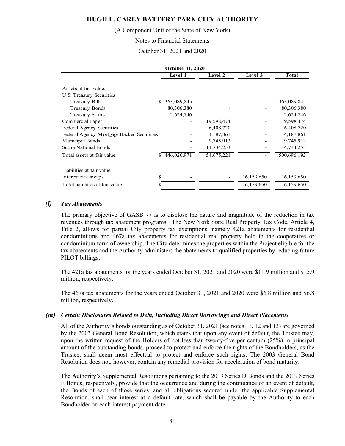(A Component Unit of the State of New York)

Notes to Financial Statements

October 31, 2021 and 2020

|                                           | October 31, 2020 |            |            |             |
|-------------------------------------------|------------------|------------|------------|-------------|
|                                           | Level 1          | Level 2    | Level 3    | Total       |
| Assets at fair value:                     |                  |            |            |             |
| U.S. Treasury Securities:                 |                  |            |            |             |
| <b>Treasury Bills</b>                     | 363,089,845<br>S |            |            | 363,089,845 |
| <b>Treasury Bonds</b>                     | 80,306,380       |            |            | 80,306,380  |
| Treasury Strips                           | 2,624,746        |            |            | 2,624,746   |
| Commercial Paper                          |                  | 19,598,474 |            | 19,598,474  |
| <b>Federal Agency Securities</b>          |                  | 6,408,720  |            | 6,408,720   |
| Federal Agency Mortgage Backed Securities |                  | 4,187,861  |            | 4,187,861   |
| Municipal Bonds                           |                  | 9,745,913  |            | 9,745,913   |
| Supra National Bonds                      |                  | 14,734,253 |            | 14,734,253  |
| Total assets at fair value                | 446,020,971      | 54,675,221 |            | 500,696,192 |
| Liabilities at fair value:                |                  |            |            |             |
| Interest rate swaps                       | \$               |            | 16,159,650 | 16,159,650  |
|                                           |                  |            |            |             |
| Total liabilities at fair value           | S                |            | 16,159,650 | 16,159,650  |

#### *(l) Tax Abatements*

The primary objective of GASB 77 is to disclose the nature and magnitude of the reduction in tax revenues through tax abatement programs. The New York State Real Property Tax Code, Article 4, Title 2, allows for partial City property tax exemptions, namely 421a abatements for residential condominiums and 467a tax abatements for residential real property held in the cooperative or condominium form of ownership. The City determines the properties within the Project eligible for the tax abatements and the Authority administers the abatements to qualified properties by reducing future PILOT billings.

The 421a tax abatements for the years ended October 31, 2021 and 2020 were \$11.9 million and \$15.9 million, respectively.

The 467a tax abatements for the years ended October 31, 2021 and 2020 were \$6.8 million and \$6.8 million, respectively.

#### *(m) Certain Disclosures Related to Debt, Including Direct Borrowings and Direct Placements*

All of the Authority's bonds outstanding as of October 31, 2021 (see notes 11, 12 and 13) are governed by the 2003 General Bond Resolution, which states that upon any event of default, the Trustee may, upon the written request of the Holders of not less than twenty-five per centum (25%) in principal amount of the outstanding bonds, proceed to protect and enforce the rights of the Bondholders, as the Trustee, shall deem most effectual to protect and enforce such rights. The 2003 General Bond Resolution does not, however, contain any remedial provision for acceleration of bond maturity.

The Authority's Supplemental Resolutions pertaining to the 2019 Series D Bonds and the 2019 Series E Bonds, respectively, provide that the occurrence and during the continuance of an event of default, the Bonds of each of those series, and all obligations secured under the applicable Supplemental Resolution, shall bear interest at a default rate, which shall be payable by the Authority to each Bondholder on each interest payment date.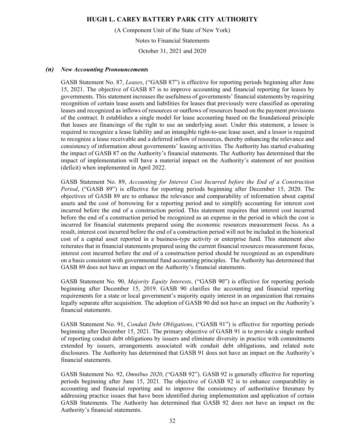(A Component Unit of the State of New York)

Notes to Financial Statements

October 31, 2021 and 2020

#### *(n) New Accounting Pronouncements*

GASB Statement No. 87, *Leases*, ("GASB 87") is effective for reporting periods beginning after June 15, 2021. The objective of GASB 87 is to improve accounting and financial reporting for leases by governments. This statement increases the usefulness of governments' financial statements by requiring recognition of certain lease assets and liabilities for leases that previously were classified as operating leases and recognized as inflows of resources or outflows of resources based on the payment provisions of the contract. It establishes a single model for lease accounting based on the foundational principle that leases are financings of the right to use an underlying asset. Under this statement, a lessee is required to recognize a lease liability and an intangible right-to-use lease asset, and a lessor is required to recognize a lease receivable and a deferred inflow of resources, thereby enhancing the relevance and consistency of information about governments' leasing activities. The Authority has started evaluating the impact of GASB 87 on the Authority's financial statements. The Authority has determined that the impact of implementation will have a material impact on the Authority's statement of net position (deficit) when implemented in April 2022.

GASB Statement No. 89, *Accounting for Interest Cost Incurred before the End of a Construction Period*, ("GASB 89") is effective for reporting periods beginning after December 15, 2020. The objectives of GASB 89 are to enhance the relevance and comparability of information about capital assets and the cost of borrowing for a reporting period and to simplify accounting for interest cost incurred before the end of a construction period. This statement requires that interest cost incurred before the end of a construction period be recognized as an expense in the period in which the cost is incurred for financial statements prepared using the economic resources measurement focus. As a result, interest cost incurred before the end of a construction period will not be included in the historical cost of a capital asset reported in a business-type activity or enterprise fund. This statement also reiterates that in financial statements prepared using the current financial resources measurement focus, interest cost incurred before the end of a construction period should be recognized as an expenditure on a basis consistent with governmental fund accounting principles. The Authority has determined that GASB 89 does not have an impact on the Authority's financial statements.

GASB Statement No. 90, *Majority Equity Interests*, ("GASB 90") is effective for reporting periods beginning after December 15, 2019. GASB 90 clarifies the accounting and financial reporting requirements for a state or local government's majority equity interest in an organization that remains legally separate after acquisition. The adoption of GASB 90 did not have an impact on the Authority's financial statements.

GASB Statement No. 91, *Conduit Debt Obligations*, ("GASB 91") is effective for reporting periods beginning after December 15, 2021. The primary objective of GASB 91 is to provide a single method of reporting conduit debt obligations by issuers and eliminate diversity in practice with commitments extended by issuers, arrangements associated with conduit debt obligations, and related note disclosures. The Authority has determined that GASB 91 does not have an impact on the Authority's financial statements.

GASB Statement No. 92, *Omnibus 2020*, ("GASB 92"). GASB 92 is generally effective for reporting periods beginning after June 15, 2021. The objective of GASB 92 is to enhance comparability in accounting and financial reporting and to improve the consistency of authoritative literature by addressing practice issues that have been identified during implementation and application of certain GASB Statements. The Authority has determined that GASB 92 does not have an impact on the Authority's financial statements.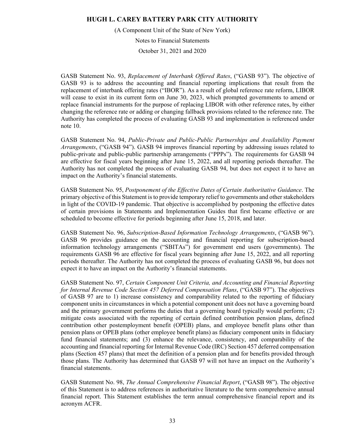(A Component Unit of the State of New York)

Notes to Financial Statements

October 31, 2021 and 2020

GASB Statement No. 93, *Replacement of Interbank Offered Rates*, ("GASB 93"). The objective of GASB 93 is to address the accounting and financial reporting implications that result from the replacement of interbank offering rates ("IBOR"). As a result of global reference rate reform, LIBOR will cease to exist in its current form on June 30, 2023, which prompted governments to amend or replace financial instruments for the purpose of replacing LIBOR with other reference rates, by either changing the reference rate or adding or changing fallback provisions related to the reference rate. The Authority has completed the process of evaluating GASB 93 and implementation is referenced under note 10.

GASB Statement No. 94, *Public-Private and Public-Public Partnerships and Availability Payment Arrangements*, ("GASB 94"). GASB 94 improves financial reporting by addressing issues related to public-private and public-public partnership arrangements ("PPPs"). The requirements for GASB 94 are effective for fiscal years beginning after June 15, 2022, and all reporting periods thereafter. The Authority has not completed the process of evaluating GASB 94, but does not expect it to have an impact on the Authority's financial statements.

GASB Statement No. 95, *Postponement of the Effective Dates of Certain Authoritative Guidance*. The primary objective of this Statement is to provide temporary relief to governments and other stakeholders in light of the COVID-19 pandemic. That objective is accomplished by postponing the effective dates of certain provisions in Statements and Implementation Guides that first became effective or are scheduled to become effective for periods beginning after June 15, 2018, and later.

GASB Statement No. 96, *Subscription-Based Information Technology Arrangements*, ("GASB 96"). GASB 96 provides guidance on the accounting and financial reporting for subscription-based information technology arrangements ("SBITAs") for government end users (governments). The requirements GASB 96 are effective for fiscal years beginning after June 15, 2022, and all reporting periods thereafter. The Authority has not completed the process of evaluating GASB 96, but does not expect it to have an impact on the Authority's financial statements.

GASB Statement No. 97, *Certain Component Unit Criteria, and Accounting and Financial Reporting for Internal Revenue Code Section 457 Deferred Compensation Plans*, ("GASB 97"). The objectives of GASB 97 are to 1) increase consistency and comparability related to the reporting of fiduciary component units in circumstances in which a potential component unit does not have a governing board and the primary government performs the duties that a governing board typically would perform; (2) mitigate costs associated with the reporting of certain defined contribution pension plans, defined contribution other postemployment benefit (OPEB) plans, and employee benefit plans other than pension plans or OPEB plans (other employee benefit plans) as fiduciary component units in fiduciary fund financial statements; and (3) enhance the relevance, consistency, and comparability of the accounting and financial reporting for Internal Revenue Code (IRC) Section 457 deferred compensation plans (Section 457 plans) that meet the definition of a pension plan and for benefits provided through those plans. The Authority has determined that GASB 97 will not have an impact on the Authority's financial statements.

GASB Statement No. 98, *The Annual Comprehensive Financial Report*, ("GASB 98"). The objective of this Statement is to address references in authoritative literature to the term comprehensive annual financial report. This Statement establishes the term annual comprehensive financial report and its acronym ACFR.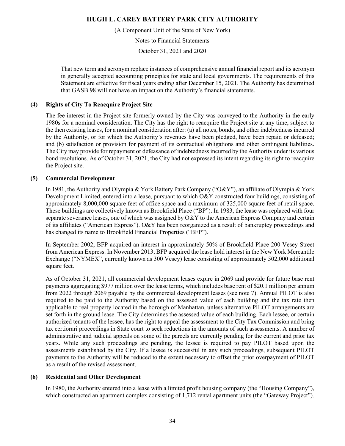(A Component Unit of the State of New York)

Notes to Financial Statements

October 31, 2021 and 2020

That new term and acronym replace instances of comprehensive annual financial report and its acronym in generally accepted accounting principles for state and local governments. The requirements of this Statement are effective for fiscal years ending after December 15, 2021. The Authority has determined that GASB 98 will not have an impact on the Authority's financial statements.

# **(4) Rights of City To Reacquire Project Site**

The fee interest in the Project site formerly owned by the City was conveyed to the Authority in the early 1980s for a nominal consideration. The City has the right to reacquire the Project site at any time, subject to the then existing leases, for a nominal consideration after: (a) all notes, bonds, and other indebtedness incurred by the Authority, or for which the Authority's revenues have been pledged, have been repaid or defeased; and (b) satisfaction or provision for payment of its contractual obligations and other contingent liabilities. The City may provide for repayment or defeasance of indebtedness incurred by the Authority under its various bond resolutions. As of October 31, 2021, the City had not expressed its intent regarding its right to reacquire the Project site.

# **(5) Commercial Development**

In 1981, the Authority and Olympia & York Battery Park Company ("O&Y"), an affiliate of Olympia & York Development Limited, entered into a lease, pursuant to which O&Y constructed four buildings, consisting of approximately 8,000,000 square feet of office space and a maximum of 325,000 square feet of retail space. These buildings are collectively known as Brookfield Place ("BP"). In 1983, the lease was replaced with four separate severance leases, one of which was assigned by  $O\&Y$  to the American Express Company and certain of its affiliates ("American Express"). O&Y has been reorganized as a result of bankruptcy proceedings and has changed its name to Brookfield Financial Properties ("BFP").

In September 2002, BFP acquired an interest in approximately 50% of Brookfield Place 200 Vesey Street from American Express. In November 2013, BFP acquired the lease hold interest in the New York Mercantile Exchange ("NYMEX", currently known as 300 Vesey) lease consisting of approximately 502,000 additional square feet.

As of October 31, 2021, all commercial development leases expire in 2069 and provide for future base rent payments aggregating \$977 million over the lease terms, which includes base rent of \$20.1 million per annum from 2022 through 2069 payable by the commercial development leases (see note 7). Annual PILOT is also required to be paid to the Authority based on the assessed value of each building and the tax rate then applicable to real property located in the borough of Manhattan, unless alternative PILOT arrangements are set forth in the ground lease. The City determines the assessed value of each building. Each lessee, or certain authorized tenants of the lessee, has the right to appeal the assessment to the City Tax Commission and bring tax certiorari proceedings in State court to seek reductions in the amounts of such assessments. A number of administrative and judicial appeals on some of the parcels are currently pending for the current and prior tax years. While any such proceedings are pending, the lessee is required to pay PILOT based upon the assessments established by the City. If a lessee is successful in any such proceedings, subsequent PILOT payments to the Authority will be reduced to the extent necessary to offset the prior overpayment of PILOT as a result of the revised assessment.

# **(6) Residential and Other Development**

In 1980, the Authority entered into a lease with a limited profit housing company (the "Housing Company"), which constructed an apartment complex consisting of 1,712 rental apartment units (the "Gateway Project").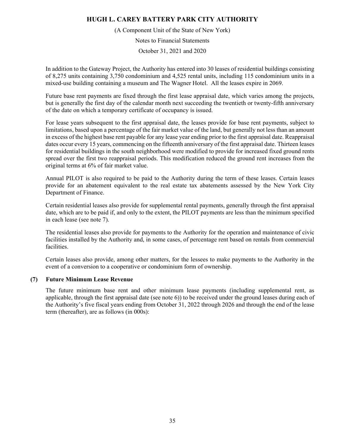(A Component Unit of the State of New York)

Notes to Financial Statements

October 31, 2021 and 2020

In addition to the Gateway Project, the Authority has entered into 30 leases of residential buildings consisting of 8,275 units containing 3,750 condominium and 4,525 rental units, including 115 condominium units in a mixed-use building containing a museum and The Wagner Hotel. All the leases expire in 2069.

Future base rent payments are fixed through the first lease appraisal date, which varies among the projects, but is generally the first day of the calendar month next succeeding the twentieth or twenty-fifth anniversary of the date on which a temporary certificate of occupancy is issued.

For lease years subsequent to the first appraisal date, the leases provide for base rent payments, subject to limitations, based upon a percentage of the fair market value of the land, but generally not less than an amount in excess of the highest base rent payable for any lease year ending prior to the first appraisal date. Reappraisal dates occur every 15 years, commencing on the fifteenth anniversary of the first appraisal date. Thirteen leases for residential buildings in the south neighborhood were modified to provide for increased fixed ground rents spread over the first two reappraisal periods. This modification reduced the ground rent increases from the original terms at 6% of fair market value.

Annual PILOT is also required to be paid to the Authority during the term of these leases. Certain leases provide for an abatement equivalent to the real estate tax abatements assessed by the New York City Department of Finance.

Certain residential leases also provide for supplemental rental payments, generally through the first appraisal date, which are to be paid if, and only to the extent, the PILOT payments are less than the minimum specified in each lease (see note 7).

The residential leases also provide for payments to the Authority for the operation and maintenance of civic facilities installed by the Authority and, in some cases, of percentage rent based on rentals from commercial facilities.

Certain leases also provide, among other matters, for the lessees to make payments to the Authority in the event of a conversion to a cooperative or condominium form of ownership.

## **(7) Future Minimum Lease Revenue**

The future minimum base rent and other minimum lease payments (including supplemental rent, as applicable, through the first appraisal date (see note 6)) to be received under the ground leases during each of the Authority's five fiscal years ending from October 31, 2022 through 2026 and through the end of the lease term (thereafter), are as follows (in 000s):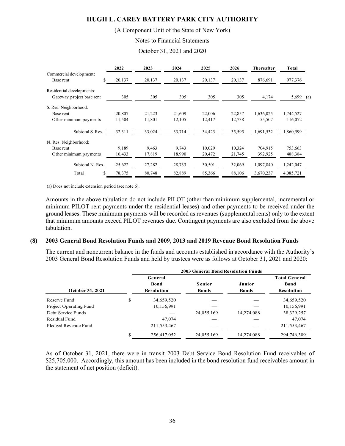## (A Component Unit of the State of New York)

Notes to Financial Statements

October 31, 2021 and 2020

|                           | 2022         | 2023   | 2024   | 2025   | 2026   | Thereafter | <b>Total</b> |     |
|---------------------------|--------------|--------|--------|--------|--------|------------|--------------|-----|
| Commercial development:   |              |        |        |        |        |            |              |     |
| Base rent                 | \$<br>20,137 | 20,137 | 20,137 | 20,137 | 20,137 | 876,691    | 977,376      |     |
| Residential developments: |              |        |        |        |        |            |              |     |
| Gateway project base rent | 305          | 305    | 305    | 305    | 305    | 4,174      | 5,699        | (a) |
| S. Res. Neighborhood:     |              |        |        |        |        |            |              |     |
| Base rent                 | 20,807       | 21,223 | 21,609 | 22,006 | 22,857 | 1,636,025  | 1,744,527    |     |
| Other minimum payments    | 11,504       | 11,801 | 12,105 | 12,417 | 12,738 | 55,507     | 116,072      |     |
| Subtotal S. Res.          | 32,311       | 33,024 | 33,714 | 34,423 | 35,595 | 1,691,532  | 1,860,599    |     |
| N. Res. Neighborhood:     |              |        |        |        |        |            |              |     |
| Base rent                 | 9.189        | 9.463  | 9.743  | 10,029 | 10,324 | 704,915    | 753,663      |     |
| Other minimum payments    | 16,433       | 17,819 | 18,990 | 20,472 | 21,745 | 392,925    | 488,384      |     |
| Subtotal N. Res.          | 25,622       | 27,282 | 28,733 | 30,501 | 32,069 | 1,097,840  | 1,242,047    |     |
| Total                     | \$<br>78,375 | 80,748 | 82,889 | 85,366 | 88,106 | 3,670,237  | 4,085,721    |     |

(a) Does not include extension period (see note 6).

Amounts in the above tabulation do not include PILOT (other than minimum supplemental, incremental or minimum PILOT rent payments under the residential leases) and other payments to be received under the ground leases. These minimum payments will be recorded as revenues (supplemental rents) only to the extent that minimum amounts exceed PILOT revenues due. Contingent payments are also excluded from the above tabulation.

#### **(8) 2003 General Bond Resolution Funds and 2009, 2013 and 2019 Revenue Bond Resolution Funds**

The current and noncurrent balance in the funds and accounts established in accordance with the Authority's 2003 General Bond Resolution Funds and held by trustees were as follows at October 31, 2021 and 2020:

| <b>2003 General Bond Resolution Funds</b> |                   |              |              |                      |  |  |  |
|-------------------------------------------|-------------------|--------------|--------------|----------------------|--|--|--|
|                                           | General           |              |              | <b>Total General</b> |  |  |  |
|                                           | <b>Bond</b>       | Senior       | Junior       | <b>Bond</b>          |  |  |  |
|                                           | <b>Resolution</b> | <b>Bonds</b> | <b>Bonds</b> | Resolution           |  |  |  |
| \$                                        | 34,659,520        |              |              | 34,659,520           |  |  |  |
|                                           | 10,156,991        |              |              | 10,156,991           |  |  |  |
|                                           |                   | 24,055,169   | 14,274,088   | 38,329,257           |  |  |  |
|                                           | 47,074            |              |              | 47,074               |  |  |  |
|                                           | 211,553,467       |              |              | 211,553,467          |  |  |  |
|                                           | 256,417,052       | 24,055,169   | 14,274,088   | 294,746,309          |  |  |  |
|                                           |                   |              |              |                      |  |  |  |

As of October 31, 2021, there were in transit 2003 Debt Service Bond Resolution Fund receivables of \$25,705,000. Accordingly, this amount has been included in the bond resolution fund receivables amount in the statement of net position (deficit).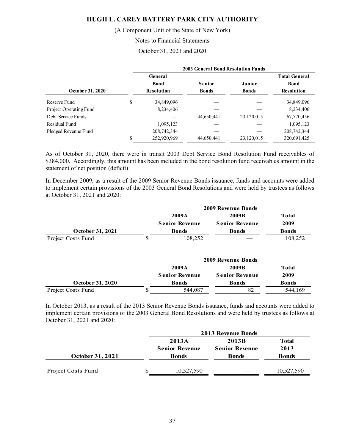(A Component Unit of the State of New York)

Notes to Financial Statements

October 31, 2021 and 2020

|                        | <b>2003 General Bond Resolution Funds</b> |                   |              |              |                      |  |  |
|------------------------|-------------------------------------------|-------------------|--------------|--------------|----------------------|--|--|
|                        |                                           | General           |              |              | <b>Total General</b> |  |  |
|                        |                                           | <b>Bond</b>       | Senior       | Junior       | <b>Bond</b>          |  |  |
| October 31, 2020       |                                           | <b>Resolution</b> | <b>Bonds</b> | <b>Bonds</b> | <b>Resolution</b>    |  |  |
| Reserve Fund           | \$                                        | 34,849,096        |              |              | 34,849,096           |  |  |
| Project Operating Fund |                                           | 8,234,406         |              |              | 8,234,406            |  |  |
| Debt Service Funds     |                                           |                   | 44,650,441   | 23,120,015   | 67,770,456           |  |  |
| Residual Fund          |                                           | 1,095,123         |              |              | 1,095,123            |  |  |
| Pledged Revenue Fund   |                                           | 208,742,344       |              |              | 208,742,344          |  |  |
|                        |                                           | 252,920,969       | 44,650,441   | 23,120,015   | 320,691,425          |  |  |

As of October 31, 2020, there were in transit 2003 Debt Service Bond Resolution Fund receivables of \$384,000. Accordingly, this amount has been included in the bond resolution fund receivables amount in the statement of net position (deficit).

In December 2009, as a result of the 2009 Senior Revenue Bonds issuance, funds and accounts were added to implement certain provisions of the 2003 General Bond Resolutions and were held by trustees as follows at October 31, 2021 and 2020:

|                    |   | 2009A                 | 2009B                 | <b>Total</b> |  |
|--------------------|---|-----------------------|-----------------------|--------------|--|
|                    |   | <b>Senior Revenue</b> | <b>Senior Revenue</b> | 2009         |  |
| October 31, 2021   |   | <b>Bonds</b>          | <b>Bonds</b>          | <b>Bonds</b> |  |
| Project Costs Fund | S | 108,252               |                       | 108,252      |  |
|                    |   |                       | 2009 Revenue Bonds    |              |  |
|                    |   | 2009A                 | 2009B                 | <b>Total</b> |  |
|                    |   | <b>Senior Revenue</b> | <b>Senior Revenue</b> | 2009         |  |
| October 31, 2020   |   | <b>Bonds</b>          | <b>Bonds</b>          | <b>Bonds</b> |  |
| Project Costs Fund | S | 544,087               | 82                    | 544,169      |  |

In October 2013, as a result of the 2013 Senior Revenue Bonds issuance, funds and accounts were added to implement certain provisions of the 2003 General Bond Resolutions and were held by trustees as follows at October 31, 2021 and 2020:

|                    |   | <b>2013 Revenue Bonds</b> |                       |              |  |  |  |
|--------------------|---|---------------------------|-----------------------|--------------|--|--|--|
|                    |   | 2013A                     | 2013B                 | <b>Total</b> |  |  |  |
|                    |   | <b>Senior Revenue</b>     | <b>Senior Revenue</b> | 2013         |  |  |  |
| October 31, 2021   |   | <b>Bonds</b>              | <b>Bonds</b>          | <b>Bonds</b> |  |  |  |
| Project Costs Fund | S | 10,527,590                |                       | 10,527,590   |  |  |  |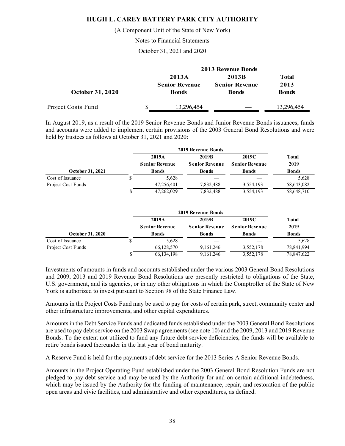(A Component Unit of the State of New York)

Notes to Financial Statements

October 31, 2021 and 2020

|                         |   | <b>2013 Revenue Bonds</b> |                       |              |  |  |  |
|-------------------------|---|---------------------------|-----------------------|--------------|--|--|--|
|                         |   | 2013A                     | 2013B                 | <b>Total</b> |  |  |  |
|                         |   | <b>Senior Revenue</b>     | <b>Senior Revenue</b> | 2013         |  |  |  |
| <b>October 31, 2020</b> |   | <b>Bonds</b>              | <b>Bonds</b>          | <b>Bonds</b> |  |  |  |
| Project Costs Fund      | S | 13,296,454                |                       | 13,296,454   |  |  |  |

In August 2019, as a result of the 2019 Senior Revenue Bonds and Junior Revenue Bonds issuances, funds and accounts were added to implement certain provisions of the 2003 General Bond Resolutions and were held by trustees as follows at October 31, 2021 and 2020:

|                    | 2019 Revenue Bonds    |                       |                       |              |
|--------------------|-----------------------|-----------------------|-----------------------|--------------|
|                    | 2019A                 | 2019B                 | 2019C                 | <b>Total</b> |
|                    | <b>Senior Revenue</b> | <b>Senior Revenue</b> | <b>Senior Revenue</b> | 2019         |
| October 31, 2021   | <b>Bonds</b>          | <b>Bonds</b>          | <b>Bonds</b>          | <b>Bonds</b> |
| Cost of Issuance   | 5.628                 |                       |                       | 5,628        |
| Project Cost Funds | 47,256,401            | 7,832,488             | 3,554,193             | 58,643,082   |
|                    | 47,262,029            | 7,832,488             | 3,554,193             | 58,648,710   |

|                    | <b>2019 Revenue Bonds</b> |                       |                       |              |
|--------------------|---------------------------|-----------------------|-----------------------|--------------|
|                    | 2019A                     | 2019B                 | 2019C                 | Total        |
|                    | <b>Senior Revenue</b>     | <b>Senior Revenue</b> | <b>Senior Revenue</b> | 2019         |
| October 31, 2020   | <b>Bonds</b>              | <b>Bonds</b>          | <b>Bonds</b>          | <b>Bonds</b> |
| Cost of Issuance   | 5,628                     |                       |                       | 5,628        |
| Project Cost Funds | 66,128,570                | 9, 161, 246           | 3,552,178             | 78,841,994   |
|                    | 66,134,198                | 9,161,246             | 3,552,178             | 78,847,622   |

Investments of amounts in funds and accounts established under the various 2003 General Bond Resolutions and 2009, 2013 and 2019 Revenue Bond Resolutions are presently restricted to obligations of the State, U.S. government, and its agencies, or in any other obligations in which the Comptroller of the State of New York is authorized to invest pursuant to Section 98 of the State Finance Law.

Amounts in the Project Costs Fund may be used to pay for costs of certain park, street, community center and other infrastructure improvements, and other capital expenditures.

Amounts in the Debt Service Funds and dedicated funds established under the 2003 General Bond Resolutions are used to pay debt service on the 2003 Swap agreements (see note 10) and the 2009, 2013 and 2019 Revenue Bonds. To the extent not utilized to fund any future debt service deficiencies, the funds will be available to retire bonds issued thereunder in the last year of bond maturity.

A Reserve Fund is held for the payments of debt service for the 2013 Series A Senior Revenue Bonds.

Amounts in the Project Operating Fund established under the 2003 General Bond Resolution Funds are not pledged to pay debt service and may be used by the Authority for and on certain additional indebtedness, which may be issued by the Authority for the funding of maintenance, repair, and restoration of the public open areas and civic facilities, and administrative and other expenditures, as defined.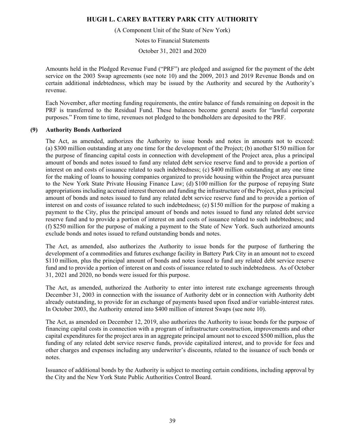(A Component Unit of the State of New York)

Notes to Financial Statements

October 31, 2021 and 2020

Amounts held in the Pledged Revenue Fund ("PRF") are pledged and assigned for the payment of the debt service on the 2003 Swap agreements (see note 10) and the 2009, 2013 and 2019 Revenue Bonds and on certain additional indebtedness, which may be issued by the Authority and secured by the Authority's revenue.

Each November, after meeting funding requirements, the entire balance of funds remaining on deposit in the PRF is transferred to the Residual Fund. These balances become general assets for "lawful corporate purposes." From time to time, revenues not pledged to the bondholders are deposited to the PRF.

## **(9) Authority Bonds Authorized**

The Act, as amended, authorizes the Authority to issue bonds and notes in amounts not to exceed: (a) \$300 million outstanding at any one time for the development of the Project; (b) another \$150 million for the purpose of financing capital costs in connection with development of the Project area, plus a principal amount of bonds and notes issued to fund any related debt service reserve fund and to provide a portion of interest on and costs of issuance related to such indebtedness; (c) \$400 million outstanding at any one time for the making of loans to housing companies organized to provide housing within the Project area pursuant to the New York State Private Housing Finance Law; (d) \$100 million for the purpose of repaying State appropriations including accrued interest thereon and funding the infrastructure of the Project, plus a principal amount of bonds and notes issued to fund any related debt service reserve fund and to provide a portion of interest on and costs of issuance related to such indebtedness; (e) \$150 million for the purpose of making a payment to the City, plus the principal amount of bonds and notes issued to fund any related debt service reserve fund and to provide a portion of interest on and costs of issuance related to such indebtedness; and (f) \$250 million for the purpose of making a payment to the State of New York. Such authorized amounts exclude bonds and notes issued to refund outstanding bonds and notes.

The Act, as amended, also authorizes the Authority to issue bonds for the purpose of furthering the development of a commodities and futures exchange facility in Battery Park City in an amount not to exceed \$110 million, plus the principal amount of bonds and notes issued to fund any related debt service reserve fund and to provide a portion of interest on and costs of issuance related to such indebtedness. As of October 31, 2021 and 2020, no bonds were issued for this purpose.

The Act, as amended, authorized the Authority to enter into interest rate exchange agreements through December 31, 2003 in connection with the issuance of Authority debt or in connection with Authority debt already outstanding, to provide for an exchange of payments based upon fixed and/or variable-interest rates. In October 2003, the Authority entered into \$400 million of interest Swaps (see note 10).

The Act, as amended on December 12, 2019, also authorizes the Authority to issue bonds for the purpose of financing capital costs in connection with a program of infrastructure construction, improvements and other capital expenditures for the project area in an aggregate principal amount not to exceed \$500 million, plus the funding of any related debt service reserve funds, provide capitalized interest, and to provide for fees and other charges and expenses including any underwriter's discounts, related to the issuance of such bonds or notes.

Issuance of additional bonds by the Authority is subject to meeting certain conditions, including approval by the City and the New York State Public Authorities Control Board.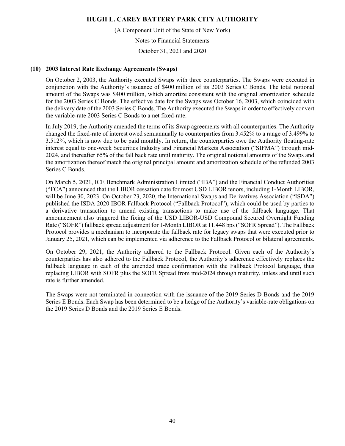(A Component Unit of the State of New York)

Notes to Financial Statements

October 31, 2021 and 2020

### **(10) 2003 Interest Rate Exchange Agreements (Swaps)**

On October 2, 2003, the Authority executed Swaps with three counterparties. The Swaps were executed in conjunction with the Authority's issuance of \$400 million of its 2003 Series C Bonds. The total notional amount of the Swaps was \$400 million, which amortize consistent with the original amortization schedule for the 2003 Series C Bonds. The effective date for the Swaps was October 16, 2003, which coincided with the delivery date of the 2003 Series C Bonds. The Authority executed the Swaps in order to effectively convert the variable-rate 2003 Series C Bonds to a net fixed-rate.

In July 2019, the Authority amended the terms of its Swap agreements with all counterparties. The Authority changed the fixed-rate of interest owed semiannually to counterparties from 3.452% to a range of 3.499% to 3.512%, which is now due to be paid monthly. In return, the counterparties owe the Authority floating-rate interest equal to one-week Securities Industry and Financial Markets Association ("SIFMA") through mid-2024, and thereafter 65% of the fall back rate until maturity. The original notional amounts of the Swaps and the amortization thereof match the original principal amount and amortization schedule of the refunded 2003 Series C Bonds.

On March 5, 2021, ICE Benchmark Administration Limited ("IBA") and the Financial Conduct Authorities ("FCA") announced that the LIBOR cessation date for most USD LIBOR tenors, including 1-Month LIBOR, will be June 30, 2023. On October 23, 2020, the International Swaps and Derivatives Association ("ISDA") published the ISDA 2020 IBOR Fallback Protocol ("Fallback Protocol"), which could be used by parties to a derivative transaction to amend existing transactions to make use of the fallback language. That announcement also triggered the fixing of the USD LIBOR-USD Compound Secured Overnight Funding Rate ("SOFR") fallback spread adjustment for 1-Month LIBOR at 11.448 bps ("SOFR Spread"). The Fallback Protocol provides a mechanism to incorporate the fallback rate for legacy swaps that were executed prior to January 25, 2021, which can be implemented via adherence to the Fallback Protocol or bilateral agreements.

On October 29, 2021, the Authority adhered to the Fallback Protocol. Given each of the Authority's counterparties has also adhered to the Fallback Protocol, the Authority's adherence effectively replaces the fallback language in each of the amended trade confirmation with the Fallback Protocol language, thus replacing LIBOR with SOFR plus the SOFR Spread from mid-2024 through maturity, unless and until such rate is further amended.

The Swaps were not terminated in connection with the issuance of the 2019 Series D Bonds and the 2019 Series E Bonds. Each Swap has been determined to be a hedge of the Authority's variable-rate obligations on the 2019 Series D Bonds and the 2019 Series E Bonds.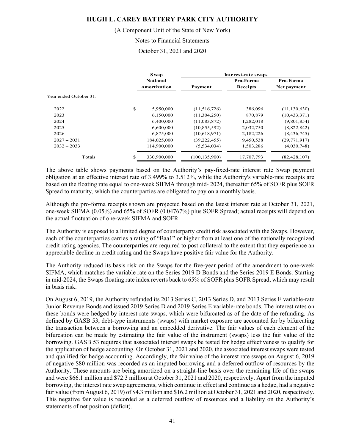#### (A Component Unit of the State of New York)

#### Notes to Financial Statements

October 31, 2021 and 2020

|                        | <b>S</b> wap                    | Interest-rate swaps |                       |                          |  |  |
|------------------------|---------------------------------|---------------------|-----------------------|--------------------------|--|--|
|                        | <b>Notional</b><br>Amortization | Payment             | Pro-Forma<br>Receipts | Pro-Forma<br>Net payment |  |  |
| Year ended October 31: |                                 |                     |                       |                          |  |  |
| 2022                   | \$<br>5,950,000                 | (11,516,726)        | 386,096               | (11, 130, 630)           |  |  |
| 2023                   | 6,150,000                       | (11,304,250)        | 870,879               | (10, 433, 371)           |  |  |
| 2024                   | 6,400,000                       | (11,083,872)        | 1,282,018             | (9,801,854)              |  |  |
| 2025                   | 6,600,000                       | (10, 855, 592)      | 2,032,750             | (8,822,842)              |  |  |
| 2026                   | 6,875,000                       | (10,618,971)        | 2,182,226             | (8,436,745)              |  |  |
| $2027 - 2031$          | 184,025,000                     | (39, 222, 455)      | 9,450,538             | (29, 771, 917)           |  |  |
| $2032 - 2033$          | 114,900,000                     | (5,534,034)         | 1,503,286             | (4,030,748)              |  |  |
| Totals                 | \$<br>330,900,000               | (100, 135, 900)     | 17,707,793            | (82, 428, 107)           |  |  |

The above table shows payments based on the Authority's pay-fixed-rate interest rate Swap payment obligation at an effective interest rate of 3.499% to 3.512%, while the Authority's variable-rate receipts are based on the floating rate equal to one-week SIFMA through mid- 2024, thereafter 65% of SOFR plus SOFR Spread to maturity, which the counterparties are obligated to pay on a monthly basis.

Although the pro-forma receipts shown are projected based on the latest interest rate at October 31, 2021, one-week SIFMA (0.05%) and 65% of SOFR (0.04767%) plus SOFR Spread; actual receipts will depend on the actual fluctuation of one-week SIFMA and SOFR.

The Authority is exposed to a limited degree of counterparty credit risk associated with the Swaps. However, each of the counterparties carries a rating of "Baa1" or higher from at least one of the nationally recognized credit rating agencies. The counterparties are required to post collateral to the extent that they experience an appreciable decline in credit rating and the Swaps have positive fair value for the Authority.

The Authority reduced its basis risk on the Swaps for the five-year period of the amendment to one-week SIFMA, which matches the variable rate on the Series 2019 D Bonds and the Series 2019 E Bonds. Starting in mid-2024, the Swaps floating rate index reverts back to 65% of SOFR plus SOFR Spread, which may result in basis risk.

On August 6, 2019, the Authority refunded its 2013 Series C, 2013 Series D, and 2013 Series E variable-rate Junior Revenue Bonds and issued 2019 Series D and 2019 Series E variable-rate bonds. The interest rates on these bonds were hedged by interest rate swaps, which were bifurcated as of the date of the refunding. As defined by GASB 53, debt-type instruments (swaps) with market exposure are accounted for by bifurcating the transaction between a borrowing and an embedded derivative. The fair values of each element of the bifurcation can be made by estimating the fair value of the instrument (swaps) less the fair value of the borrowing. GASB 53 requires that associated interest swaps be tested for hedge effectiveness to qualify for the application of hedge accounting. On October 31, 2021 and 2020, the associated interest swaps were tested and qualified for hedge accounting. Accordingly, the fair value of the interest rate swaps on August 6, 2019 of negative \$80 million was recorded as an imputed borrowing and a deferred outflow of resources by the Authority. These amounts are being amortized on a straight-line basis over the remaining life of the swaps and were \$66.1 million and \$72.3 million at October 31, 2021 and 2020, respectively. Apart from the imputed borrowing, the interest rate swap agreements, which continue in effect and continue as a hedge, had a negative fair value (from August 6, 2019) of \$4.3 million and \$16.2 million at October 31, 2021 and 2020, respectively. This negative fair value is recorded as a deferred outflow of resources and a liability on the Authority's statements of net position (deficit).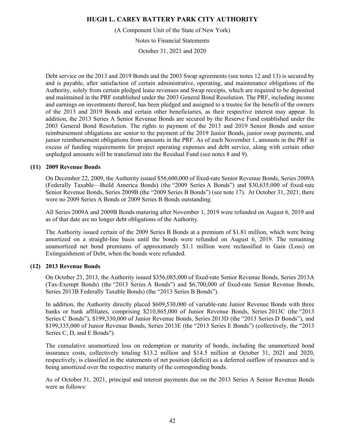(A Component Unit of the State of New York)

Notes to Financial Statements

October 31, 2021 and 2020

Debt service on the 2013 and 2019 Bonds and the 2003 Swap agreements (see notes 12 and 13) is secured by and is payable, after satisfaction of certain administrative, operating, and maintenance obligations of the Authority, solely from certain pledged lease revenues and Swap receipts, which are required to be deposited and maintained in the PRF established under the 2003 General Bond Resolution. The PRF, including income and earnings on investments thereof, has been pledged and assigned to a trustee for the benefit of the owners of the 2013 and 2019 Bonds and certain other beneficiaries, as their respective interest may appear. In addition, the 2013 Series A Senior Revenue Bonds are secured by the Reserve Fund established under the 2003 General Bond Resolution. The rights to payment of the 2013 and 2019 Senior Bonds and senior reimbursement obligations are senior to the payment of the 2019 Junior Bonds, junior swap payments, and junior reimbursement obligations from amounts in the PRF. As of each November 1, amounts in the PRF in excess of funding requirements for project operating expenses and debt service, along with certain other unpledged amounts will be transferred into the Residual Fund (see notes 8 and 9).

## **(11) 2009 Revenue Bonds**

On December 22, 2009, the Authority issued \$56,600,000 of fixed-rate Senior Revenue Bonds, Series 2009A (Federally Taxable—Build America Bonds) (the "2009 Series A Bonds") and \$30,635,000 of fixed-rate Senior Revenue Bonds, Series 2009B (the "2009 Series B Bonds") (see note 17). At October 31, 2021, there were no 2009 Series A Bonds or 2009 Series B Bonds outstanding.

All Series 2009A and 2009B Bonds maturing after November 1, 2019 were refunded on August 6, 2019 and as of that date are no longer debt obligations of the Authority.

The Authority issued certain of the 2009 Series B Bonds at a premium of \$1.81 million, which were being amortized on a straight-line basis until the bonds were refunded on August 6, 2019. The remaining unamortized net bond premiums of approximately \$1.1 million were reclassified to Gain (Loss) on Extinguishment of Debt, when the bonds were refunded.

## **(12) 2013 Revenue Bonds**

On October 23, 2013, the Authority issued \$356,085,000 of fixed-rate Senior Revenue Bonds, Series 2013A (Tax-Exempt Bonds) (the "2013 Series A Bonds") and \$6,700,000 of fixed-rate Senior Revenue Bonds, Series 2013B Federally Taxable Bonds) (the "2013 Series B Bonds").

In addition, the Authority directly placed \$609,530,000 of variable-rate Junior Revenue Bonds with three banks or bank affiliates, comprising \$210,865,000 of Junior Revenue Bonds, Series 2013C (the "2013 Series C Bonds"), \$199,330,000 of Junior Revenue Bonds, Series 2013D (the "2013 Series D Bonds"), and \$199,335,000 of Junior Revenue Bonds, Series 2013E (the "2013 Series E Bonds") (collectively, the "2013 Series C, D, and E Bonds").

The cumulative unamortized loss on redemption or maturity of bonds, including the unamortized bond insurance costs, collectively totaling \$13.2 million and \$14.5 million at October 31, 2021 and 2020, respectively, is classified in the statements of net position (deficit) as a deferred outflow of resources and is being amortized over the respective maturity of the corresponding bonds.

As of October 31, 2021, principal and interest payments due on the 2013 Series A Senior Revenue Bonds were as follows: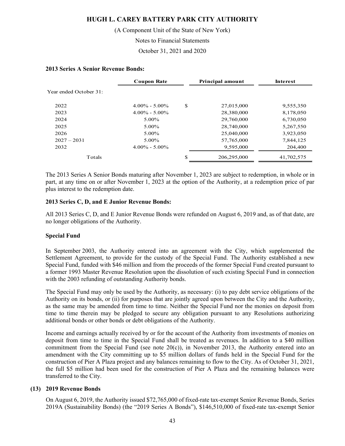(A Component Unit of the State of New York)

Notes to Financial Statements

October 31, 2021 and 2020

#### **2013 Series A Senior Revenue Bonds:**

|                        | <b>Coupon Rate</b> |    | <b>Principal amount</b> | <b>Interest</b> |
|------------------------|--------------------|----|-------------------------|-----------------|
| Year ended October 31: |                    |    |                         |                 |
| 2022                   | $4.00\% - 5.00\%$  | \$ | 27,015,000              | 9,555,350       |
| 2023                   | $4.00\% - 5.00\%$  |    | 28,380,000              | 8,178,050       |
| 2024                   | 5.00%              |    | 29,760,000              | 6,730,050       |
| 2025                   | 5.00%              |    | 28,740,000              | 5,267,550       |
| 2026                   | 5.00%              |    | 25,040,000              | 3,923,050       |
| $2027 - 2031$          | $5.00\%$           |    | 57,765,000              | 7,844,125       |
| 2032                   | $4.00\% - 5.00\%$  |    | 9,595,000               | 204,400         |
| Totals                 |                    | S  | 206,295,000             | 41,702,575      |

The 2013 Series A Senior Bonds maturing after November 1, 2023 are subject to redemption, in whole or in part, at any time on or after November 1, 2023 at the option of the Authority, at a redemption price of par plus interest to the redemption date.

## **2013 Series C, D, and E Junior Revenue Bonds:**

All 2013 Series C, D, and E Junior Revenue Bonds were refunded on August 6, 2019 and, as of that date, are no longer obligations of the Authority.

## **Special Fund**

In September 2003, the Authority entered into an agreement with the City, which supplemented the Settlement Agreement, to provide for the custody of the Special Fund. The Authority established a new Special Fund, funded with \$46 million and from the proceeds of the former Special Fund created pursuant to a former 1993 Master Revenue Resolution upon the dissolution of such existing Special Fund in connection with the 2003 refunding of outstanding Authority bonds.

The Special Fund may only be used by the Authority, as necessary: (i) to pay debt service obligations of the Authority on its bonds, or (ii) for purposes that are jointly agreed upon between the City and the Authority, as the same may be amended from time to time. Neither the Special Fund nor the monies on deposit from time to time therein may be pledged to secure any obligation pursuant to any Resolutions authorizing additional bonds or other bonds or debt obligations of the Authority.

Income and earnings actually received by or for the account of the Authority from investments of monies on deposit from time to time in the Special Fund shall be treated as revenues. In addition to a \$40 million commitment from the Special Fund (see note  $20(c)$ ), in November 2013, the Authority entered into an amendment with the City committing up to \$5 million dollars of funds held in the Special Fund for the construction of Pier A Plaza project and any balances remaining to flow to the City. As of October 31, 2021, the full \$5 million had been used for the construction of Pier A Plaza and the remaining balances were transferred to the City.

#### **(13) 2019 Revenue Bonds**

On August 6, 2019, the Authority issued \$72,765,000 of fixed-rate tax-exempt Senior Revenue Bonds, Series 2019A (Sustainability Bonds) (the "2019 Series A Bonds"), \$146,510,000 of fixed-rate tax-exempt Senior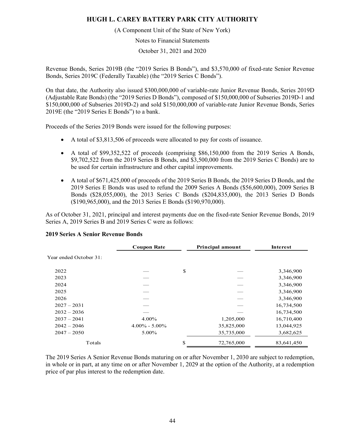(A Component Unit of the State of New York)

Notes to Financial Statements

October 31, 2021 and 2020

Revenue Bonds, Series 2019B (the "2019 Series B Bonds"), and \$3,570,000 of fixed-rate Senior Revenue Bonds, Series 2019C (Federally Taxable) (the "2019 Series C Bonds").

On that date, the Authority also issued \$300,000,000 of variable-rate Junior Revenue Bonds, Series 2019D (Adjustable Rate Bonds) (the "2019 Series D Bonds"), composed of \$150,000,000 of Subseries 2019D-1 and \$150,000,000 of Subseries 2019D-2) and sold \$150,000,000 of variable-rate Junior Revenue Bonds, Series 2019E (the "2019 Series E Bonds") to a bank.

Proceeds of the Series 2019 Bonds were issued for the following purposes:

- A total of \$3,813,506 of proceeds were allocated to pay for costs of issuance.
- A total of \$99,352,522 of proceeds (comprising \$86,150,000 from the 2019 Series A Bonds, \$9,702,522 from the 2019 Series B Bonds, and \$3,500,000 from the 2019 Series C Bonds) are to be used for certain infrastructure and other capital improvements.
- A total of \$671,425,000 of proceeds of the 2019 Series B Bonds, the 2019 Series D Bonds, and the 2019 Series E Bonds was used to refund the 2009 Series A Bonds (\$56,600,000), 2009 Series B Bonds (\$28,055,000), the 2013 Series C Bonds (\$204,835,000), the 2013 Series D Bonds (\$190,965,000), and the 2013 Series E Bonds (\$190,970,000).

As of October 31, 2021, principal and interest payments due on the fixed-rate Senior Revenue Bonds, 2019 Series A, 2019 Series B and 2019 Series C were as follows:

|                        | <b>Coupon Rate</b> | <b>Principal amount</b> | Interest   |
|------------------------|--------------------|-------------------------|------------|
| Year ended October 31: |                    |                         |            |
| 2022                   |                    | \$                      | 3,346,900  |
| 2023                   |                    |                         | 3,346,900  |
| 2024                   |                    |                         | 3,346,900  |
| 2025                   |                    |                         | 3,346,900  |
| 2026                   |                    |                         | 3,346,900  |
| $2027 - 2031$          |                    |                         | 16,734,500 |
| $2032 - 2036$          |                    |                         | 16,734,500 |
| $2037 - 2041$          | 4.00%              | 1,205,000               | 16,710,400 |
| $2042 - 2046$          | $4.00\% - 5.00\%$  | 35,825,000              | 13,044,925 |
| $2047 - 2050$          | 5.00%              | 35,735,000              | 3,682,625  |
| Totals                 |                    | \$<br>72,765,000        | 83,641,450 |

#### **2019 Series A Senior Revenue Bonds**

The 2019 Series A Senior Revenue Bonds maturing on or after November 1, 2030 are subject to redemption, in whole or in part, at any time on or after November 1, 2029 at the option of the Authority, at a redemption price of par plus interest to the redemption date.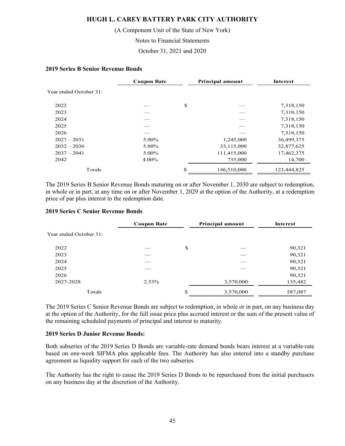(A Component Unit of the State of New York)

Notes to Financial Statements

October 31, 2021 and 2020

#### **2019 Series B Senior Revenue Bonds**

|                        | <b>Coupon Rate</b> | <b>Principal amount</b> | <b>Interest</b> |
|------------------------|--------------------|-------------------------|-----------------|
| Year ended October 31: |                    |                         |                 |
| 2022                   |                    | \$                      | 7,318,150       |
| 2023                   |                    |                         | 7,318,150       |
| 2024                   |                    |                         | 7,318,150       |
| 2025                   |                    |                         | 7,318,150       |
| 2026                   |                    |                         | 7,318,150       |
| $2027 - 2031$          | 5.00%              | 1,245,000               | 36,499,375      |
| $2032 - 2036$          | 5.00%              | 33,115,000              | 32,877,625      |
| $2037 - 2041$          | 5.00%              | 111,415,000             | 17,462,375      |
| 2042                   | 4.00%              | 735,000                 | 14,700          |
| Totals                 |                    | \$<br>146,510,000       | 123,444,825     |

The 2019 Series B Senior Revenue Bonds maturing on or after November 1, 2030 are subject to redemption, in whole or in part, at any time on or after November 1, 2029 at the option of the Authority, at a redemption price of par plus interest to the redemption date.

#### **2019 Series C Senior Revenue Bonds**

|                        | <b>Coupon Rate</b> |    | Principal amount | Interest |
|------------------------|--------------------|----|------------------|----------|
| Year ended October 31: |                    |    |                  |          |
| 2022                   |                    | \$ |                  | 90,321   |
| 2023                   |                    |    |                  | 90,321   |
| 2024                   |                    |    |                  | 90,321   |
| 2025                   |                    |    |                  | 90,321   |
| 2026                   |                    |    |                  | 90,321   |
| 2027-2028              | 2.53%              |    | 3,570,000        | 135,482  |
| Totals                 |                    | S  | 3,570,000        | 587,087  |

The 2019 Series C Senior Revenue Bonds are subject to redemption, in whole or in part, on any business day at the option of the Authority, for the full issue price plus accrued interest or the sum of the present value of the remaining scheduled payments of principal and interest to maturity.

#### **2019 Series D Junior Revenue Bonds:**

Both subseries of the 2019 Series D Bonds are variable-rate demand bonds bears interest at a variable-rate based on one-week SIFMA plus applicable fees. The Authority has also entered into a standby purchase agreement as liquidity support for each of the two subseries.

The Authority has the right to cause the 2019 Series D Bonds to be repurchased from the initial purchasers on any business day at the discretion of the Authority.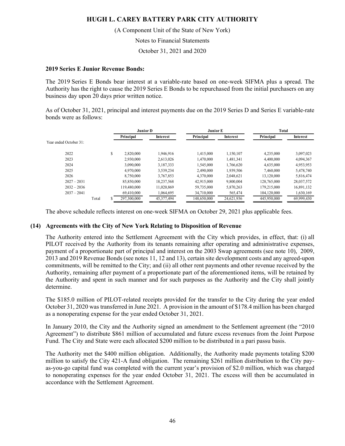(A Component Unit of the State of New York)

Notes to Financial Statements

October 31, 2021 and 2020

#### **2019 Series E Junior Revenue Bonds:**

The 2019 Series E Bonds bear interest at a variable-rate based on one-week SIFMA plus a spread. The Authority has the right to cause the 2019 Series E Bonds to be repurchased from the initial purchasers on any business day upon 20 days prior written notice.

As of October 31, 2021, principal and interest payments due on the 2019 Series D and Series E variable-rate bonds were as follows:

| Junior D               |       | Junior E |             | Total      |             |            |             |            |
|------------------------|-------|----------|-------------|------------|-------------|------------|-------------|------------|
|                        |       |          | Principal   | Interest   | Principal   | Interest   | Principal   | Interest   |
| Year ended October 31: |       |          |             |            |             |            |             |            |
| 2022                   |       | \$       | 2,820,000   | 1.946.916  | 1,415,000   | 1.150.107  | 4,235,000   | 3,097,023  |
| 2023                   |       |          | 2.930,000   | 2,613,026  | 1.470.000   | 1.481.341  | 4,400,000   | 4,094,367  |
| 2024                   |       |          | 3,090,000   | 3,187,333  | 1.545,000   | 1.766.620  | 4,635,000   | 4,953,953  |
| 2025                   |       |          | 4,970,000   | 3.539.234  | 2.490,000   | 1.939.506  | 7,460,000   | 5,478,740  |
| 2026                   |       |          | 8,750,000   | 3.767.853  | 4,370,000   | 2.048.621  | 13,120,000  | 5,816,474  |
| $2027 - 2031$          |       |          | 85,850,000  | 18,237,568 | 42,915,000  | 9,800,004  | 128,765,000 | 28,037,572 |
| $2032 - 2036$          |       |          | 119,480,000 | 11.020.869 | 59,735,000  | 5,870,263  | 179,215,000 | 16,891,132 |
| $2037 - 2041$          |       |          | 69,410,000  | 1.064.695  | 34,710,000  | 565,474    | 104,120,000 | 1,630,169  |
|                        | Total | ъ.       | 297,300,000 | 45,377,494 | 148,650,000 | 24,621,936 | 445,950,000 | 69,999,430 |

The above schedule reflects interest on one-week SIFMA on October 29, 2021 plus applicable fees.

## **(14) Agreements with the City of New York Relating to Disposition of Revenue**

The Authority entered into the Settlement Agreement with the City which provides, in effect, that: (i) all PILOT received by the Authority from its tenants remaining after operating and administrative expenses, payment of a proportionate part of principal and interest on the 2003 Swap agreements (see note 10), 2009, 2013 and 2019 Revenue Bonds (see notes 11, 12 and 13), certain site development costs and any agreed-upon commitments, will be remitted to the City; and (ii) all other rent payments and other revenue received by the Authority, remaining after payment of a proportionate part of the aforementioned items, will be retained by the Authority and spent in such manner and for such purposes as the Authority and the City shall jointly determine.

The \$185.0 million of PILOT-related receipts provided for the transfer to the City during the year ended October 31, 2020 was transferred in June 2021. A provision in the amount of \$178.4 million has been charged as a nonoperating expense for the year ended October 31, 2021.

In January 2010, the City and the Authority signed an amendment to the Settlement agreement (the "2010 Agreement") to distribute \$861 million of accumulated and future excess revenues from the Joint Purpose Fund. The City and State were each allocated \$200 million to be distributed in a pari passu basis.

The Authority met the \$400 million obligation. Additionally, the Authority made payments totaling \$200 million to satisfy the City 421-A fund obligation. The remaining \$261 million distribution to the City payas-you-go capital fund was completed with the current year's provision of \$2.0 million, which was charged to nonoperating expenses for the year ended October 31, 2021. The excess will then be accumulated in accordance with the Settlement Agreement.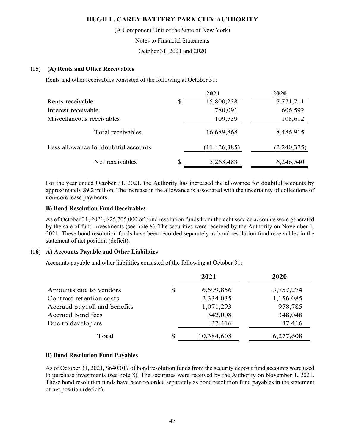(A Component Unit of the State of New York)

Notes to Financial Statements

October 31, 2021 and 2020

## **(15) (A) Rents and Other Receivables**

Rents and other receivables consisted of the following at October 31:

|                                      |    | 2021           | 2020        |
|--------------------------------------|----|----------------|-------------|
| Rents receivable                     | \$ | 15,800,238     | 7,771,711   |
| Interest receivable                  |    | 780,091        | 606,592     |
| M iscellaneous receivables           |    | 109,539        | 108,612     |
| Total receivables                    |    | 16,689,868     | 8,486,915   |
| Less allowance for doubtful accounts |    | (11, 426, 385) | (2,240,375) |
| Net receivables                      | S  | 5,263,483      | 6,246,540   |

For the year ended October 31, 2021, the Authority has increased the allowance for doubtful accounts by approximately \$9.2 million. The increase in the allowance is associated with the uncertainty of collections of non-core lease payments.

## **B) Bond Resolution Fund Receivables**

As of October 31, 2021, \$25,705,000 of bond resolution funds from the debt service accounts were generated by the sale of fund investments (see note 8). The securities were received by the Authority on November 1, 2021. These bond resolution funds have been recorded separately as bond resolution fund receivables in the statement of net position (deficit).

#### **(16) A) Accounts Payable and Other Liabilities**

Accounts payable and other liabilities consisted of the following at October 31:

|                              | 2021             | 2020      |
|------------------------------|------------------|-----------|
| Amounts due to vendors       | \$<br>6,599,856  | 3,757,274 |
| Contract retention costs     | 2,334,035        | 1,156,085 |
| Accrued payroll and benefits | 1,071,293        | 978,785   |
| Accrued bond fees            | 342,008          | 348,048   |
| Due to developers            | 37,416           | 37,416    |
| Total                        | \$<br>10,384,608 | 6,277,608 |

## **B) Bond Resolution Fund Payables**

As of October 31, 2021, \$640,017 of bond resolution funds from the security deposit fund accounts were used to purchase investments (see note 8). The securities were received by the Authority on November 1, 2021. These bond resolution funds have been recorded separately as bond resolution fund payables in the statement of net position (deficit).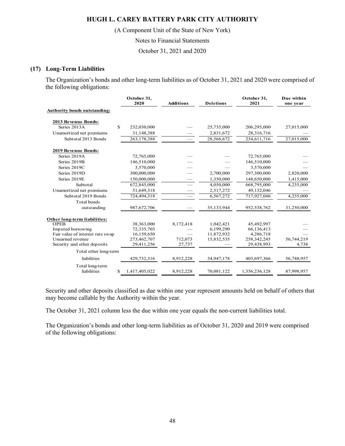(A Component Unit of the State of New York)

Notes to Financial Statements

October 31, 2021 and 2020

#### **(17) Long-Term Liabilities**

The Organization's bonds and other long-term liabilities as of October 31, 2021 and 2020 were comprised of the following obligations:

|                                     | October 31,<br>2020 | <b>Additions</b>         | <b>Deletions</b> | October 31,<br>2021 | Due within<br>one year |
|-------------------------------------|---------------------|--------------------------|------------------|---------------------|------------------------|
| <b>Authority bonds outstanding:</b> |                     |                          |                  |                     |                        |
| 2013 Revenue Bonds:                 |                     |                          |                  |                     |                        |
| Series 2013A<br>S                   | 232,030,000         |                          | 25,735,000       | 206,295,000         | 27,015,000             |
| Unamortized net premiums            | 31,148,388          |                          | 2,831,672        | 28,316,716          |                        |
| Subtotal 2013 Bonds                 | 263,178,388         | $\overline{\phantom{0}}$ | 28,566,672       | 234,611,716         | 27,015,000             |
| 2019 Revenue Bonds:                 |                     |                          |                  |                     |                        |
| Series 2019A                        | 72,765,000          |                          |                  | 72,765,000          |                        |
| Series 2019B                        | 146,510,000         |                          |                  | 146,510,000         |                        |
| Series 2019C                        | 3,570,000           |                          |                  | 3,570,000           |                        |
| Series 2019D                        | 300,000,000         |                          | 2,700,000        | 297,300,000         | 2,820,000              |
| Series 2019E                        | 150,000,000         |                          | 1,350,000        | 148,650,000         | 1,415,000              |
| Subtotal                            | 672,845,000         |                          | 4,050,000        | 668,795,000         | 4,235,000              |
| Unamortized net premiums            | 51,649,318          |                          | 2,517,272        | 49,132,046          |                        |
| Subtotal 2019 Bonds                 | 724,494,318         |                          | 6,567,272        | 717,927,046         | 4,235,000              |
| Total bonds                         |                     |                          |                  |                     |                        |
| outstanding                         | 987,672,706         |                          | 35,133,944       | 952,538,762         | 31,250,000             |
| Other long-term liabilities:        |                     |                          |                  |                     |                        |
| <b>OPEB</b>                         | 38,363,000          | 8,172,418                | 1,042,421        | 45,492,997          |                        |
| Imputed borrowing                   | 72,335,703          |                          | 6,199,290        | 66,136,413          |                        |
| Fair value of interest rate swap    | 16,159,650          |                          | 11,872,932       | 4,286,718           |                        |
| Unearned revenue                    | 273,462,707         | 712,073                  | 15,832,535       | 258,342,245         | 56,744,219             |
| Security and other deposits         | 29,411,256          | 27,737                   |                  | 29,438,993          | 4,738                  |
| Total other long-term               |                     |                          |                  |                     |                        |
| liabilities                         | 429,732,316         | 8,912,228                | 34,947,178       | 403,697,366         | 56,748,957             |
| Total long-term                     |                     |                          |                  |                     |                        |
| liabilities<br>\$                   | 1,417,405,022       | 8,912,228                | 70,081,122       | 1,356,236,128       | 87,998,957             |

Security and other deposits classified as due within one year represent amounts held on behalf of others that may become callable by the Authority within the year.

The October 31, 2021 column less the due within one year equals the non-current liabilities total.

The Organization's bonds and other long-term liabilities as of October 31, 2020 and 2019 were comprised of the following obligations: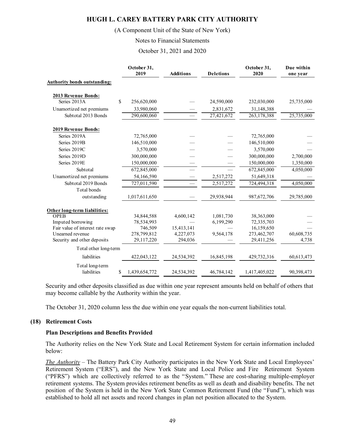#### (A Component Unit of the State of New York)

#### Notes to Financial Statements

October 31, 2021 and 2020

|                                           | October 31,<br>2019 | <b>Additions</b> | <b>Deletions</b> | October 31,<br>2020 | Due within<br>one year |
|-------------------------------------------|---------------------|------------------|------------------|---------------------|------------------------|
| <b>Authority bonds outstanding:</b>       |                     |                  |                  |                     |                        |
|                                           |                     |                  |                  |                     |                        |
| 2013 Revenue Bonds:<br>Series 2013A<br>\$ | 256,620,000         |                  | 24,590,000       | 232,030,000         | 25,735,000             |
|                                           |                     |                  |                  |                     |                        |
| Unamortized net premiums                  | 33,980,060          |                  | 2,831,672        | 31,148,388          |                        |
| Subtotal 2013 Bonds                       | 290,600,060         |                  | 27,421,672       | 263,178,388         | 25,735,000             |
| 2019 Revenue Bonds:                       |                     |                  |                  |                     |                        |
| Series 2019A                              | 72,765,000          |                  |                  | 72,765,000          |                        |
| Series 2019B                              | 146,510,000         |                  |                  | 146,510,000         |                        |
| Series 2019C                              | 3,570,000           |                  |                  | 3,570,000           |                        |
| Series 2019D                              | 300,000,000         |                  |                  | 300,000,000         | 2,700,000              |
| Series 2019E                              | 150,000,000         |                  |                  | 150,000,000         | 1,350,000              |
| Subtotal                                  | 672,845,000         |                  |                  | 672,845,000         | 4,050,000              |
| Unamortized net premiums                  | 54,166,590          |                  | 2,517,272        | 51,649,318          |                        |
| Subtotal 2019 Bonds                       | 727,011,590         |                  | 2,517,272        | 724,494,318         | 4,050,000              |
| Total bonds                               |                     |                  |                  |                     |                        |
| outstanding                               | 1,017,611,650       |                  | 29,938,944       | 987,672,706         | 29,785,000             |
| Other long-term liabilities:              |                     |                  |                  |                     |                        |
| <b>OPEB</b>                               | 34,844,588          | 4,600,142        | 1,081,730        | 38,363,000          |                        |
| Imputed borrowing                         | 78,534,993          |                  | 6,199,290        | 72,335,703          |                        |
| Fair value of interest rate swap          | 746,509             | 15,413,141       |                  | 16,159,650          |                        |
| Unearned revenue                          | 278,799,812         | 4,227,073        | 9,564,178        | 273,462,707         | 60,608,735             |
| Security and other deposits               | 29,117,220          | 294,036          |                  | 29,411,256          | 4,738                  |
| Total other long-term                     |                     |                  |                  |                     |                        |
| liabilities                               | 422,043,122         | 24,534,392       | 16,845,198       | 429,732,316         | 60,613,473             |
| Total long-term                           |                     |                  |                  |                     |                        |
| \$<br>liabilities                         | 1,439,654,772       | 24,534,392       | 46,784,142       | 1,417,405,022       | 90,398,473             |

Security and other deposits classified as due within one year represent amounts held on behalf of others that may become callable by the Authority within the year.

The October 31, 2020 column less the due within one year equals the non-current liabilities total.

#### **(18) Retirement Costs**

#### **Plan Descriptions and Benefits Provided**

The Authority relies on the New York State and Local Retirement System for certain information included below:

*The Authority* – The Battery Park City Authority participates in the New York State and Local Employees' Retirement System ("ERS"), and the New York State and Local Police and Fire Retirement System ("PFRS") which are collectively referred to as the "System." These are cost-sharing multiple-employer retirement systems. The System provides retirement benefits as well as death and disability benefits. The net position of the System is held in the New York State Common Retirement Fund (the "Fund"), which was established to hold all net assets and record changes in plan net position allocated to the System.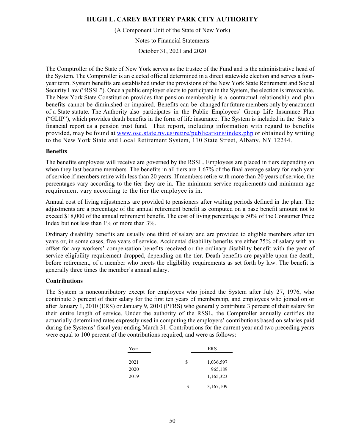(A Component Unit of the State of New York)

Notes to Financial Statements

October 31, 2021 and 2020

The Comptroller of the State of New York serves as the trustee of the Fund and is the administrative head of the System. The Comptroller is an elected official determined in a direct statewide election and serves a fouryear term. System benefits are established under the provisions of the New York State Retirement and Social Security Law ("RSSL"). Once a public employer elects to participate in the System, the election is irrevocable. The New York State Constitution provides that pension membership is a contractual relationship and plan benefits cannot be diminished or impaired. Benefits can be changed for future members only by enactment of a State statute. The Authority also participates in the Public Employees' Group Life Insurance Plan ("GLIP"), which provides death benefits in the form of life insurance. The System is included in the State's financial report as a pension trust fund. That report, including information with regard to benefits provided, may be found at www.osc.state.ny.us/retire/publications/index.php or obtained by writing to the New York State and Local Retirement System, 110 State Street, Albany, NY 12244.

### **Benefits**

The benefits employees will receive are governed by the RSSL. Employees are placed in tiers depending on when they last became members. The benefits in all tiers are 1.67% of the final average salary for each year of service if members retire with less than 20 years. If members retire with more than 20 years of service, the percentages vary according to the tier they are in. The minimum service requirements and minimum age requirement vary according to the tier the employee is in.

Annual cost of living adjustments are provided to pensioners after waiting periods defined in the plan. The adjustments are a percentage of the annual retirement benefit as computed on a base benefit amount not to exceed \$18,000 of the annual retirement benefit. The cost of living percentage is 50% of the Consumer Price Index but not less than 1% or more than 3%.

Ordinary disability benefits are usually one third of salary and are provided to eligible members after ten years or, in some cases, five years of service. Accidental disability benefits are either 75% of salary with an offset for any workers' compensation benefits received or the ordinary disability benefit with the year of service eligibility requirement dropped, depending on the tier. Death benefits are payable upon the death, before retirement, of a member who meets the eligibility requirements as set forth by law. The benefit is generally three times the member's annual salary.

## **Contributions**

The System is noncontributory except for employees who joined the System after July 27, 1976, who contribute 3 percent of their salary for the first ten years of membership, and employees who joined on or after January 1, 2010 (ERS) or January 9, 2010 (PFRS) who generally contribute 3 percent of their salary for their entire length of service. Under the authority of the RSSL, the Comptroller annually certifies the actuarially determined rates expressly used in computing the employers' contributions based on salaries paid during the Systems' fiscal year ending March 31. Contributions for the current year and two preceding years were equal to 100 percent of the contributions required, and were as follows:

| Year |   | <b>ERS</b> |
|------|---|------------|
|      |   |            |
| 2021 | S | 1,036,597  |
| 2020 |   | 965,189    |
| 2019 |   | 1,165,323  |
|      | S | 3,167,109  |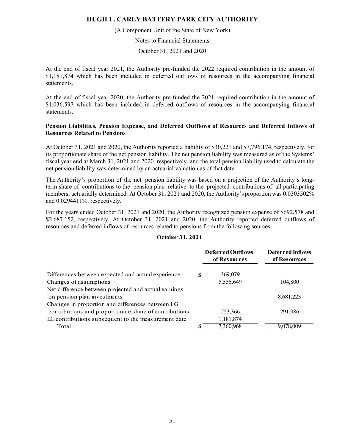(A Component Unit of the State of New York)

Notes to Financial Statements

October 31, 2021 and 2020

At the end of fiscal year 2021, the Authority pre-funded the 2022 required contribution in the amount of \$1,181,874 which has been included in deferred outflows of resources in the accompanying financial statements.

At the end of fiscal year 2020, the Authority pre-funded the 2021 required contribution in the amount of \$1,036,597 which has been included in deferred outflows of resources in the accompanying financial statements.

## **Pension Liabilities, Pension Expense, and Deferred Outflows of Resources and Deferred Inflows of Resources Related to Pensions**

At October 31, 2021 and 2020, the Authority reported a liability of \$30,221 and \$7,796,174, respectively, for its proportionate share of the net pension liability. The net pension liability was measured as of the Systems' fiscal year end at March 31, 2021 and 2020, respectively, and the total pension liability used to calculate the net pension liability was determined by an actuarial valuation as of that date.

The Authority's proportion of the net pension liability was based on a projection of the Authority's longterm share of contributions to the pension plan relative to the projected contributions of all participating members, actuarially determined. At October 31, 2021 and 2020, the Authority's proportion was 0.0303502% and 0.0294411%, respectively**.** 

For the years ended October 31, 2021 and 2020, the Authority recognized pension expense of \$692,578 and \$2,687,152, respectively. At October 31, 2021 and 2020, the Authority reported deferred outflows of resources and deferred inflows of resources related to pensions from the following sources:

| October 31, 2021 |  |  |
|------------------|--|--|
|                  |  |  |

|                                                        |     | <b>Deferred Outflows</b><br>of Resources | <b>Deferred Inflows</b><br>of Resources |
|--------------------------------------------------------|-----|------------------------------------------|-----------------------------------------|
| Differences between expected and actual experience     | \$. | 369,079                                  |                                         |
| Changes of assumptions                                 |     | 5,556,649                                | 104,800                                 |
| Net difference between projected and actual earnings   |     |                                          |                                         |
| on pension plan investments                            |     |                                          | 8,681,223                               |
| Changes in proportion and differences between LG       |     |                                          |                                         |
| contributions and proportionate share of contributions |     | 253,366                                  | 291,986                                 |
| LG contributions subsequent to the measurement date    |     | 1,181,874                                |                                         |
| Total                                                  |     | 7,360,968                                | 9,078,009                               |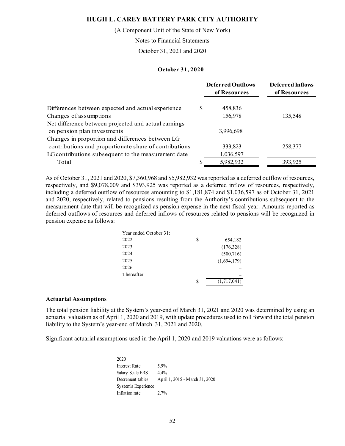(A Component Unit of the State of New York)

Notes to Financial Statements

October 31, 2021 and 2020

#### **October 31, 2020**

|                                                        |    | <b>Deferred Outflows</b><br>of Resources | <b>Deferred Inflows</b><br>of Resources |
|--------------------------------------------------------|----|------------------------------------------|-----------------------------------------|
| Differences between expected and actual experience     | S  | 458,836                                  |                                         |
| Changes of assumptions                                 |    | 156,978                                  | 135,548                                 |
| Net difference between projected and actual earnings   |    |                                          |                                         |
| on pension plan investments                            |    | 3,996,698                                |                                         |
| Changes in proportion and differences between LG       |    |                                          |                                         |
| contributions and proportionate share of contributions |    | 333,823                                  | 258,377                                 |
| LG contributions subsequent to the measurement date    |    | 1,036,597                                |                                         |
| Total                                                  | \$ | 5,982,932                                | 393,925                                 |

As of October 31, 2021 and 2020, \$7,360,968 and \$5,982,932 was reported as a deferred outflow of resources, respectively, and \$9,078,009 and \$393,925 was reported as a deferred inflow of resources, respectively, including a deferred outflow of resources amounting to \$1,181,874 and \$1,036,597 as of October 31, 2021 and 2020, respectively, related to pensions resulting from the Authority's contributions subsequent to the measurement date that will be recognized as pension expense in the next fiscal year. Amounts reported as deferred outflows of resources and deferred inflows of resources related to pensions will be recognized in pension expense as follows:

| Year ended October 31: |   |             |
|------------------------|---|-------------|
| 2022                   | S | 654,182     |
| 2023                   |   | (176,328)   |
| 2024                   |   | (500, 716)  |
| 2025                   |   | (1,694,179) |
| 2026                   |   |             |
| Thereafter             |   |             |
|                        | S | (1,717,041) |

#### **Actuarial Assumptions**

The total pension liability at the System's year-end of March 31, 2021 and 2020 was determined by using an actuarial valuation as of April 1, 2020 and 2019, with update procedures used to roll forward the total pension liability to the System's year-end of March 31, 2021 and 2020.

Significant actuarial assumptions used in the April 1, 2020 and 2019 valuations were as follows:

2020 Interest Rate 5.9% Salary Scale ERS 4.4% Decrement tables April 1, 2015 - March 31, 2020 System's Experience Inflation rate 2.7%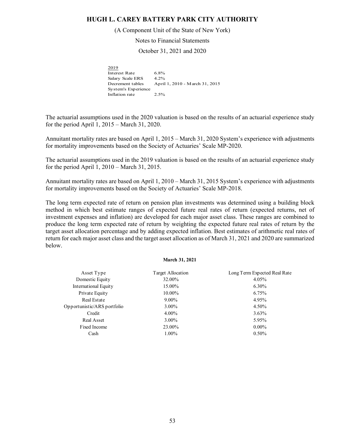#### (A Component Unit of the State of New York)

Notes to Financial Statements

October 31, 2021 and 2020

2019 Interest Rate 6.8% Salary Scale ERS 4.2% Decrement tables April 1, 2010 - March 31, 2015 System's Experience Inflation rate 2.5%

The actuarial assumptions used in the 2020 valuation is based on the results of an actuarial experience study for the period April 1, 2015 – March 31, 2020.

Annuitant mortality rates are based on April 1, 2015 – March 31, 2020 System's experience with adjustments for mortality improvements based on the Society of Actuaries' Scale MP-2020.

The actuarial assumptions used in the 2019 valuation is based on the results of an actuarial experience study for the period April 1, 2010 – March 31, 2015.

Annuitant mortality rates are based on April 1, 2010 – March 31, 2015 System's experience with adjustments for mortality improvements based on the Society of Actuaries' Scale MP-2018.

The long term expected rate of return on pension plan investments was determined using a building block method in which best estimate ranges of expected future real rates of return (expected returns, net of investment expenses and inflation) are developed for each major asset class. These ranges are combined to produce the long term expected rate of return by weighting the expected future real rates of return by the target asset allocation percentage and by adding expected inflation. Best estimates of arithmetic real rates of return for each major asset class and the target asset allocation as of March 31, 2021 and 2020 are summarized below.

#### **March 31, 2021**

| Asset Type                  | Target Allocation | Long Term Expected Real Rate |
|-----------------------------|-------------------|------------------------------|
| Domestic Equity             | 32.00%            | 4.05%                        |
| International Equity        | 15.00%            | $6.30\%$                     |
| Private Equity              | 10.00%            | 6.75%                        |
| Real Estate                 | $9.00\%$          | 4.95%                        |
| Opportunistic/ARS portfolio | $3.00\%$          | 4.50%                        |
| Credit                      | $4.00\%$          | $3.63\%$                     |
| Real Asset                  | $3.00\%$          | 5.95%                        |
| Fixed Income                | 23.00%            | $0.00\%$                     |
| Cash                        | 1.00%             | $0.50\%$                     |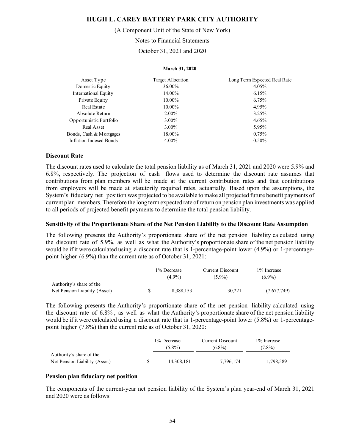(A Component Unit of the State of New York)

Notes to Financial Statements

October 31, 2021 and 2020

#### **March 31, 2020**

| Asset Type              | Target Allocation | Long Term Expected Real Rate |
|-------------------------|-------------------|------------------------------|
| Domestic Equity         | 36.00%            | 4.05%                        |
| International Equity    | 14.00%            | 6.15%                        |
| Private Equity          | 10.00%            | 6.75%                        |
| Real Estate             | 10.00%            | 4.95%                        |
| Absolute Return         | $2.00\%$          | 3.25%                        |
| Opportunistic Portfolio | $3.00\%$          | 4.65%                        |
| Real Asset              | $3.00\%$          | 5.95%                        |
| Bonds, Cash & Mortgages | 18.00%            | 0.75%                        |
| Inflation Indexed Bonds | 4.00%             | $0.50\%$                     |
|                         |                   |                              |

#### **Discount Rate**

The discount rates used to calculate the total pension liability as of March 31, 2021 and 2020 were 5.9% and 6.8%, respectively. The projection of cash flows used to determine the discount rate assumes that contributions from plan members will be made at the current contribution rates and that contributions from employers will be made at statutorily required rates, actuarially. Based upon the assumptions, the System's fiduciary net position was projected to be available to make all projected future benefit payments of current plan members. Therefore the long term expected rate of return on pension plan investments was applied to all periods of projected benefit payments to determine the total pension liability.

#### **Sensitivity of the Proportionate Share of the Net Pension Liability to the Discount Rate Assumption**

The following presents the Authority's proportionate share of the net pension liability calculated using the discount rate of 5.9%, as well as what the Authority's proportionate share of the net pension liability would be if it were calculated using a discount rate that is 1-percentage-point lower (4.9%) or 1-percentagepoint higher (6.9%) than the current rate as of October 31, 2021:

|                               | 1% Decrease | Current Discount | 1% Increase |
|-------------------------------|-------------|------------------|-------------|
|                               | $(4.9\%)$   | $(5.9\%)$        | $(6.9\%)$   |
| Authority's share of the      |             |                  |             |
| Net Pension Liability (Asset) | 8.388.153   | 30.221           | (7,677,749) |

The following presents the Authority's proportionate share of the net pension liability calculated using the discount rate of 6.8% , as well as what the Authority's proportionate share of the net pension liability would be if it were calculated using a discount rate that is 1-percentage-point lower (5.8%) or 1-percentagepoint higher (7.8%) than the current rate as of October 31, 2020:

|                                                           | 1% Decrease<br>$(5.8\%)$ | Current Discount<br>$(6.8\%)$ | 1\% Increase<br>$(7.8\%)$ |
|-----------------------------------------------------------|--------------------------|-------------------------------|---------------------------|
| Authority's share of the<br>Net Pension Liability (Asset) | 14,308,181               | 7,796,174                     | 1,798,589                 |

#### **Pension plan fiduciary net position**

The components of the current-year net pension liability of the System's plan year-end of March 31, 2021 and 2020 were as follows: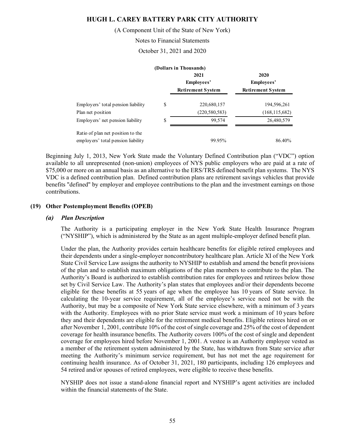(A Component Unit of the State of New York)

Notes to Financial Statements

October 31, 2021 and 2020

|                                    |            | (Dollars in Thousands)   |                          |
|------------------------------------|------------|--------------------------|--------------------------|
|                                    |            | 2021                     | 2020                     |
|                                    | Employees' |                          | Employees'               |
|                                    |            | <b>Retirement System</b> | <b>Retirement System</b> |
| Employers' total pension liability | \$         | 220,680,157              | 194,596,261              |
| Plan net position                  |            | (220, 580, 583)          | (168, 115, 682)          |
| Employers' net pension liability   | \$         | 99,574                   | 26,480,579               |
| Ratio of plan net position to the  |            |                          |                          |
| employers' total pension liability |            | 99.95%                   | 86.40%                   |

Beginning July 1, 2013, New York State made the Voluntary Defined Contribution plan ("VDC") option available to all unrepresented (non-union) employees of NYS public employers who are paid at a rate of \$75,000 or more on an annual basis as an alternative to the ERS/TRS defined benefit plan systems. The NYS VDC is a defined contribution plan. Defined contribution plans are retirement savings vehicles that provide benefits "defined" by employer and employee contributions to the plan and the investment earnings on those contributions.

## **(19) Other Postemployment Benefits (OPEB)**

#### *(a) Plan Description*

The Authority is a participating employer in the New York State Health Insurance Program ("NYSHIP"), which is administered by the State as an agent multiple-employer defined benefit plan.

Under the plan, the Authority provides certain healthcare benefits for eligible retired employees and their dependents under a single-employer noncontributory healthcare plan. Article XI of the New York State Civil Service Law assigns the authority to NYSHIP to establish and amend the benefit provisions of the plan and to establish maximum obligations of the plan members to contribute to the plan. The Authority's Board is authorized to establish contribution rates for employees and retirees below those set by Civil Service Law. The Authority's plan states that employees and/or their dependents become eligible for these benefits at 55 years of age when the employee has 10 years of State service. In calculating the 10-year service requirement, all of the employee's service need not be with the Authority, but may be a composite of New York State service elsewhere, with a minimum of 3 years with the Authority. Employees with no prior State service must work a minimum of 10 years before they and their dependents are eligible for the retirement medical benefits. Eligible retirees hired on or after November 1, 2001, contribute 10% of the cost of single coverage and 25% of the cost of dependent coverage for health insurance benefits. The Authority covers 100% of the cost of single and dependent coverage for employees hired before November 1, 2001. A vestee is an Authority employee vested as a member of the retirement system administered by the State, has withdrawn from State service after meeting the Authority's minimum service requirement, but has not met the age requirement for continuing health insurance. As of October 31, 2021, 180 participants, including 126 employees and 54 retired and/or spouses of retired employees, were eligible to receive these benefits.

NYSHIP does not issue a stand-alone financial report and NYSHIP's agent activities are included within the financial statements of the State.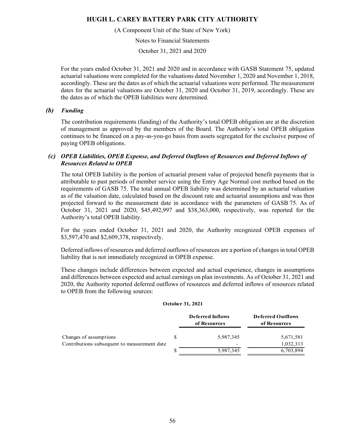(A Component Unit of the State of New York)

Notes to Financial Statements

October 31, 2021 and 2020

For the years ended October 31, 2021 and 2020 and in accordance with GASB Statement 75, updated actuarial valuations were completed for the valuations dated November 1, 2020 and November 1, 2018, accordingly. These are the dates as of which the actuarial valuations were performed. The measurement dates for the actuarial valuations are October 31, 2020 and October 31, 2019, accordingly. These are the dates as of which the OPEB liabilities were determined.

### *(b) Funding*

The contribution requirements (funding) of the Authority's total OPEB obligation are at the discretion of management as approved by the members of the Board. The Authority's total OPEB obligation continues to be financed on a pay-as-you-go basis from assets segregated for the exclusive purpose of paying OPEB obligations.

## *(c) OPEB Liabilities, OPEB Expense, and Deferred Outflows of Resources and Deferred Inflows of Resources Related to OPEB*

The total OPEB liability is the portion of actuarial present value of projected benefit payments that is attributable to past periods of member service using the Entry Age Normal cost method based on the requirements of GASB 75. The total annual OPEB liability was determined by an actuarial valuation as of the valuation date, calculated based on the discount rate and actuarial assumptions and was then projected forward to the measurement date in accordance with the parameters of GASB 75. As of October 31, 2021 and 2020, \$45,492,997 and \$38,363,000, respectively, was reported for the Authority's total OPEB liability.

For the years ended October 31, 2021 and 2020, the Authority recognized OPEB expenses of \$3,597,470 and \$2,609,378, respectively.

Deferred inflows of resources and deferred outflows of resources are a portion of changes in total OPEB liability that is not immediately recognized in OPEB expense.

These changes include differences between expected and actual experience, changes in assumptions and differences between expected and actual earnings on plan investments. As of October 31, 2021 and 2020, the Authority reported deferred outflows of resources and deferred inflows of resources related to OPEB from the following sources:

#### **October 31, 2021**

|                                              | <b>Deferred Inflows</b><br>of Resources | <b>Deferred Outflows</b><br>of Resources |
|----------------------------------------------|-----------------------------------------|------------------------------------------|
| Changes of assumptions                       | 5,987,345                               | 5,671,581                                |
| Contributions subsequent to measurement date |                                         | 1,032,313                                |
|                                              | 5,987,345                               | 6,703,894                                |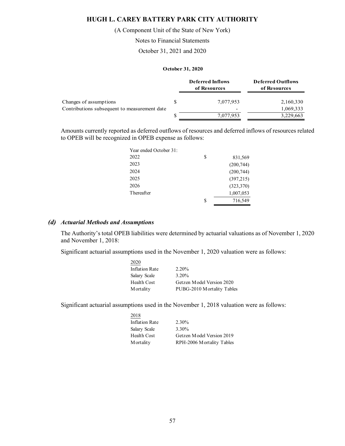(A Component Unit of the State of New York)

Notes to Financial Statements

October 31, 2021 and 2020

### **October 31, 2020**

|                                              | <b>Deferred Inflows</b><br>of Resources | <b>Deferred Outflows</b><br>of Resources |
|----------------------------------------------|-----------------------------------------|------------------------------------------|
| Changes of assumptions                       | 7,077,953                               | 2,160,330                                |
| Contributions subsequent to measurement date | $\overline{\phantom{0}}$                | 1,069,333                                |
|                                              | 7,077,953                               | 3,229,663                                |

Amounts currently reported as deferred outflows of resources and deferred inflows of resources related to OPEB will be recognized in OPEB expense as follows:

| Year ended October 31: |    |            |
|------------------------|----|------------|
| 2022                   | S  | 831,569    |
| 2023                   |    | (200,744)  |
| 2024                   |    | (200,744)  |
| 2025                   |    | (397,215)  |
| 2026                   |    | (323, 370) |
| Thereafter             |    | 1,007,053  |
|                        | \$ | 716,549    |

### *(d) Actuarial Methods and Assumptions*

The Authority's total OPEB liabilities were determined by actuarial valuations as of November 1, 2020 and November 1, 2018:

Significant actuarial assumptions used in the November 1, 2020 valuation were as follows:

| 2020           |                            |
|----------------|----------------------------|
| Inflation Rate | $2.20\%$                   |
| Salary Scale   | 3.20%                      |
| Health Cost    | Getzen Model Version 2020  |
| M ortality     | PUBG-2010 Mortality Tables |
|                |                            |

Significant actuarial assumptions used in the November 1, 2018 valuation were as follows:

| 2018                  |                           |
|-----------------------|---------------------------|
| <b>Inflation Rate</b> | 2.30%                     |
| Salary Scale          | 3.30%                     |
| Health Cost           | Getzen Model Version 2019 |
| M ortality            | RPH-2006 Mortality Tables |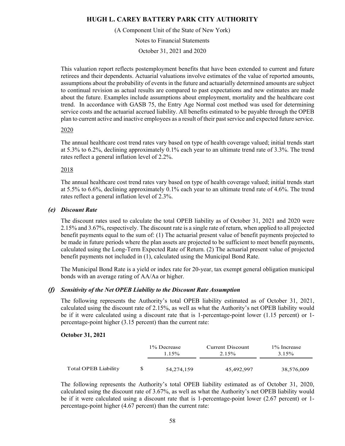(A Component Unit of the State of New York)

Notes to Financial Statements

October 31, 2021 and 2020

This valuation report reflects postemployment benefits that have been extended to current and future retirees and their dependents. Actuarial valuations involve estimates of the value of reported amounts, assumptions about the probability of events in the future and actuarially determined amounts are subject to continual revision as actual results are compared to past expectations and new estimates are made about the future. Examples include assumptions about employment, mortality and the healthcare cost trend. In accordance with GASB 75, the Entry Age Normal cost method was used for determining service costs and the actuarial accrued liability. All benefits estimated to be payable through the OPEB plan to current active and inactive employees as a result of their past service and expected future service.

### 2020

The annual healthcare cost trend rates vary based on type of health coverage valued; initial trends start at 5.3% to 6.2%, declining approximately 0.1% each year to an ultimate trend rate of 3.3%. The trend rates reflect a general inflation level of 2.2%.

### 2018

The annual healthcare cost trend rates vary based on type of health coverage valued; initial trends start at 5.5% to 6.6%, declining approximately 0.1% each year to an ultimate trend rate of 4.6%. The trend rates reflect a general inflation level of 2.3%.

### *(e) Discount Rate*

The discount rates used to calculate the total OPEB liability as of October 31, 2021 and 2020 were 2.15% and 3.67%, respectively. The discount rate is a single rate of return, when applied to all projected benefit payments equal to the sum of: (1) The actuarial present value of benefit payments projected to be made in future periods where the plan assets are projected to be sufficient to meet benefit payments, calculated using the Long-Term Expected Rate of Return. (2) The actuarial present value of projected benefit payments not included in (1), calculated using the Municipal Bond Rate.

The Municipal Bond Rate is a yield or index rate for 20-year, tax exempt general obligation municipal bonds with an average rating of AA/Aa or higher.

## *(f) Sensitivity of the Net OPEB Liability to the Discount Rate Assumption*

The following represents the Authority's total OPEB liability estimated as of October 31, 2021, calculated using the discount rate of 2.15%, as well as what the Authority's net OPEB liability would be if it were calculated using a discount rate that is 1-percentage-point lower (1.15 percent) or 1 percentage-point higher (3.15 percent) than the current rate:

#### **October 31, 2021**

|                      | 1% Decrease<br>$1.15\%$ | Current Discount<br>$2.15\%$ | 1% Increase<br>3.15% |
|----------------------|-------------------------|------------------------------|----------------------|
| Total OPEB Liability | 54,274,159              | 45,492,997                   | 38,576,009           |

The following represents the Authority's total OPEB liability estimated as of October 31, 2020, calculated using the discount rate of 3.67%, as well as what the Authority's net OPEB liability would be if it were calculated using a discount rate that is 1-percentage-point lower (2.67 percent) or 1 percentage-point higher (4.67 percent) than the current rate: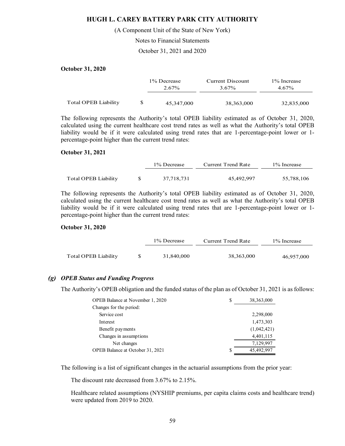(A Component Unit of the State of New York)

Notes to Financial Statements

October 31, 2021 and 2020

### **October 31, 2020**

|                      | 1% Decrease<br>2.67% | Current Discount<br>3.67% | 1% Increase<br>$4.67\%$ |
|----------------------|----------------------|---------------------------|-------------------------|
| Total OPEB Liability | 45,347,000           | 38,363,000                | 32,835,000              |

The following represents the Authority's total OPEB liability estimated as of October 31, 2020, calculated using the current healthcare cost trend rates as well as what the Authority's total OPEB liability would be if it were calculated using trend rates that are 1-percentage-point lower or 1 percentage-point higher than the current trend rates:

#### **October 31, 2021**

|                      | 1% Decrease | Current Trend Rate | 1% Increase |
|----------------------|-------------|--------------------|-------------|
|                      |             |                    |             |
| Total OPEB Liability | 37.718.731  | 45,492,997         | 55,788,106  |

The following represents the Authority's total OPEB liability estimated as of October 31, 2020, calculated using the current healthcare cost trend rates as well as what the Authority's total OPEB liability would be if it were calculated using trend rates that are 1-percentage-point lower or 1 percentage-point higher than the current trend rates:

#### **October 31, 2020**

|                      | 1% Decrease | Current Trend Rate | 1% Increase |
|----------------------|-------------|--------------------|-------------|
|                      |             |                    |             |
| Total OPEB Liability | 31,840,000  | 38,363,000         | 46,957,000  |

### *(g) OPEB Status and Funding Progress*

The Authority's OPEB obligation and the funded status of the plan as of October 31, 2021 is as follows:

| <b>OPEB</b> Balance at November 1, 2020 | S | 38, 363, 000 |
|-----------------------------------------|---|--------------|
| Changes for the period:                 |   |              |
| Service cost                            |   | 2,298,000    |
| Interest                                |   | 1,473,303    |
| Benefit payments                        |   | (1,042,421)  |
| Changes in assumptions                  |   | 4,401,115    |
| Net changes                             |   | 7,129,997    |
| OPEB Balance at October 31, 2021        | S | 45,492,997   |

The following is a list of significant changes in the actuarial assumptions from the prior year:

The discount rate decreased from 3.67% to 2.15%.

Healthcare related assumptions (NYSHIP premiums, per capita claims costs and healthcare trend) were updated from 2019 to 2020.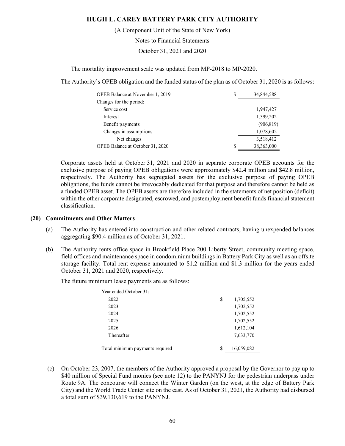(A Component Unit of the State of New York)

Notes to Financial Statements

October 31, 2021 and 2020

The mortality improvement scale was updated from MP-2018 to MP-2020.

The Authority's OPEB obligation and the funded status of the plan as of October 31, 2020 is as follows:

| <b>OPEB</b> Balance at November 1, 2019 | S | 34,844,588 |
|-----------------------------------------|---|------------|
| Changes for the period:                 |   |            |
| Service cost                            |   | 1,947,427  |
| Interest                                |   | 1,399,202  |
| Benefit payments                        |   | (906, 819) |
| Changes in assumptions                  |   | 1,078,602  |
| Net changes                             |   | 3,518,412  |
| OPEB Balance at October 31, 2020        | S | 38,363,000 |

Corporate assets held at October 31, 2021 and 2020 in separate corporate OPEB accounts for the exclusive purpose of paying OPEB obligations were approximately \$42.4 million and \$42.8 million, respectively. The Authority has segregated assets for the exclusive purpose of paying OPEB obligations, the funds cannot be irrevocably dedicated for that purpose and therefore cannot be held as a funded OPEB asset. The OPEB assets are therefore included in the statements of net position (deficit) within the other corporate designated, escrowed, and postemployment benefit funds financial statement classification.

### **(20) Commitments and Other Matters**

- (a) The Authority has entered into construction and other related contracts, having unexpended balances aggregating \$90.4 million as of October 31, 2021.
- (b) The Authority rents office space in Brookfield Place 200 Liberty Street, community meeting space, field offices and maintenance space in condominium buildings in Battery Park City as well as an offsite storage facility. Total rent expense amounted to \$1.2 million and \$1.3 million for the years ended October 31, 2021 and 2020, respectively.

The future minimum lease payments are as follows:

| Year ended October 31:          |    |            |
|---------------------------------|----|------------|
| 2022                            | \$ | 1,705,552  |
| 2023                            |    | 1,702,552  |
| 2024                            |    | 1,702,552  |
| 2025                            |    | 1,702,552  |
| 2026                            |    | 1,612,104  |
| Thereafter                      |    | 7,633,770  |
| Total minimum payments required | S  | 16,059,082 |
|                                 |    |            |

 (c) On October 23, 2007, the members of the Authority approved a proposal by the Governor to pay up to \$40 million of Special Fund monies (see note 12) to the PANYNJ for the pedestrian underpass under Route 9A. The concourse will connect the Winter Garden (on the west, at the edge of Battery Park City) and the World Trade Center site on the east. As of October 31, 2021, the Authority had disbursed a total sum of \$39,130,619 to the PANYNJ.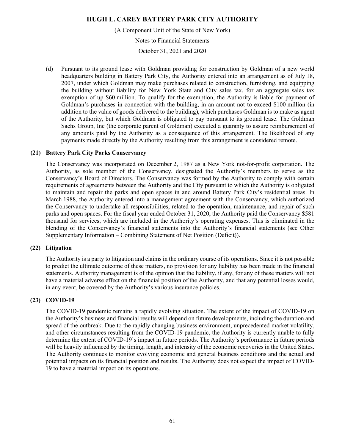(A Component Unit of the State of New York)

Notes to Financial Statements

October 31, 2021 and 2020

(d) Pursuant to its ground lease with Goldman providing for construction by Goldman of a new world headquarters building in Battery Park City, the Authority entered into an arrangement as of July 18, 2007, under which Goldman may make purchases related to construction, furnishing, and equipping the building without liability for New York State and City sales tax, for an aggregate sales tax exemption of up \$60 million. To qualify for the exemption, the Authority is liable for payment of Goldman's purchases in connection with the building, in an amount not to exceed \$100 million (in addition to the value of goods delivered to the building), which purchases Goldman is to make as agent of the Authority, but which Goldman is obligated to pay pursuant to its ground lease. The Goldman Sachs Group, Inc (the corporate parent of Goldman) executed a guaranty to assure reimbursement of any amounts paid by the Authority as a consequence of this arrangement. The likelihood of any payments made directly by the Authority resulting from this arrangement is considered remote.

### **(21) Battery Park City Parks Conservancy**

The Conservancy was incorporated on December 2, 1987 as a New York not-for-profit corporation. The Authority, as sole member of the Conservancy, designated the Authority's members to serve as the Conservancy's Board of Directors. The Conservancy was formed by the Authority to comply with certain requirements of agreements between the Authority and the City pursuant to which the Authority is obligated to maintain and repair the parks and open spaces in and around Battery Park City's residential areas. In March 1988, the Authority entered into a management agreement with the Conservancy, which authorized the Conservancy to undertake all responsibilities, related to the operation, maintenance, and repair of such parks and open spaces. For the fiscal year ended October 31, 2020, the Authority paid the Conservancy \$581 thousand for services, which are included in the Authority's operating expenses. This is eliminated in the blending of the Conservancy's financial statements into the Authority's financial statements (see Other Supplementary Information – Combining Statement of Net Position (Deficit)).

### **(22) Litigation**

The Authority is a party to litigation and claims in the ordinary course of its operations. Since it is not possible to predict the ultimate outcome of these matters, no provision for any liability has been made in the financial statements. Authority management is of the opinion that the liability, if any, for any of these matters will not have a material adverse effect on the financial position of the Authority, and that any potential losses would, in any event, be covered by the Authority's various insurance policies.

## **(23) COVID-19**

The COVID-19 pandemic remains a rapidly evolving situation. The extent of the impact of COVID-19 on the Authority's business and financial results will depend on future developments, including the duration and spread of the outbreak. Due to the rapidly changing business environment, unprecedented market volatility, and other circumstances resulting from the COVID-19 pandemic, the Authority is currently unable to fully determine the extent of COVID-19's impact in future periods. The Authority's performance in future periods will be heavily influenced by the timing, length, and intensity of the economic recoveries in the United States. The Authority continues to monitor evolving economic and general business conditions and the actual and potential impacts on its financial position and results. The Authority does not expect the impact of COVID-19 to have a material impact on its operations.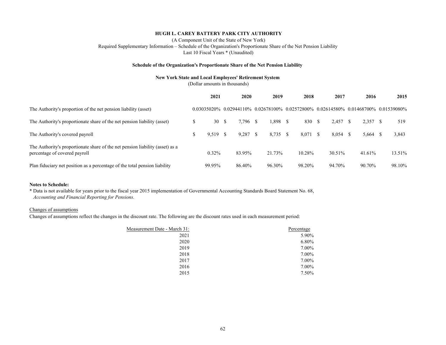(A Component Unit of the State of New York) Required Supplementary Information – Schedule of the Organization's Proportionate Share of the Net Pension Liability Last 10 Fiscal Years \* (Unaudited)

#### **Schedule of the Organization's Proportionate Share of the Net Pension Liability**

#### **New York State and Local Employees' Retirement System**

(Dollar amounts in thousands)

|                                                                                                                | 2021       | 2020             | 2019       | 2018       | 2017   | 2016         | 2015                                                                                                     |
|----------------------------------------------------------------------------------------------------------------|------------|------------------|------------|------------|--------|--------------|----------------------------------------------------------------------------------------------------------|
| The Authority's proportion of the net pension liability (asset)                                                |            |                  |            |            |        |              | $0.03035020\%$ $0.02944110\%$ $0.02678100\%$ $0.02572800\%$ $0.02614580\%$ $0.01468700\%$ $0.01539080\%$ |
| The Authority's proportionate share of the net pension liability (asset)                                       | S<br>30    | 7.796 \$<br>- \$ | 1,898 \$   | 830 \$     | 2.457  | 2.357<br>- S | 519                                                                                                      |
| The Authority's covered payroll                                                                                | $9,519$ \$ | 9.287            | $8,735$ \$ | $8,071$ \$ | 8.054  | 5,664<br>-S  | 3,843<br>-S                                                                                              |
| The Authority's proportionate share of the net pension liability (asset) as a<br>percentage of covered payroll | 0.32%      | 83.95%           | 21.73%     | 10.28%     | 30.51% | 41.61%       | 13.51%                                                                                                   |
| Plan fiduciary net position as a percentage of the total pension liability                                     | 99.95%     | 86.40%           | 96.30%     | 98.20%     | 94.70% | 90.70%       | 98.10%                                                                                                   |

#### **Notes to Schedule:**

*Accounting and Financial Reporting for Pensions.* \* Data is not available for years prior to the fiscal year 2015 implementation of Governmental Accounting Standards Board Statement No. 68,

#### Changes of assumptions

Changes of assumptions reflect the changes in the discount rate. The following are the discount rates used in each measurement period:

| Measurement Date - March 31: | Percentage |
|------------------------------|------------|
| 2021                         | 5.90%      |
| 2020                         | 6.80%      |
| 2019                         | 7.00%      |
| 2018                         | 7.00%      |
| 2017                         | 7.00%      |
| 2016                         | 7.00%      |
| 2015                         | 7.50%      |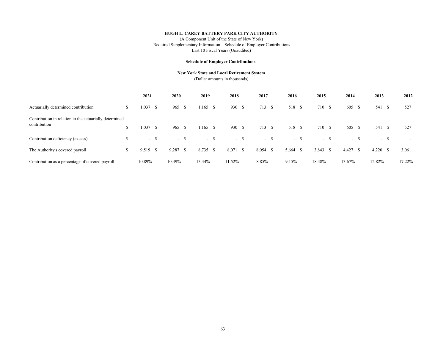(A Component Unit of the State of New York) Required Supplementary Information – Schedule of Employer Contributions Last 10 Fiscal Years (Unaudited)

#### **Schedule of Employer Contributions**

#### **New York State and Local Retirement System**

(Dollar amounts in thousands)

|                                                                        | 2021       |      | 2020       |       | 2019       |        | 2018     |        | 2017   |        | 2016                |       | 2015       |     | 2014   |    | 2013       |        | 2012   |
|------------------------------------------------------------------------|------------|------|------------|-------|------------|--------|----------|--------|--------|--------|---------------------|-------|------------|-----|--------|----|------------|--------|--------|
| Actuarially determined contribution                                    | 1,037      | - S  | 965        | -S    | $1,165$ \$ |        | 930 \$   |        | 713    | -S     | 518 \$              |       | 710 \$     |     | 605    | -S | 541 \$     |        | 527    |
| Contribution in relation to the actuarially determined<br>contribution | $1,037$ \$ |      | 965        | - S   | $1,165$ \$ |        | 930 \$   |        | 713 \$ |        | 518 \$              |       | 710 \$     |     | 605 \$ |    | 541 \$     |        | 527    |
| Contribution deficiency (excess)                                       |            | - \$ |            | $- S$ |            | $-$ \$ |          | $-$ \$ |        | $-$ \$ |                     | $- S$ |            | - 5 | $\sim$ | -S |            | $-$ \$ | $\sim$ |
| The Authority's covered payroll                                        | $9,519$ \$ |      | $9,287$ \$ |       | 8,735 \$   |        | 8,071 \$ |        | 8,054  | - S    | 5,664 $\frac{1}{2}$ |       | $3,843$ \$ |     | 4,427  | -S | $4,220$ \$ |        | 3,061  |
| Contribution as a percentage of covered payroll                        | 10.89%     |      | 10.39%     |       | 13.34%     |        | 11.52%   |        | 8.85%  |        | 9.15%               |       | 18.48%     |     | 13.67% |    | 12.82%     |        | 17.22% |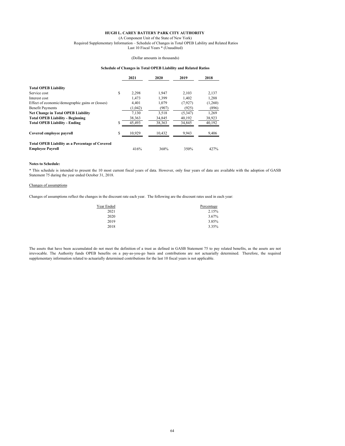(A Component Unit of the State of New York) Required Supplementary Information – Schedule of Changes in Total OPEB Lability and Related Ratios Last 10 Fiscal Years \* (Unaudited)

#### (Dollar amounts in thousands)

#### **Schedule of Changes in Total OPEB Liability and Related Ratios**

|                                                                                   |   | 2021    | 2020   | 2019    | 2018    |
|-----------------------------------------------------------------------------------|---|---------|--------|---------|---------|
| <b>Total OPEB Liability</b>                                                       |   |         |        |         |         |
| Service cost                                                                      | S | 2.298   | 1.947  | 2.103   | 2,137   |
| Interest cost                                                                     |   | 1.473   | 1.399  | 1.402   | 1,288   |
| Effect of economic/demographic gains or (losses)                                  |   | 4.401   | 1.079  | (7,927) | (1,260) |
| <b>Benefit Payments</b>                                                           |   | (1,042) | (907)  | (925)   | (896)   |
| <b>Net Change in Total OPEB Liability</b>                                         |   | 7.130   | 3,518  | (5,347) | 1,269   |
| <b>Total OPEB Liability - Beginning</b>                                           |   | 38,363  | 34.845 | 40,192  | 38,923  |
| <b>Total OPEB Liability - Ending</b>                                              |   | 45,493  | 38,363 | 34,845  | 40,192  |
| Covered emplovee payroll                                                          |   | 10.929  | 10.432 | 9.943   | 9,406   |
| <b>Total OPEB Liability as a Percentage of Covered</b><br><b>Employee Payroll</b> |   | 416%    | 368%   | 350%    | 427%    |

#### **Notes to Schedule:**

\* This schedule is intended to present the 10 most current fiscal years of data. However, only four years of data are available with the adoption of GASB Statement 75 during the year ended October 31, 2018.

#### Changes of assumptions

Changes of assumptions reflect the changes in the discount rate each year. The following are the discount rates used in each year:

| Year Ended | Percentage |
|------------|------------|
| 2021       | 2.15%      |
| 2020       | 3.67%      |
| 2019       | 3.85%      |
| 2018       | 3.35%      |

The assets that have been accumulated do not meet the definition of a trust as defined in GASB Statement 75 to pay related benefits, as the assets are not irrevocable. The Authority funds OPEB benefits on a pay-as-you-go basis and contributions are not actuarially determined. Therefore, the required supplementary information related to actuarially determined contributions for the last 10 fiscal years is not applicable.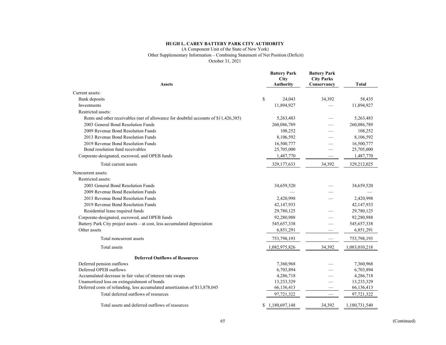#### (A Component Unit of the State of New York)

Other Supplementary Information – Combining Statement of Net Position (Deficit)

October 31, 2021

| <b>Assets</b>                                                                        | <b>Battery Park</b><br>City<br><b>Authority</b> | <b>Battery Park</b><br><b>City Parks</b><br>Conservancy | <b>Total</b>  |
|--------------------------------------------------------------------------------------|-------------------------------------------------|---------------------------------------------------------|---------------|
| Current assets:                                                                      |                                                 |                                                         |               |
| Bank deposits                                                                        | \$<br>24,043                                    | 34,392                                                  | 58,435        |
| Investments                                                                          | 11,894,927                                      |                                                         | 11,894,927    |
| Restricted assets:                                                                   |                                                 |                                                         |               |
| Rents and other receivables (net of allowance for doubtful accounts of \$11,426,385) | 5,263,483                                       |                                                         | 5,263,483     |
| 2003 General Bond Resolution Funds                                                   | 260,086,789                                     |                                                         | 260,086,789   |
| 2009 Revenue Bond Resolution Funds                                                   | 108,252                                         |                                                         | 108,252       |
| 2013 Revenue Bond Resolution Funds                                                   | 8,106,592                                       |                                                         | 8,106,592     |
| 2019 Revenue Bond Resolution Funds                                                   | 16,500,777                                      |                                                         | 16,500,777    |
| Bond resolution fund receivables                                                     | 25,705,000                                      |                                                         | 25,705,000    |
| Corporate-designated, escrowed, and OPEB funds                                       | 1,487,770                                       |                                                         | 1,487,770     |
| Total current assets                                                                 | 329,177,633                                     | 34,392                                                  | 329,212,025   |
| Noncurrent assets:                                                                   |                                                 |                                                         |               |
| Restricted assets:                                                                   |                                                 |                                                         |               |
| 2003 General Bond Resolution Funds                                                   | 34,659,520                                      |                                                         | 34,659,520    |
| 2009 Revenue Bond Resolution Funds                                                   |                                                 |                                                         |               |
| 2013 Revenue Bond Resolution Funds                                                   | 2,420,998                                       |                                                         | 2,420,998     |
| 2019 Revenue Bond Resolution Funds                                                   | 42,147,933                                      |                                                         | 42,147,933    |
| Residential lease required funds                                                     | 29,780,125                                      |                                                         | 29,780,125    |
| Corporate-designated, escrowed, and OPEB funds                                       | 92,280,988                                      |                                                         | 92,280,988    |
| Battery Park City project assets - at cost, less accumulated depreciation            | 545,657,338                                     |                                                         | 545,657,338   |
| Other assets                                                                         | 6,851,291                                       |                                                         | 6,851,291     |
| Total noncurrent assets                                                              | 753,798,193                                     |                                                         | 753,798,193   |
| Total assets                                                                         | 1,082,975,826                                   | 34,392                                                  | 1,083,010,218 |
| <b>Deferred Outflows of Resources</b>                                                |                                                 |                                                         |               |
| Deferred pension outflows                                                            | 7,360,968                                       |                                                         | 7,360,968     |
| Deferred OPEB outflows                                                               | 6,703,894                                       |                                                         | 6,703,894     |
| Accumulated decrease in fair value of interest rate swaps                            | 4,286,718                                       |                                                         | 4,286,718     |
| Unamortized loss on extinguishment of bonds                                          | 13,233,329                                      |                                                         | 13,233,329    |
| Deferred costs of refunding, less accumulated amortization of \$13,878,045           | 66,136,413                                      |                                                         | 66,136,413    |
| Total deferred outflows of resources                                                 | 97,721,322                                      |                                                         | 97,721,322    |
| Total assets and deferred outflows of resources                                      | \$1,180,697,148                                 | 34,392                                                  | 1,180,731,540 |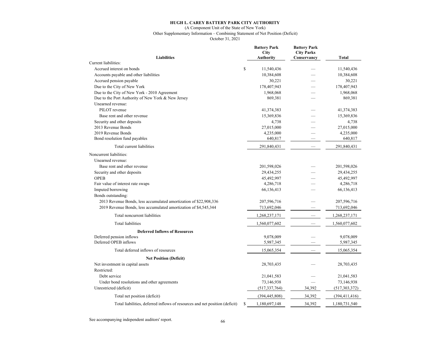#### (A Component Unit of the State of New York) Other Supplementary Information – Combining Statement of Net Position (Deficit)

October 31, 2021

| <b>Liabilities</b>                                                          |    | <b>Battery Park</b><br><b>City</b><br><b>Authority</b> | <b>Battery Park</b><br><b>City Parks</b><br>Conservancy | Total           |
|-----------------------------------------------------------------------------|----|--------------------------------------------------------|---------------------------------------------------------|-----------------|
| Current liabilities:                                                        |    |                                                        |                                                         |                 |
| Accrued interest on bonds                                                   | \$ | 11,540,436                                             |                                                         | 11,540,436      |
| Accounts payable and other liabilities                                      |    | 10,384,608                                             |                                                         | 10,384,608      |
| Accrued pension payable                                                     |    | 30,221                                                 |                                                         | 30,221          |
| Due to the City of New York                                                 |    | 178,407,943                                            |                                                         | 178,407,943     |
| Due to the City of New York - 2010 Agreement                                |    | 1,968,068                                              |                                                         | 1,968,068       |
| Due to the Port Authority of New York & New Jersey                          |    | 869,381                                                |                                                         | 869,381         |
| Unearned revenue:                                                           |    |                                                        |                                                         |                 |
| PILOT revenue                                                               |    | 41,374,383                                             |                                                         | 41,374,383      |
| Base rent and other revenue                                                 |    | 15,369,836                                             |                                                         | 15,369,836      |
| Security and other deposits                                                 |    | 4,738                                                  |                                                         | 4,738           |
| 2013 Revenue Bonds                                                          |    | 27,015,000                                             |                                                         | 27,015,000      |
| 2019 Revenue Bonds                                                          |    | 4,235,000                                              |                                                         | 4,235,000       |
| Bond resolution fund payables                                               |    | 640,817                                                |                                                         | 640,817         |
| Total current liabilities                                                   |    | 291,840,431                                            |                                                         | 291,840,431     |
| Noncurrent liabilities:                                                     |    |                                                        |                                                         |                 |
| Unearned revenue:                                                           |    |                                                        |                                                         |                 |
| Base rent and other revenue                                                 |    | 201,598,026                                            |                                                         | 201,598,026     |
| Security and other deposits                                                 |    | 29,434,255                                             |                                                         | 29,434,255      |
| <b>OPEB</b>                                                                 |    | 45,492,997                                             |                                                         | 45,492,997      |
| Fair value of interest rate swaps                                           |    | 4,286,718                                              |                                                         | 4,286,718       |
| Imputed borrowing                                                           |    | 66,136,413                                             |                                                         | 66,136,413      |
| Bonds outstanding:                                                          |    |                                                        |                                                         |                 |
| 2013 Revenue Bonds, less accumulated amortization of \$22,908,336           |    | 207,596,716                                            |                                                         | 207,596,716     |
| 2019 Revenue Bonds, less accumulated amortization of \$4,545,344            |    | 713,692,046                                            |                                                         | 713,692,046     |
| Total noncurrent liabilities                                                |    | 1,268,237,171                                          |                                                         | 1,268,237,171   |
| <b>Total liabilities</b>                                                    |    | 1,560,077,602                                          |                                                         | 1,560,077,602   |
| <b>Deferred Inflows of Resources</b>                                        |    |                                                        |                                                         |                 |
| Deferred pension inflows                                                    |    | 9,078,009                                              |                                                         | 9,078,009       |
| Deferred OPEB inflows                                                       |    | 5,987,345                                              |                                                         | 5,987,345       |
| Total deferred inflows of resources                                         |    | 15,065,354                                             |                                                         | 15,065,354      |
| <b>Net Position (Deficit)</b>                                               |    |                                                        |                                                         |                 |
| Net investment in capital assets                                            |    | 28,703,435                                             |                                                         | 28,703,435      |
| Restricted:                                                                 |    |                                                        |                                                         |                 |
| Debt service                                                                |    | 21,041,583                                             |                                                         | 21,041,583      |
| Under bond resolutions and other agreements                                 |    | 73,146,938                                             |                                                         | 73,146,938      |
| Unrestricted (deficit)                                                      |    | (517, 337, 764)                                        | 34,392                                                  | (517, 303, 372) |
| Total net position (deficit)                                                |    | (394, 445, 808)                                        | 34,392                                                  | (394, 411, 416) |
| Total liabilities, deferred inflows of resources and net position (deficit) | S  | 1,180,697,148                                          | 34.392                                                  | 1,180,731,540   |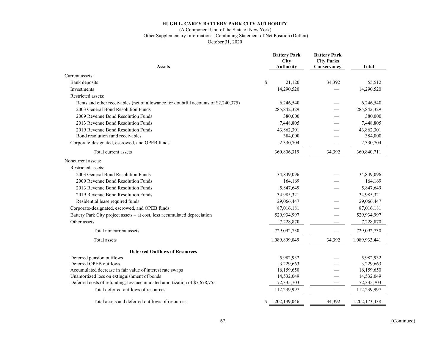#### (A Component Unit of the State of New York)

Other Supplementary Information – Combining Statement of Net Position (Deficit)

October 31, 2020

| <b>Assets</b>                                                                       | <b>Battery Park</b><br>City<br><b>Authority</b> | <b>Battery Park</b><br><b>City Parks</b><br>Conservancy | <b>Total</b>  |
|-------------------------------------------------------------------------------------|-------------------------------------------------|---------------------------------------------------------|---------------|
| Current assets:                                                                     |                                                 |                                                         |               |
| Bank deposits                                                                       | \$<br>21,120                                    | 34,392                                                  | 55,512        |
| Investments                                                                         | 14,290,520                                      |                                                         | 14,290,520    |
| Restricted assets:                                                                  |                                                 |                                                         |               |
| Rents and other receivables (net of allowance for doubtful accounts of \$2,240,375) | 6,246,540                                       |                                                         | 6,246,540     |
| 2003 General Bond Resolution Funds                                                  | 285, 842, 329                                   |                                                         | 285, 842, 329 |
| 2009 Revenue Bond Resolution Funds                                                  | 380,000                                         |                                                         | 380,000       |
| 2013 Revenue Bond Resolution Funds                                                  | 7,448,805                                       |                                                         | 7,448,805     |
| 2019 Revenue Bond Resolution Funds                                                  | 43,862,301                                      |                                                         | 43,862,301    |
| Bond resolution fund receivables                                                    | 384,000                                         |                                                         | 384,000       |
| Corporate-designated, escrowed, and OPEB funds                                      | 2,330,704                                       |                                                         | 2,330,704     |
| Total current assets                                                                | 360,806,319                                     | 34,392                                                  | 360,840,711   |
| Noncurrent assets:                                                                  |                                                 |                                                         |               |
| Restricted assets:                                                                  |                                                 |                                                         |               |
| 2003 General Bond Resolution Funds                                                  | 34,849,096                                      |                                                         | 34,849,096    |
| 2009 Revenue Bond Resolution Funds                                                  | 164,169                                         |                                                         | 164,169       |
| 2013 Revenue Bond Resolution Funds                                                  | 5,847,649                                       |                                                         | 5,847,649     |
| 2019 Revenue Bond Resolution Funds                                                  | 34,985,321                                      |                                                         | 34,985,321    |
| Residential lease required funds                                                    | 29,066,447                                      |                                                         | 29,066,447    |
| Corporate-designated, escrowed, and OPEB funds                                      | 87,016,181                                      |                                                         | 87,016,181    |
| Battery Park City project assets – at cost, less accumulated depreciation           | 529,934,997                                     |                                                         | 529,934,997   |
| Other assets                                                                        | 7,228,870                                       |                                                         | 7,228,870     |
| Total noncurrent assets                                                             | 729,092,730                                     |                                                         | 729,092,730   |
| Total assets                                                                        | 1,089,899,049                                   | 34,392                                                  | 1,089,933,441 |
| <b>Deferred Outflows of Resources</b>                                               |                                                 |                                                         |               |
| Deferred pension outflows                                                           | 5,982,932                                       |                                                         | 5,982,932     |
| Deferred OPEB outflows                                                              | 3,229,663                                       |                                                         | 3,229,663     |
| Accumulated decrease in fair value of interest rate swaps                           | 16,159,650                                      |                                                         | 16,159,650    |
| Unamortized loss on extinguishment of bonds                                         | 14,532,049                                      |                                                         | 14,532,049    |
| Deferred costs of refunding, less accumulated amortization of \$7,678,755           | 72,335,703                                      | $\qquad \qquad \longleftarrow$                          | 72,335,703    |
| Total deferred outflows of resources                                                | 112,239,997                                     | $\hspace{0.05cm}$                                       | 112,239,997   |
| Total assets and deferred outflows of resources                                     | \$1,202,139,046                                 | 34,392                                                  | 1,202,173,438 |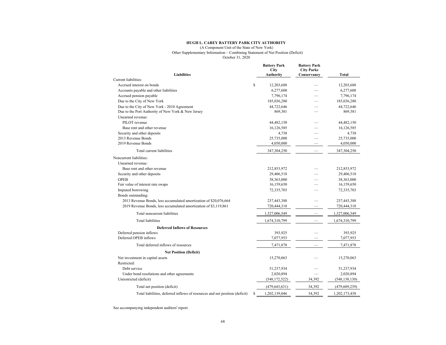(A Component Unit of the State of New York)

Other Supplementary Information – Combining Statement of Net Position (Deficit)

October 31, 2020

| <b>Liabilities</b>                                                          |    | <b>Battery Park</b><br>City<br><b>Authority</b> | <b>Battery Park</b><br><b>City Parks</b><br>Conservancy | <b>Total</b>    |
|-----------------------------------------------------------------------------|----|-------------------------------------------------|---------------------------------------------------------|-----------------|
| Current liabilities:                                                        |    |                                                 |                                                         |                 |
| Accrued interest on bonds                                                   | \$ | 12,203,688                                      |                                                         | 12,203,688      |
| Accounts payable and other liabilities                                      |    | 6,277,608                                       |                                                         | 6,277,608       |
| Accrued pension payable                                                     |    | 7,796,174                                       |                                                         | 7,796,174       |
| Due to the City of New York                                                 |    | 185,036,280                                     |                                                         | 185,036,280     |
| Due to the City of New York - 2010 Agreement                                |    | 44,722,646                                      |                                                         | 44,722,646      |
| Due to the Port Authority of New York & New Jersey                          |    | 869,381                                         |                                                         | 869,381         |
| Unearned revenue:                                                           |    |                                                 |                                                         |                 |
| PILOT revenue                                                               |    | 44,482,150                                      |                                                         | 44,482,150      |
| Base rent and other revenue                                                 |    | 16,126,585                                      |                                                         | 16,126,585      |
| Security and other deposits                                                 |    | 4,738                                           |                                                         | 4,738           |
| 2013 Revenue Bonds                                                          |    | 25,735,000                                      |                                                         | 25,735,000      |
| 2019 Revenue Bonds                                                          |    | 4,050,000                                       |                                                         | 4,050,000       |
| Total current liabilities                                                   |    | 347,304,250                                     |                                                         | 347,304,250     |
| Noncurrent liabilities:                                                     |    |                                                 |                                                         |                 |
| Unearned revenue:                                                           |    |                                                 |                                                         |                 |
| Base rent and other revenue                                                 |    | 212,853,972                                     |                                                         | 212,853,972     |
| Security and other deposits                                                 |    | 29,406,518                                      |                                                         | 29,406,518      |
| <b>OPEB</b>                                                                 |    | 38,363,000                                      |                                                         | 38,363,000      |
| Fair value of interest rate swaps                                           |    | 16,159,650                                      |                                                         | 16,159,650      |
| Imputed borrowing                                                           |    | 72,335,703                                      |                                                         | 72,335,703      |
| Bonds outstanding:                                                          |    |                                                 |                                                         |                 |
| 2013 Revenue Bonds, less accumulated amortization of \$20,076,664           |    | 237,443,388                                     |                                                         | 237,443,388     |
| 2019 Revenue Bonds, less accumulated amortization of \$3,119,861            |    | 720,444,318                                     |                                                         | 720,444,318     |
| Total noncurrent liabilities                                                |    | 1,327,006,549                                   |                                                         | 1,327,006,549   |
| <b>Total liabilities</b>                                                    |    | 1,674,310,799                                   |                                                         | 1,674,310,799   |
| <b>Deferred Inflows of Resources</b>                                        |    |                                                 |                                                         |                 |
| Deferred pension inflows                                                    |    | 393,925                                         |                                                         | 393.925         |
| Deferred OPEB inflows                                                       |    | 7,077,953                                       |                                                         | 7,077,953       |
| Total deferred inflows of resources                                         |    | 7,471,878                                       |                                                         | 7,471,878       |
| <b>Net Position (Deficit)</b>                                               |    |                                                 |                                                         |                 |
| Net investment in capital assets                                            |    | 15,270,063                                      |                                                         | 15,270,063      |
| Restricted:                                                                 |    |                                                 |                                                         |                 |
| Debt service                                                                |    | 51,237,934                                      |                                                         | 51,237,934      |
| Under bond resolutions and other agreements                                 |    | 2,020,894                                       |                                                         | 2,020,894       |
| Unrestricted (deficit)                                                      |    | (548, 172, 522)                                 | 34,392                                                  | (548, 138, 130) |
| Total net position (deficit)                                                |    | (479, 643, 631)                                 | 34,392                                                  | (479, 609, 239) |
| Total liabilities, deferred inflows of resources and net position (deficit) | S  | 1,202,139,046                                   | 34,392                                                  | 1,202,173,438   |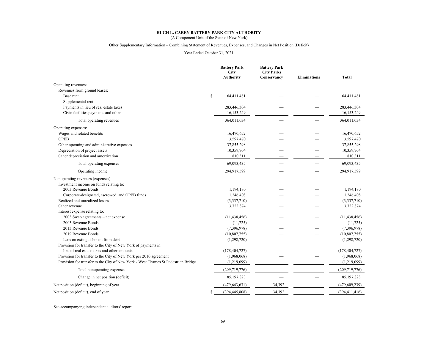# **HUGH L. CAREY BATTERY PARK CITY AUTHORITY** (A Component Unit of the State of New York)

#### Other Supplementary Information – Combining Statement of Revenues, Expenses, and Changes in Net Position (Deficit)

#### Year Ended October 31, 2021

|                                                                                   | <b>Battery Park</b><br><b>City</b><br>Authority | <b>Battery Park</b><br><b>City Parks</b><br>Conservancy | <b>Eliminations</b> | <b>Total</b>    |
|-----------------------------------------------------------------------------------|-------------------------------------------------|---------------------------------------------------------|---------------------|-----------------|
| Operating revenues:                                                               |                                                 |                                                         |                     |                 |
| Revenues from ground leases:                                                      |                                                 |                                                         |                     |                 |
| Base rent                                                                         | \$<br>64,411,481                                |                                                         |                     | 64,411,481      |
| Supplemental rent                                                                 |                                                 |                                                         |                     |                 |
| Payments in lieu of real estate taxes                                             | 283,446,304                                     |                                                         |                     | 283,446,304     |
| Civic facilities payments and other                                               | 16,153,249                                      |                                                         |                     | 16,153,249      |
| Total operating revenues                                                          | 364,011,034                                     |                                                         |                     | 364,011,034     |
| Operating expenses:                                                               |                                                 |                                                         |                     |                 |
| Wages and related benefits                                                        | 16,470,652                                      |                                                         |                     | 16,470,652      |
| <b>OPEB</b>                                                                       | 3,597,470                                       |                                                         |                     | 3,597,470       |
| Other operating and administrative expenses                                       | 37,855,298                                      |                                                         |                     | 37,855,298      |
| Depreciation of project assets                                                    | 10,359,704                                      |                                                         |                     | 10,359,704      |
| Other depreciation and amortization                                               | 810,311                                         |                                                         |                     | 810,311         |
| Total operating expenses                                                          | 69,093,435                                      |                                                         |                     | 69,093,435      |
| Operating income                                                                  | 294,917,599                                     |                                                         |                     | 294,917,599     |
| Nonoperating revenues (expenses):                                                 |                                                 |                                                         |                     |                 |
| Investment income on funds relating to:                                           |                                                 |                                                         |                     |                 |
| 2003 Revenue Bonds                                                                | 1,194,180                                       |                                                         |                     | 1,194,180       |
| Corporate-designated, escrowed, and OPEB funds                                    | 1,246,408                                       |                                                         |                     | 1,246,408       |
| Realized and unrealized losses                                                    | (3,337,710)                                     |                                                         |                     | (3,337,710)     |
| Other revenue                                                                     | 3,722,874                                       |                                                         |                     | 3,722,874       |
| Interest expense relating to:                                                     |                                                 |                                                         |                     |                 |
| 2003 Swap agreements – net expense                                                | (11, 438, 456)                                  |                                                         |                     | (11, 438, 456)  |
| 2003 Revenue Bonds                                                                | (11, 725)                                       |                                                         |                     | (11, 725)       |
| 2013 Revenue Bonds                                                                | (7,396,978)                                     |                                                         |                     | (7,396,978)     |
| 2019 Revenue Bonds                                                                | (10, 807, 755)                                  |                                                         |                     | (10,807,755)    |
| Loss on extinguishment from debt                                                  | (1,298,720)                                     |                                                         |                     | (1,298,720)     |
| Provision for transfer to the City of New York of payments in                     |                                                 |                                                         |                     |                 |
| lieu of real estate taxes and other amounts                                       | (178, 404, 727)                                 |                                                         |                     | (178, 404, 727) |
| Provision for transfer to the City of New York per 2010 agreement                 | (1,968,068)                                     |                                                         |                     | (1,968,068)     |
| Provision for transfer to the City of New York - West Thames St Pedestrian Bridge | (1,219,099)                                     |                                                         |                     | (1,219,099)     |
| Total nonoperating expenses                                                       | (209, 719, 776)                                 |                                                         |                     | (209, 719, 776) |
| Change in net position (deficit)                                                  | 85,197,823                                      |                                                         |                     | 85,197,823      |
| Net position (deficit), beginning of year                                         | (479, 643, 631)                                 | 34,392                                                  |                     | (479, 609, 239) |
| Net position (deficit), end of year                                               | \$<br>(394, 445, 808)                           | 34,392                                                  |                     | (394, 411, 416) |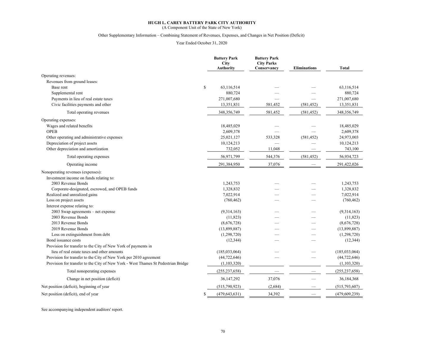(A Component Unit of the State of New York)

#### Other Supplementary Information – Combining Statement of Revenues, Expenses, and Changes in Net Position (Deficit)

Year Ended October 31, 2020

|                                                                                   | <b>Battery Park</b><br><b>City</b><br>Authority | <b>Battery Park</b><br><b>City Parks</b><br>Conservancy | <b>Eliminations</b> | <b>Total</b>    |
|-----------------------------------------------------------------------------------|-------------------------------------------------|---------------------------------------------------------|---------------------|-----------------|
| Operating revenues:                                                               |                                                 |                                                         |                     |                 |
| Revenues from ground leases:                                                      |                                                 |                                                         |                     |                 |
| Base rent                                                                         | \$<br>63,116,514                                |                                                         |                     | 63,116,514      |
| Supplemental rent                                                                 | 880,724                                         |                                                         |                     | 880,724         |
| Payments in lieu of real estate taxes                                             | 271,007,680                                     |                                                         |                     | 271,007,680     |
| Civic facilities payments and other                                               | 13,351,831                                      | 581,452                                                 | (581, 452)          | 13,351,831      |
| Total operating revenues                                                          | 348,356,749                                     | 581,452                                                 | (581, 452)          | 348,356,749     |
| Operating expenses:                                                               |                                                 |                                                         |                     |                 |
| Wages and related benefits                                                        | 18,485,029                                      |                                                         |                     | 18,485,029      |
| <b>OPEB</b>                                                                       | 2,609,378                                       |                                                         |                     | 2,609,378       |
| Other operating and administrative expenses                                       | 25,021,127                                      | 533,328                                                 | (581, 452)          | 24,973,003      |
| Depreciation of project assets                                                    | 10,124,213                                      |                                                         |                     | 10,124,213      |
| Other depreciation and amortization                                               | 732,052                                         | 11,048                                                  |                     | 743,100         |
| Total operating expenses                                                          | 56,971,799                                      | 544,376                                                 | (581, 452)          | 56,934,723      |
| Operating income                                                                  | 291,384,950                                     | 37,076                                                  |                     | 291,422,026     |
| Nonoperating revenues (expenses):                                                 |                                                 |                                                         |                     |                 |
| Investment income on funds relating to:                                           |                                                 |                                                         |                     |                 |
| 2003 Revenue Bonds                                                                | 1,243,753                                       |                                                         |                     | 1,243,753       |
| Corporate-designated, escrowed, and OPEB funds                                    | 1,328,832                                       |                                                         |                     | 1,328,832       |
| Realized and unrealized gains                                                     | 7,022,914                                       |                                                         |                     | 7,022,914       |
| Loss on project assets                                                            | (760, 462)                                      |                                                         |                     | (760, 462)      |
| Interest expense relating to:                                                     |                                                 |                                                         |                     |                 |
| 2003 Swap agreements – net expense                                                | (9,314,163)                                     |                                                         |                     | (9,314,163)     |
| 2003 Revenue Bonds                                                                | (11, 823)                                       |                                                         |                     | (11, 823)       |
| 2013 Revenue Bonds                                                                | (8,676,728)                                     |                                                         |                     | (8,676,728)     |
| 2019 Revenue Bonds                                                                | (13,899,887)                                    |                                                         |                     | (13,899,887)    |
| Loss on extinguishment from debt                                                  | (1,298,720)                                     |                                                         |                     | (1,298,720)     |
| Bond issuance costs                                                               | (12, 344)                                       |                                                         |                     | (12, 344)       |
| Provision for transfer to the City of New York of payments in                     |                                                 |                                                         |                     |                 |
| lieu of real estate taxes and other amounts                                       | (185, 033, 064)                                 |                                                         |                     | (185, 033, 064) |
| Provision for transfer to the City of New York per 2010 agreement                 | (44, 722, 646)                                  |                                                         |                     | (44, 722, 646)  |
| Provision for transfer to the City of New York - West Thames St Pedestrian Bridge | (1,103,320)                                     |                                                         |                     | (1,103,320)     |
| Total nonoperating expenses                                                       | (255, 237, 658)                                 |                                                         |                     | (255, 237, 658) |
| Change in net position (deficit)                                                  | 36,147,292                                      | 37,076                                                  |                     | 36,184,368      |
| Net position (deficit), beginning of year                                         | (515,790,923)                                   | (2,684)                                                 |                     | (515, 793, 607) |
| Net position (deficit), end of year                                               | \$<br>(479, 643, 631)                           | 34,392                                                  |                     | (479, 609, 239) |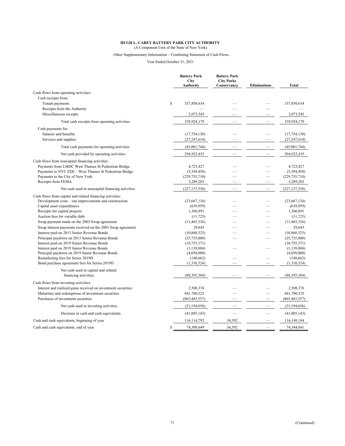(A Component Unit of the State of New York)

## Other Supplementary Information – Combining Statement of Cash Flows

Year Ended October 31, 2021

|                                                               | <b>Battery Park</b><br><b>City</b><br><b>Authority</b> | <b>Battery Park</b><br><b>City Parks</b><br>Conservancy | <b>Eliminations</b>      | <b>Total</b>    |
|---------------------------------------------------------------|--------------------------------------------------------|---------------------------------------------------------|--------------------------|-----------------|
| Cash flows from operating activities:                         |                                                        |                                                         |                          |                 |
| Cash receipts from:                                           |                                                        |                                                         |                          |                 |
| Tenant payments                                               | \$<br>337,850,634                                      |                                                         |                          | 337,850,634     |
| Receipts from the Authority                                   |                                                        |                                                         |                          |                 |
| Miscellaneous receipts                                        | 2,073,545                                              |                                                         |                          | 2,073,545       |
| Total cash receipts from operating activities                 | 339,924,179                                            |                                                         |                          | 339,924,179     |
| Cash payments for:                                            |                                                        |                                                         |                          |                 |
| Salaries and benefits                                         | (17, 754, 130)                                         |                                                         |                          | (17, 754, 130)  |
| Services and supplies                                         | (27, 247, 614)                                         |                                                         |                          | (27, 247, 614)  |
| Total cash payments for operating activities                  | (45,001,744)                                           |                                                         |                          | (45,001,744)    |
| Net cash provided by operating activities                     | 294,922,435                                            | $\overline{\phantom{0}}$                                |                          | 294,922,435     |
| Cash flows from noncapital financing activities:              |                                                        |                                                         |                          |                 |
| Payments from LMDC West Thames St Pedestrian Bridge           | 4,723,427                                              |                                                         |                          | 4,723,427       |
| Payments to NYC EDC - West Thames St Pedestrian Bridge        | (5,394,458)                                            |                                                         |                          | (5,394,458)     |
| Payments to the City of New York                              | (229, 755, 710)                                        |                                                         |                          | (229, 755, 710) |
| Receipts from FEMA                                            | 3,289,203                                              |                                                         |                          | 3,289,203       |
| Net cash used in noncapital financing activities              | (227, 137, 538)                                        |                                                         |                          | (227, 137, 538) |
| Cash flows from capital and related financing activities:     |                                                        |                                                         |                          |                 |
| Development costs – site improvements and construction        | (23,667,134)                                           |                                                         |                          | (23,667,134)    |
| Capital asset expenditures                                    | (639, 959)                                             |                                                         |                          | (639, 959)      |
| Receipts for capital projects                                 | 1,366,891                                              |                                                         |                          | 1,366,891       |
| Auction fees for variable debt                                | (11, 725)                                              |                                                         |                          | (11, 725)       |
| Swap payment made on the 2003 Swap agreement                  | (11, 465, 336)                                         |                                                         |                          | (11, 465, 336)  |
| Swap interest payments received on the 2003 Swap agreement    | 29,645                                                 |                                                         |                          | 29,645          |
| Interest paid on 2013 Senior Revenue Bonds                    | (10, 868, 525)                                         |                                                         | $\overline{\phantom{a}}$ | (10,868,525)    |
| Principal paydown on 2013 Senior Revenue Bonds                | (25,735,000)                                           |                                                         |                          | (25,735,000)    |
| Interest paid on 2019 Senior Revenue Bonds                    | (10, 755, 371)                                         |                                                         |                          | (10, 755, 371)  |
| Interest paid on 2019 Junior Revenue Bonds                    | (1, 139, 884)                                          |                                                         |                          | (1, 139, 884)   |
| Principal paydown on 2019 Junior Revenue Bonds                | (4,050,000)                                            |                                                         |                          | (4,050,000)     |
| Remarketing fees for Series 2019D                             | (148, 662)                                             |                                                         |                          | (148, 662)      |
| Bond purchase agreement fees for Series 2019D                 | (1,310,324)                                            |                                                         |                          | (1,310,324)     |
| Net cash used in capital and related                          |                                                        |                                                         |                          |                 |
| financing activities                                          | (88, 395, 384)                                         |                                                         |                          | (88, 395, 384)  |
| Cash flows from investing activities:                         |                                                        |                                                         |                          |                 |
| Interest and realized gains received on investment securities | 2,508,376                                              |                                                         |                          | 2,508,376       |
| Maturities and redemptions of investment securities           | 841,780,525                                            |                                                         |                          | 841,780,525     |
| Purchases of investment securities                            | (865, 483, 557)                                        |                                                         |                          | (865, 483, 557) |
| Net cash used in investing activities                         | (21, 194, 656)                                         |                                                         |                          | (21, 194, 656)  |
| Decrease in cash and cash equivalents                         | (41, 805, 143)                                         |                                                         |                          | (41,805,143)    |
| Cash and cash equivalents, beginning of year                  | 116,114,792                                            | 34,392                                                  |                          | 116,149,184     |
| Cash and cash equivalents, end of year                        | \$<br>74,309,649                                       | 34.392                                                  |                          | 74,344,041      |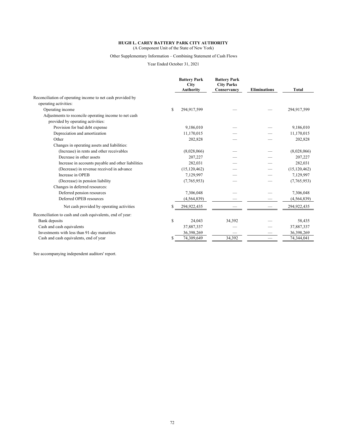(A Component Unit of the State of New York)

# Other Supplementary Information – Combining Statement of Cash Flows

Year Ended October 31, 2021

|                                                            |    | <b>Battery Park</b><br>City<br><b>Authority</b> | <b>Battery Park</b><br><b>City Parks</b><br>Conservancy | <b>Eliminations</b> | <b>Total</b>   |
|------------------------------------------------------------|----|-------------------------------------------------|---------------------------------------------------------|---------------------|----------------|
| Reconciliation of operating income to net cash provided by |    |                                                 |                                                         |                     |                |
| operating activities:                                      |    |                                                 |                                                         |                     |                |
| Operating income                                           | S  | 294,917,599                                     |                                                         |                     | 294,917,599    |
| Adjustments to reconcile operating income to net cash      |    |                                                 |                                                         |                     |                |
| provided by operating activities:                          |    |                                                 |                                                         |                     |                |
| Provision for bad debt expense                             |    | 9,186,010                                       |                                                         |                     | 9,186,010      |
| Depreciation and amortization                              |    | 11,170,015                                      |                                                         |                     | 11,170,015     |
| Other                                                      |    | 202,828                                         |                                                         |                     | 202,828        |
| Changes in operating assets and liabilities:               |    |                                                 |                                                         |                     |                |
| (Increase) in rents and other receivables                  |    | (8,028,066)                                     |                                                         |                     | (8,028,066)    |
| Decrease in other assets                                   |    | 207,227                                         |                                                         |                     | 207,227        |
| Increase in accounts payable and other liabilities         |    | 282,031                                         |                                                         |                     | 282,031        |
| (Decrease) in revenue received in advance                  |    | (15, 120, 462)                                  |                                                         |                     | (15, 120, 462) |
| Increase in OPEB                                           |    | 7,129,997                                       |                                                         |                     | 7,129,997      |
| (Decrease) in pension liability                            |    | (7,765,953)                                     |                                                         |                     | (7,765,953)    |
| Changes in deferred resources:                             |    |                                                 |                                                         |                     |                |
| Deferred pension resources                                 |    | 7,306,048                                       |                                                         |                     | 7,306,048      |
| Deferred OPEB resources                                    |    | (4, 564, 839)                                   |                                                         |                     | (4, 564, 839)  |
| Net cash provided by operating activities                  |    | 294,922,435                                     |                                                         |                     | 294,922,435    |
| Reconciliation to cash and cash equivalents, end of year:  |    |                                                 |                                                         |                     |                |
| Bank deposits                                              | S. | 24,043                                          | 34,392                                                  |                     | 58,435         |
| Cash and cash equivalents                                  |    | 37,887,337                                      |                                                         |                     | 37,887,337     |
| Investments with less than 91-day maturities               |    | 36,398,269                                      |                                                         |                     | 36,398,269     |
| Cash and cash equivalents, end of year                     |    | 74,309,649                                      | 34,392                                                  |                     | 74,344,041     |

See accompanying independent auditors' report.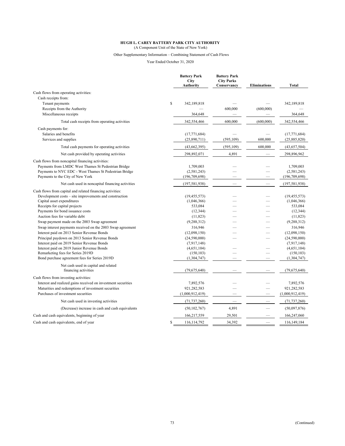(A Component Unit of the State of New York)

## Other Supplementary Information – Combining Statement of Cash Flows

Year Ended October 31, 2020

|                                                                                                          | <b>Battery Park</b><br><b>City</b><br><b>Authority</b> | <b>Battery Park</b><br><b>City Parks</b><br>Conservancy | <b>Eliminations</b> | <b>Total</b>             |
|----------------------------------------------------------------------------------------------------------|--------------------------------------------------------|---------------------------------------------------------|---------------------|--------------------------|
| Cash flows from operating activities:                                                                    |                                                        |                                                         |                     |                          |
| Cash receipts from:                                                                                      |                                                        |                                                         |                     |                          |
| Tenant payments                                                                                          | $\mathbb{S}$<br>342,189,818                            |                                                         |                     | 342,189,818              |
| Receipts from the Authority                                                                              |                                                        | 600,000                                                 | (600,000)           |                          |
| Miscellaneous receipts                                                                                   | 364,648                                                |                                                         |                     | 364,648                  |
| Total cash receipts from operating activities                                                            | 342,554,466                                            | 600,000                                                 | (600,000)           | 342,554,466              |
| Cash payments for:                                                                                       |                                                        |                                                         |                     |                          |
| Salaries and benefits                                                                                    | (17, 771, 684)                                         |                                                         |                     | (17, 771, 684)           |
| Services and supplies                                                                                    | (25,890,711)                                           | (595, 109)                                              | 600,000             | (25,885,820)             |
| Total cash payments for operating activities                                                             | (43, 662, 395)                                         | (595, 109)                                              | 600,000             | (43,657,504)             |
| Net cash provided by operating activities                                                                | 298,892,071                                            | 4,891                                                   |                     | 298,896,962              |
| Cash flows from noncapital financing activities:                                                         |                                                        |                                                         |                     |                          |
| Payments from LMDC West Thames St Pedestrian Bridge                                                      | 1,709,003                                              |                                                         |                     | 1,709,003                |
| Payments to NYC EDC - West Thames St Pedestrian Bridge                                                   | (2,581,243)                                            |                                                         |                     | (2,581,243)              |
| Payments to the City of New York                                                                         | (196, 709, 698)                                        |                                                         |                     | (196, 709, 698)          |
| Net cash used in noncapital financing activities                                                         | (197, 581, 938)                                        |                                                         |                     | (197, 581, 938)          |
| Cash flows from capital and related financing activities:                                                |                                                        |                                                         |                     |                          |
| Development costs – site improvements and construction                                                   | (19, 455, 573)                                         |                                                         |                     | (19, 455, 573)           |
| Capital asset expenditures                                                                               | (1,046,366)                                            |                                                         |                     | (1,046,366)              |
| Receipts for capital projects                                                                            | 533,084                                                |                                                         |                     | 533,084                  |
| Payments for bond issuance costs                                                                         | (12, 344)                                              |                                                         |                     | (12, 344)                |
| Auction fees for variable debt                                                                           | (11, 823)                                              |                                                         |                     | (11, 823)                |
| Swap payment made on the 2003 Swap agreement                                                             | (9, 288, 312)<br>316,946                               |                                                         |                     | (9, 288, 312)<br>316,946 |
| Swap interest payments received on the 2003 Swap agreement<br>Interest paid on 2013 Senior Revenue Bonds | (12,098,150)                                           |                                                         |                     | (12,098,150)             |
| Principal paydown on 2013 Senior Revenue Bonds                                                           | (24,590,000)                                           |                                                         |                     | (24,590,000)             |
| Interest paid on 2019 Senior Revenue Bonds                                                               | (7,917,148)                                            |                                                         |                     | (7,917,148)              |
| Interest paid on 2019 Junior Revenue Bonds                                                               | (4,651,104)                                            |                                                         |                     | (4,651,104)              |
| Remarketing fees for Series 2019D                                                                        | (150, 103)                                             |                                                         |                     | (150, 103)               |
| Bond purchase agreement fees for Series 2019D                                                            | (1,304,747)                                            |                                                         |                     | (1, 304, 747)            |
| Net cash used in capital and related                                                                     |                                                        |                                                         |                     |                          |
| financing activities                                                                                     | (79, 675, 640)                                         |                                                         |                     | (79,675,640)             |
| Cash flows from investing activities:                                                                    |                                                        |                                                         |                     |                          |
| Interest and realized gains received on investment securities                                            | 7,892,576                                              |                                                         |                     | 7,892,576                |
| Maturities and redemptions of investment securities                                                      | 921,282,583                                            |                                                         |                     | 921,282,583              |
| Purchases of investment securities                                                                       | (1,000,912,419)                                        |                                                         |                     | (1,000,912,419)          |
| Net cash used in investing activities                                                                    | (71, 737, 260)                                         | $\overline{\phantom{0}}$                                | $\qquad \qquad$     | (71, 737, 260)           |
| (Decrease) increase in cash and cash equivalents                                                         | (50, 102, 767)                                         | 4,891                                                   |                     | (50,097,876)             |
| Cash and cash equivalents, beginning of year                                                             | 166,217,559                                            | 29,501                                                  |                     | 166,247,060              |
| Cash and cash equivalents, end of year                                                                   | \$<br>116,114,792                                      | 34,392                                                  |                     | 116,149,184              |